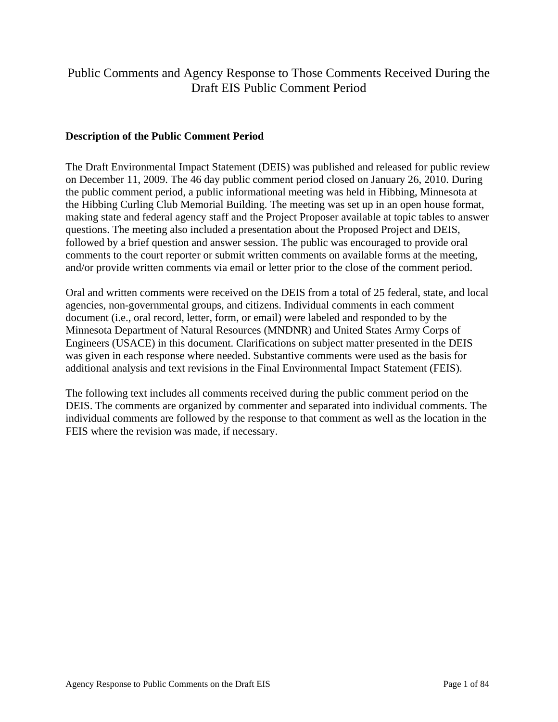# Public Comments and Agency Response to Those Comments Received During the Draft EIS Public Comment Period

### **Description of the Public Comment Period**

The Draft Environmental Impact Statement (DEIS) was published and released for public review on December 11, 2009. The 46 day public comment period closed on January 26, 2010. During the public comment period, a public informational meeting was held in Hibbing, Minnesota at the Hibbing Curling Club Memorial Building. The meeting was set up in an open house format, making state and federal agency staff and the Project Proposer available at topic tables to answer questions. The meeting also included a presentation about the Proposed Project and DEIS, followed by a brief question and answer session. The public was encouraged to provide oral comments to the court reporter or submit written comments on available forms at the meeting, and/or provide written comments via email or letter prior to the close of the comment period.

Oral and written comments were received on the DEIS from a total of 25 federal, state, and local agencies, non-governmental groups, and citizens. Individual comments in each comment document (i.e., oral record, letter, form, or email) were labeled and responded to by the Minnesota Department of Natural Resources (MNDNR) and United States Army Corps of Engineers (USACE) in this document. Clarifications on subject matter presented in the DEIS was given in each response where needed. Substantive comments were used as the basis for additional analysis and text revisions in the Final Environmental Impact Statement (FEIS).

The following text includes all comments received during the public comment period on the DEIS. The comments are organized by commenter and separated into individual comments. The individual comments are followed by the response to that comment as well as the location in the FEIS where the revision was made, if necessary.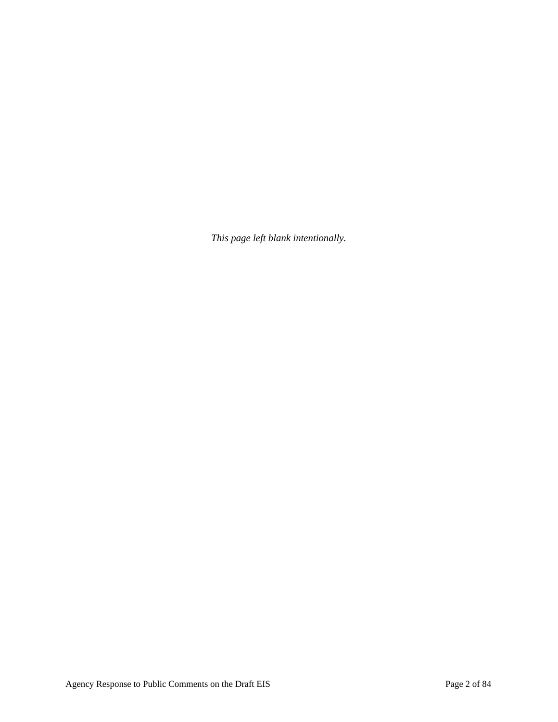*This page left blank intentionally.*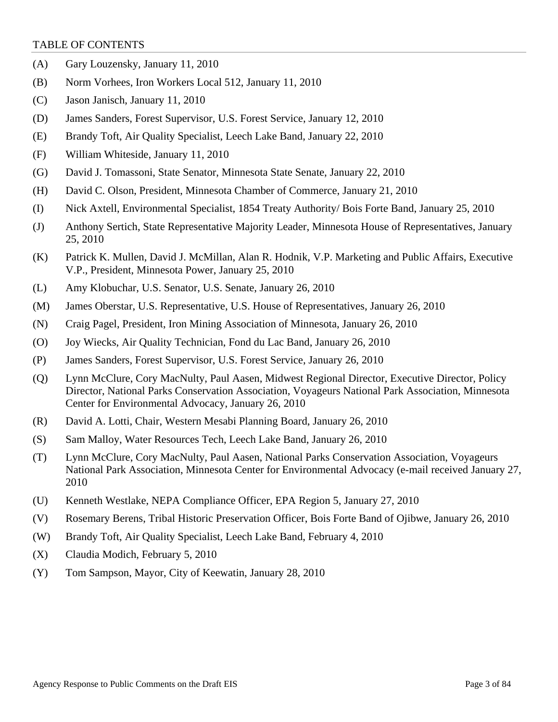### TABLE OF CONTENTS

- (A) Gary Louzensky, January 11, 2010
- (B) Norm Vorhees, Iron Workers Local 512, January 11, 2010
- (C) Jason Janisch, January 11, 2010
- (D) James Sanders, Forest Supervisor, U.S. Forest Service, January 12, 2010
- (E) Brandy Toft, Air Quality Specialist, Leech Lake Band, January 22, 2010
- (F) William Whiteside, January 11, 2010
- (G) David J. Tomassoni, State Senator, Minnesota State Senate, January 22, 2010
- (H) David C. Olson, President, Minnesota Chamber of Commerce, January 21, 2010
- (I) Nick Axtell, Environmental Specialist, 1854 Treaty Authority/ Bois Forte Band, January 25, 2010
- (J) Anthony Sertich, State Representative Majority Leader, Minnesota House of Representatives, January 25, 2010
- (K) Patrick K. Mullen, David J. McMillan, Alan R. Hodnik, V.P. Marketing and Public Affairs, Executive V.P., President, Minnesota Power, January 25, 2010
- (L) Amy Klobuchar, U.S. Senator, U.S. Senate, January 26, 2010
- (M) James Oberstar, U.S. Representative, U.S. House of Representatives, January 26, 2010
- (N) Craig Pagel, President, Iron Mining Association of Minnesota, January 26, 2010
- (O) Joy Wiecks, Air Quality Technician, Fond du Lac Band, January 26, 2010
- (P) James Sanders, Forest Supervisor, U.S. Forest Service, January 26, 2010
- (Q) Lynn McClure, Cory MacNulty, Paul Aasen, Midwest Regional Director, Executive Director, Policy Director, National Parks Conservation Association, Voyageurs National Park Association, Minnesota Center for Environmental Advocacy, January 26, 2010
- (R) David A. Lotti, Chair, Western Mesabi Planning Board, January 26, 2010
- (S) Sam Malloy, Water Resources Tech, Leech Lake Band, January 26, 2010
- (T) Lynn McClure, Cory MacNulty, Paul Aasen, National Parks Conservation Association, Voyageurs National Park Association, Minnesota Center for Environmental Advocacy (e-mail received January 27, 2010
- (U) Kenneth Westlake, NEPA Compliance Officer, EPA Region 5, January 27, 2010
- (V) Rosemary Berens, Tribal Historic Preservation Officer, Bois Forte Band of Ojibwe, January 26, 2010
- (W) Brandy Toft, Air Quality Specialist, Leech Lake Band, February 4, 2010
- (X) Claudia Modich, February 5, 2010
- (Y) Tom Sampson, Mayor, City of Keewatin, January 28, 2010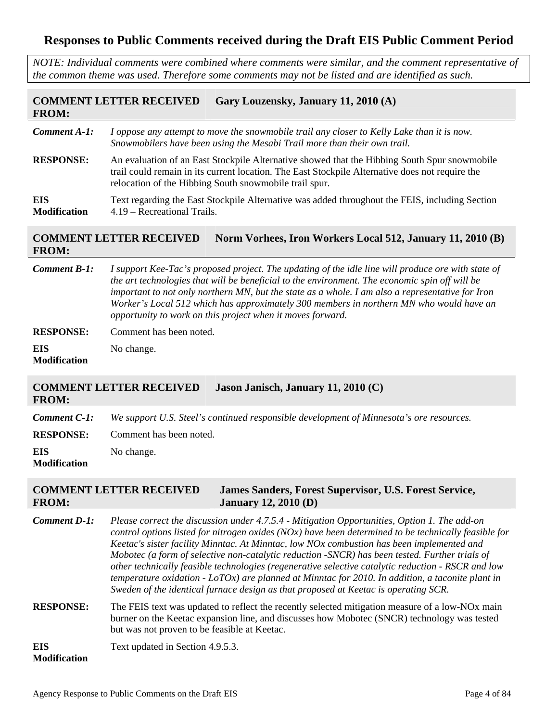## **Responses to Public Comments received during the Draft EIS Public Comment Period**

*NOTE: Individual comments were combined where comments were similar, and the comment representative of the common theme was used. Therefore some comments may not be listed and are identified as such.* 

### **COMMENT LETTER RECEIVED FROM: Gary Louzensky, January 11, 2010 (A)**

| Comment A-1:               | I oppose any attempt to move the snowmobile trail any closer to Kelly Lake than it is now.<br>Snowmobilers have been using the Mesabi Trail more than their own trail.                                                                                    |  |
|----------------------------|-----------------------------------------------------------------------------------------------------------------------------------------------------------------------------------------------------------------------------------------------------------|--|
| <b>RESPONSE:</b>           | An evaluation of an East Stockpile Alternative showed that the Hibbing South Spur snowmobile<br>trail could remain in its current location. The East Stockpile Alternative does not require the<br>relocation of the Hibbing South snowmobile trail spur. |  |
| EIS<br><b>Modification</b> | Text regarding the East Stockpile Alternative was added throughout the FEIS, including Section<br>$419$ – Recreational Trails                                                                                                                             |  |

### **COMMENT LETTER RECEIVED FROM: Norm Vorhees, Iron Workers Local 512, January 11, 2010 (B)**

*Comment B-1: I support Kee-Tac's proposed project. The updating of the idle line will produce ore with state of the art technologies that will be beneficial to the environment. The economic spin off will be important to not only northern MN, but the state as a whole. I am also a representative for Iron Worker's Local 512 which has approximately 300 members in northern MN who would have an opportunity to work on this project when it moves forward.*  **RESPONSE:** Comment has been noted. **EIS**  No change.

**Modification** 

#### **COMMENT LETTER RECEIVED Jason Janisch, January 11, 2010 (C)**

**FROM:** 

*Comment C-1: We support U.S. Steel's continued responsible development of Minnesota's ore resources.* 

**RESPONSE:** Comment has been noted.

**EIS**  No change.

**Modification** 

#### **COMMENT LETTER RECEIVED FROM: James Sanders, Forest Supervisor, U.S. Forest Service, January 12, 2010 (D)**

| <b>Comment D-1:</b>               | Please correct the discussion under 4.7.5.4 - Mitigation Opportunities, Option 1. The add-on<br>control options listed for nitrogen oxides (NOx) have been determined to be technically feasible for<br>Keetac's sister facility Minntac. At Minntac, low NOx combustion has been implemented and<br>Mobotec (a form of selective non-catalytic reduction -SNCR) has been tested. Further trials of<br>other technically feasible technologies (regenerative selective catalytic reduction - RSCR and low<br>temperature oxidation - $LoTOx$ ) are planned at Minntac for 2010. In addition, a taconite plant in<br>Sweden of the identical furnace design as that proposed at Keetac is operating SCR. |
|-----------------------------------|---------------------------------------------------------------------------------------------------------------------------------------------------------------------------------------------------------------------------------------------------------------------------------------------------------------------------------------------------------------------------------------------------------------------------------------------------------------------------------------------------------------------------------------------------------------------------------------------------------------------------------------------------------------------------------------------------------|
| <b>RESPONSE:</b>                  | The FEIS text was updated to reflect the recently selected mitigation measure of a low-NOx main<br>burner on the Keetac expansion line, and discusses how Mobotec (SNCR) technology was tested<br>but was not proven to be feasible at Keetac.                                                                                                                                                                                                                                                                                                                                                                                                                                                          |
| <b>EIS</b><br><b>Modification</b> | Text updated in Section 4.9.5.3.                                                                                                                                                                                                                                                                                                                                                                                                                                                                                                                                                                                                                                                                        |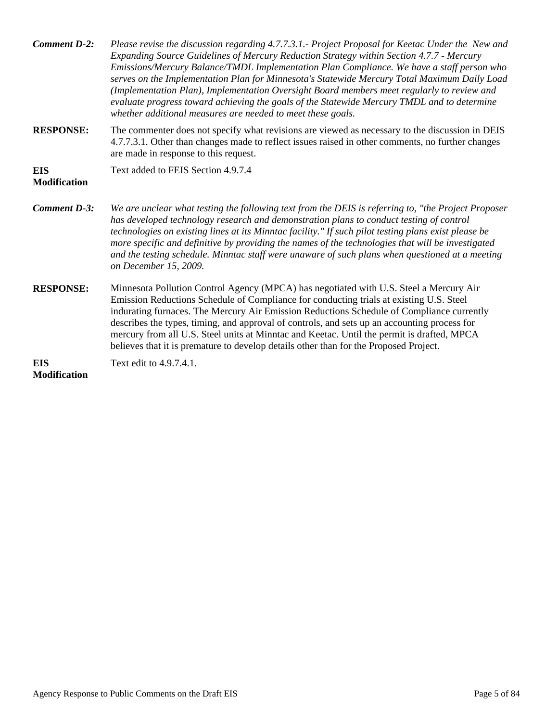| <b>Comment D-2:</b>               | Please revise the discussion regarding 4.7.7.3.1.- Project Proposal for Keetac Under the New and<br>Expanding Source Guidelines of Mercury Reduction Strategy within Section 4.7.7 - Mercury<br>Emissions/Mercury Balance/TMDL Implementation Plan Compliance. We have a staff person who<br>serves on the Implementation Plan for Minnesota's Statewide Mercury Total Maximum Daily Load<br>(Implementation Plan), Implementation Oversight Board members meet regularly to review and<br>evaluate progress toward achieving the goals of the Statewide Mercury TMDL and to determine<br>whether additional measures are needed to meet these goals. |  |
|-----------------------------------|-------------------------------------------------------------------------------------------------------------------------------------------------------------------------------------------------------------------------------------------------------------------------------------------------------------------------------------------------------------------------------------------------------------------------------------------------------------------------------------------------------------------------------------------------------------------------------------------------------------------------------------------------------|--|
| <b>RESPONSE:</b>                  | The commenter does not specify what revisions are viewed as necessary to the discussion in DEIS<br>4.7.7.3.1. Other than changes made to reflect issues raised in other comments, no further changes<br>are made in response to this request.                                                                                                                                                                                                                                                                                                                                                                                                         |  |
| <b>EIS</b><br><b>Modification</b> | Text added to FEIS Section 4.9.7.4                                                                                                                                                                                                                                                                                                                                                                                                                                                                                                                                                                                                                    |  |
| <b>Comment D-3:</b>               | We are unclear what testing the following text from the DEIS is referring to, "the Project Proposer<br>has developed technology research and demonstration plans to conduct testing of control<br>technologies on existing lines at its Minntac facility." If such pilot testing plans exist please be<br>more specific and definitive by providing the names of the technologies that will be investigated<br>and the testing schedule. Minntac staff were unaware of such plans when questioned at a meeting<br>on December 15, 2009.                                                                                                               |  |
| <b>RESPONSE:</b>                  | Minnesota Pollution Control Agency (MPCA) has negotiated with U.S. Steel a Mercury Air<br>Emission Reductions Schedule of Compliance for conducting trials at existing U.S. Steel<br>indurating furnaces. The Mercury Air Emission Reductions Schedule of Compliance currently<br>describes the types, timing, and approval of controls, and sets up an accounting process for<br>mercury from all U.S. Steel units at Minntac and Keetac. Until the permit is drafted, MPCA<br>believes that it is premature to develop details other than for the Proposed Project.                                                                                 |  |
| <b>EIS</b><br><b>Modification</b> | Text edit to 4.9.7.4.1.                                                                                                                                                                                                                                                                                                                                                                                                                                                                                                                                                                                                                               |  |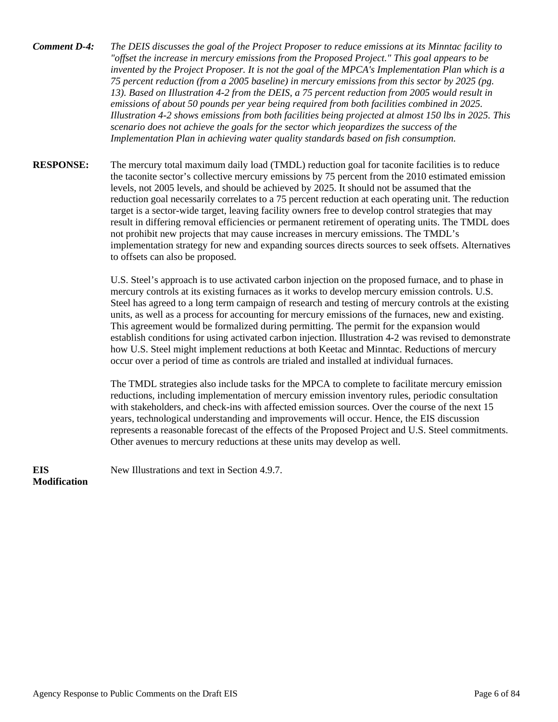*Comment D-4: The DEIS discusses the goal of the Project Proposer to reduce emissions at its Minntac facility to "offset the increase in mercury emissions from the Proposed Project." This goal appears to be invented by the Project Proposer. It is not the goal of the MPCA's Implementation Plan which is a 75 percent reduction (from a 2005 baseline) in mercury emissions from this sector by 2025 (pg. 13). Based on Illustration 4-2 from the DEIS, a 75 percent reduction from 2005 would result in emissions of about 50 pounds per year being required from both facilities combined in 2025. Illustration 4-2 shows emissions from both facilities being projected at almost 150 lbs in 2025. This scenario does not achieve the goals for the sector which jeopardizes the success of the Implementation Plan in achieving water quality standards based on fish consumption.* 

**RESPONSE:** The mercury total maximum daily load (TMDL) reduction goal for taconite facilities is to reduce the taconite sector's collective mercury emissions by 75 percent from the 2010 estimated emission levels, not 2005 levels, and should be achieved by 2025. It should not be assumed that the reduction goal necessarily correlates to a 75 percent reduction at each operating unit. The reduction target is a sector-wide target, leaving facility owners free to develop control strategies that may result in differing removal efficiencies or permanent retirement of operating units. The TMDL does not prohibit new projects that may cause increases in mercury emissions. The TMDL's implementation strategy for new and expanding sources directs sources to seek offsets. Alternatives to offsets can also be proposed.

> U.S. Steel's approach is to use activated carbon injection on the proposed furnace, and to phase in mercury controls at its existing furnaces as it works to develop mercury emission controls. U.S. Steel has agreed to a long term campaign of research and testing of mercury controls at the existing units, as well as a process for accounting for mercury emissions of the furnaces, new and existing. This agreement would be formalized during permitting. The permit for the expansion would establish conditions for using activated carbon injection. Illustration 4-2 was revised to demonstrate how U.S. Steel might implement reductions at both Keetac and Minntac. Reductions of mercury occur over a period of time as controls are trialed and installed at individual furnaces.

> The TMDL strategies also include tasks for the MPCA to complete to facilitate mercury emission reductions, including implementation of mercury emission inventory rules, periodic consultation with stakeholders, and check-ins with affected emission sources. Over the course of the next 15 years, technological understanding and improvements will occur. Hence, the EIS discussion represents a reasonable forecast of the effects of the Proposed Project and U.S. Steel commitments. Other avenues to mercury reductions at these units may develop as well.

**EIS Modification**  New Illustrations and text in Section 4.9.7.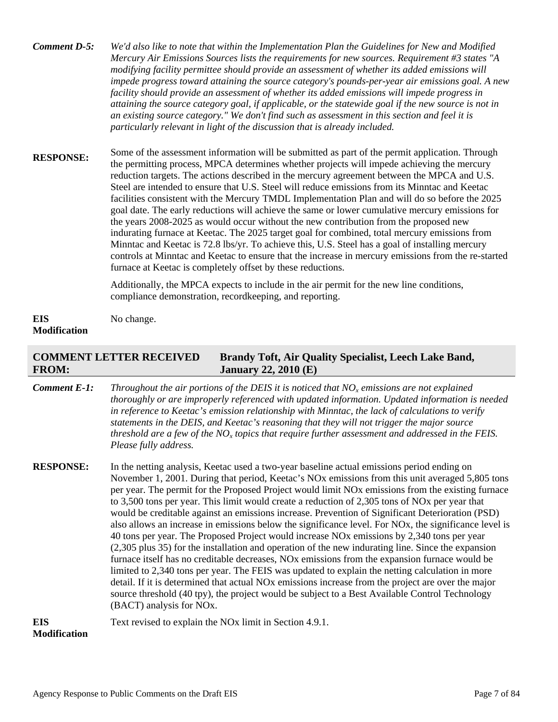*Comment D-5: We'd also like to note that within the Implementation Plan the Guidelines for New and Modified Mercury Air Emissions Sources lists the requirements for new sources. Requirement #3 states "A modifying facility permittee should provide an assessment of whether its added emissions will impede progress toward attaining the source category's pounds-per-year air emissions goal. A new facility should provide an assessment of whether its added emissions will impede progress in attaining the source category goal, if applicable, or the statewide goal if the new source is not in an existing source category." We don't find such as assessment in this section and feel it is particularly relevant in light of the discussion that is already included.* 

**RESPONSE:** Some of the assessment information will be submitted as part of the permit application. Through the permitting process, MPCA determines whether projects will impede achieving the mercury reduction targets. The actions described in the mercury agreement between the MPCA and U.S. Steel are intended to ensure that U.S. Steel will reduce emissions from its Minntac and Keetac facilities consistent with the Mercury TMDL Implementation Plan and will do so before the 2025 goal date. The early reductions will achieve the same or lower cumulative mercury emissions for the years 2008-2025 as would occur without the new contribution from the proposed new indurating furnace at Keetac. The 2025 target goal for combined, total mercury emissions from Minntac and Keetac is 72.8 lbs/yr. To achieve this, U.S. Steel has a goal of installing mercury controls at Minntac and Keetac to ensure that the increase in mercury emissions from the re-started furnace at Keetac is completely offset by these reductions.

> Additionally, the MPCA expects to include in the air permit for the new line conditions, compliance demonstration, recordkeeping, and reporting.

**EIS**  No change.

### **Modification**

#### **COMMENT LETTER RECEIVED FROM: Brandy Toft, Air Quality Specialist, Leech Lake Band, January 22, 2010 (E)**

**Comment E-1:** Throughout the air portions of the DEIS it is noticed that  $NO<sub>x</sub>$  emissions are not explained *thoroughly or are improperly referenced with updated information. Updated information is needed in reference to Keetac's emission relationship with Minntac, the lack of calculations to verify statements in the DEIS, and Keetac's reasoning that they will not trigger the major source threshold are a few of the NO<sub>x</sub> topics that require further assessment and addressed in the FEIS. Please fully address.* 

**RESPONSE:** In the netting analysis, Keetac used a two-year baseline actual emissions period ending on November 1, 2001. During that period, Keetac's NOx emissions from this unit averaged 5,805 tons per year. The permit for the Proposed Project would limit NOx emissions from the existing furnace to 3,500 tons per year. This limit would create a reduction of 2,305 tons of NOx per year that would be creditable against an emissions increase. Prevention of Significant Deterioration (PSD) also allows an increase in emissions below the significance level. For NOx, the significance level is 40 tons per year. The Proposed Project would increase NOx emissions by 2,340 tons per year (2,305 plus 35) for the installation and operation of the new indurating line. Since the expansion furnace itself has no creditable decreases, NOx emissions from the expansion furnace would be limited to 2,340 tons per year. The FEIS was updated to explain the netting calculation in more detail. If it is determined that actual NOx emissions increase from the project are over the major source threshold (40 tpy), the project would be subject to a Best Available Control Technology (BACT) analysis for NOx.

**EIS**  Text revised to explain the NOx limit in Section 4.9.1.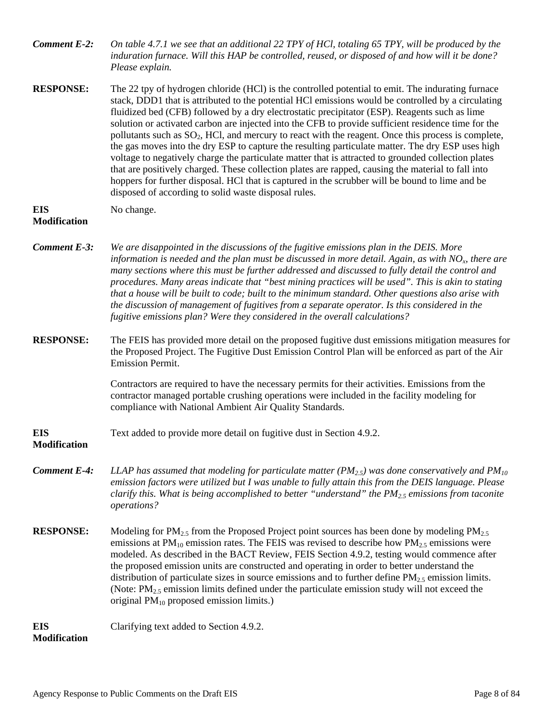| <b>Comment E-2:</b>               | On table 4.7.1 we see that an additional 22 TPY of HCl, totaling 65 TPY, will be produced by the<br>induration furnace. Will this HAP be controlled, reused, or disposed of and how will it be done?<br>Please explain.                                                                                                                                                                                                                                                                                                                                                                                                                                                                                                                                                                                                                                                                                                                                                                                         |  |
|-----------------------------------|-----------------------------------------------------------------------------------------------------------------------------------------------------------------------------------------------------------------------------------------------------------------------------------------------------------------------------------------------------------------------------------------------------------------------------------------------------------------------------------------------------------------------------------------------------------------------------------------------------------------------------------------------------------------------------------------------------------------------------------------------------------------------------------------------------------------------------------------------------------------------------------------------------------------------------------------------------------------------------------------------------------------|--|
| <b>RESPONSE:</b>                  | The 22 tpy of hydrogen chloride (HCl) is the controlled potential to emit. The indurating furnace<br>stack, DDD1 that is attributed to the potential HCl emissions would be controlled by a circulating<br>fluidized bed (CFB) followed by a dry electrostatic precipitator (ESP). Reagents such as lime<br>solution or activated carbon are injected into the CFB to provide sufficient residence time for the<br>pollutants such as SO <sub>2</sub> , HCl, and mercury to react with the reagent. Once this process is complete,<br>the gas moves into the dry ESP to capture the resulting particulate matter. The dry ESP uses high<br>voltage to negatively charge the particulate matter that is attracted to grounded collection plates<br>that are positively charged. These collection plates are rapped, causing the material to fall into<br>hoppers for further disposal. HCl that is captured in the scrubber will be bound to lime and be<br>disposed of according to solid waste disposal rules. |  |
| <b>EIS</b><br><b>Modification</b> | No change.                                                                                                                                                                                                                                                                                                                                                                                                                                                                                                                                                                                                                                                                                                                                                                                                                                                                                                                                                                                                      |  |
| <b>Comment E-3:</b>               | We are disappointed in the discussions of the fugitive emissions plan in the DEIS. More<br>information is needed and the plan must be discussed in more detail. Again, as with $NO_x$ , there are<br>many sections where this must be further addressed and discussed to fully detail the control and<br>procedures. Many areas indicate that "best mining practices will be used". This is akin to stating<br>that a house will be built to code; built to the minimum standard. Other questions also arise with<br>the discussion of management of fugitives from a separate operator. Is this considered in the<br>fugitive emissions plan? Were they considered in the overall calculations?                                                                                                                                                                                                                                                                                                                |  |
| <b>RESPONSE:</b>                  | The FEIS has provided more detail on the proposed fugitive dust emissions mitigation measures for<br>the Proposed Project. The Fugitive Dust Emission Control Plan will be enforced as part of the Air<br><b>Emission Permit.</b>                                                                                                                                                                                                                                                                                                                                                                                                                                                                                                                                                                                                                                                                                                                                                                               |  |
|                                   | Contractors are required to have the necessary permits for their activities. Emissions from the<br>contractor managed portable crushing operations were included in the facility modeling for<br>compliance with National Ambient Air Quality Standards.                                                                                                                                                                                                                                                                                                                                                                                                                                                                                                                                                                                                                                                                                                                                                        |  |
| <b>EIS</b><br>Modification        | Text added to provide more detail on fugitive dust in Section 4.9.2.                                                                                                                                                                                                                                                                                                                                                                                                                                                                                                                                                                                                                                                                                                                                                                                                                                                                                                                                            |  |
| <b>Comment E-4:</b>               | LLAP has assumed that modeling for particulate matter ( $PM_{2.5}$ ) was done conservatively and $PM_{10}$<br>emission factors were utilized but I was unable to fully attain this from the DEIS language. Please<br>clarify this. What is being accomplished to better "understand" the $PM_{2.5}$ emissions from taconite<br>operations?                                                                                                                                                                                                                                                                                                                                                                                                                                                                                                                                                                                                                                                                      |  |
| <b>RESPONSE:</b>                  | Modeling for $PM_{2.5}$ from the Proposed Project point sources has been done by modeling $PM_{2.5}$<br>emissions at PM <sub>10</sub> emission rates. The FEIS was revised to describe how PM <sub>2.5</sub> emissions were<br>modeled. As described in the BACT Review, FEIS Section 4.9.2, testing would commence after<br>the proposed emission units are constructed and operating in order to better understand the<br>distribution of particulate sizes in source emissions and to further define $PM_{2.5}$ emission limits.<br>(Note: $PM_{2.5}$ emission limits defined under the particulate emission study will not exceed the<br>original PM <sub>10</sub> proposed emission limits.)                                                                                                                                                                                                                                                                                                               |  |
| <b>EIS</b><br><b>Modification</b> | Clarifying text added to Section 4.9.2.                                                                                                                                                                                                                                                                                                                                                                                                                                                                                                                                                                                                                                                                                                                                                                                                                                                                                                                                                                         |  |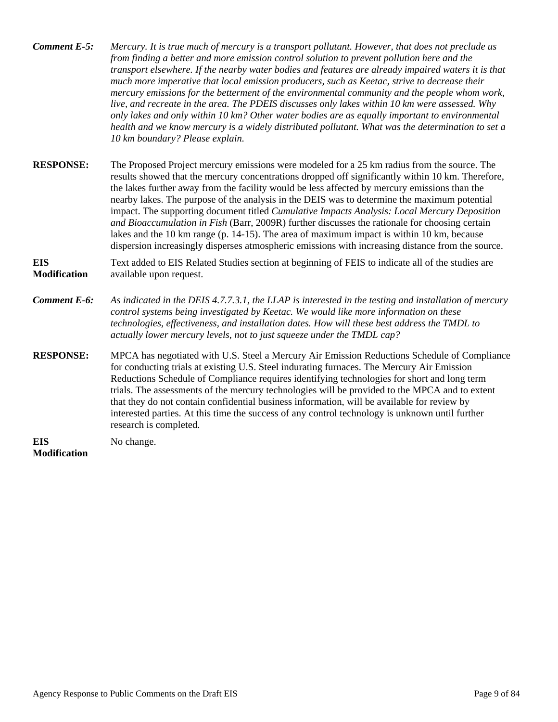| <b>Comment E-5:</b><br>Mercury. It is true much of mercury is a transport pollutant. However, that does not preclude us<br>from finding a better and more emission control solution to prevent pollution here and the<br>transport elsewhere. If the nearby water bodies and features are already impaired waters it is that<br>much more imperative that local emission producers, such as Keetac, strive to decrease their<br>mercury emissions for the betterment of the environmental community and the people whom work,<br>live, and recreate in the area. The PDEIS discusses only lakes within 10 km were assessed. Why<br>only lakes and only within 10 km? Other water bodies are as equally important to environmental<br>health and we know mercury is a widely distributed pollutant. What was the determination to set a<br>10 km boundary? Please explain. |                                                                                                                                                                                                                                                                                                                                                                                                                                                                                                                                                                                                                                                                                                                                                                                                       |  |
|---------------------------------------------------------------------------------------------------------------------------------------------------------------------------------------------------------------------------------------------------------------------------------------------------------------------------------------------------------------------------------------------------------------------------------------------------------------------------------------------------------------------------------------------------------------------------------------------------------------------------------------------------------------------------------------------------------------------------------------------------------------------------------------------------------------------------------------------------------------------------|-------------------------------------------------------------------------------------------------------------------------------------------------------------------------------------------------------------------------------------------------------------------------------------------------------------------------------------------------------------------------------------------------------------------------------------------------------------------------------------------------------------------------------------------------------------------------------------------------------------------------------------------------------------------------------------------------------------------------------------------------------------------------------------------------------|--|
| <b>RESPONSE:</b>                                                                                                                                                                                                                                                                                                                                                                                                                                                                                                                                                                                                                                                                                                                                                                                                                                                          | The Proposed Project mercury emissions were modeled for a 25 km radius from the source. The<br>results showed that the mercury concentrations dropped off significantly within 10 km. Therefore,<br>the lakes further away from the facility would be less affected by mercury emissions than the<br>nearby lakes. The purpose of the analysis in the DEIS was to determine the maximum potential<br>impact. The supporting document titled Cumulative Impacts Analysis: Local Mercury Deposition<br>and Bioaccumulation in Fish (Barr, 2009R) further discusses the rationale for choosing certain<br>lakes and the 10 km range (p. 14-15). The area of maximum impact is within 10 km, because<br>dispersion increasingly disperses atmospheric emissions with increasing distance from the source. |  |
| <b>EIS</b><br><b>Modification</b>                                                                                                                                                                                                                                                                                                                                                                                                                                                                                                                                                                                                                                                                                                                                                                                                                                         | Text added to EIS Related Studies section at beginning of FEIS to indicate all of the studies are<br>available upon request.                                                                                                                                                                                                                                                                                                                                                                                                                                                                                                                                                                                                                                                                          |  |
| <b>Comment E-6:</b>                                                                                                                                                                                                                                                                                                                                                                                                                                                                                                                                                                                                                                                                                                                                                                                                                                                       | As indicated in the DEIS 4.7.7.3.1, the LLAP is interested in the testing and installation of mercury<br>control systems being investigated by Keetac. We would like more information on these<br>technologies, effectiveness, and installation dates. How will these best address the TMDL to<br>actually lower mercury levels, not to just squeeze under the TMDL cap?                                                                                                                                                                                                                                                                                                                                                                                                                              |  |
| <b>RESPONSE:</b>                                                                                                                                                                                                                                                                                                                                                                                                                                                                                                                                                                                                                                                                                                                                                                                                                                                          | MPCA has negotiated with U.S. Steel a Mercury Air Emission Reductions Schedule of Compliance<br>for conducting trials at existing U.S. Steel indurating furnaces. The Mercury Air Emission<br>Reductions Schedule of Compliance requires identifying technologies for short and long term<br>trials. The assessments of the mercury technologies will be provided to the MPCA and to extent<br>that they do not contain confidential business information, will be available for review by<br>interested parties. At this time the success of any control technology is unknown until further<br>research is completed.                                                                                                                                                                               |  |
| <b>EIS</b>                                                                                                                                                                                                                                                                                                                                                                                                                                                                                                                                                                                                                                                                                                                                                                                                                                                                | No change.                                                                                                                                                                                                                                                                                                                                                                                                                                                                                                                                                                                                                                                                                                                                                                                            |  |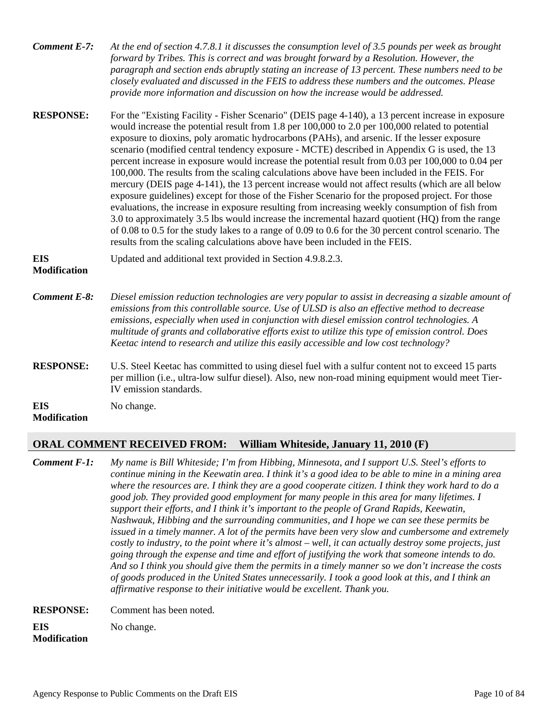| Comment E-7: | At the end of section 4.7.8.1 it discusses the consumption level of 3.5 pounds per week as brought |
|--------------|----------------------------------------------------------------------------------------------------|
|              | forward by Tribes. This is correct and was brought forward by a Resolution. However, the           |
|              | paragraph and section ends abruptly stating an increase of 13 percent. These numbers need to be    |
|              | closely evaluated and discussed in the FEIS to address these numbers and the outcomes. Please      |
|              | provide more information and discussion on how the increase would be addressed.                    |

**RESPONSE:** For the "Existing Facility - Fisher Scenario" (DEIS page 4-140), a 13 percent increase in exposure would increase the potential result from 1.8 per 100,000 to 2.0 per 100,000 related to potential exposure to dioxins, poly aromatic hydrocarbons (PAHs), and arsenic. If the lesser exposure scenario (modified central tendency exposure - MCTE) described in Appendix G is used, the 13 percent increase in exposure would increase the potential result from 0.03 per 100,000 to 0.04 per 100,000. The results from the scaling calculations above have been included in the FEIS. For mercury (DEIS page 4-141), the 13 percent increase would not affect results (which are all below exposure guidelines) except for those of the Fisher Scenario for the proposed project. For those evaluations, the increase in exposure resulting from increasing weekly consumption of fish from 3.0 to approximately 3.5 lbs would increase the incremental hazard quotient (HQ) from the range of 0.08 to 0.5 for the study lakes to a range of 0.09 to 0.6 for the 30 percent control scenario. The results from the scaling calculations above have been included in the FEIS.

**EIS**  Updated and additional text provided in Section 4.9.8.2.3.

**Modification** 

| Comment E-8: | Diesel emission reduction technologies are very popular to assist in decreasing a sizable amount of |
|--------------|-----------------------------------------------------------------------------------------------------|
|              | emissions from this controllable source. Use of ULSD is also an effective method to decrease        |
|              | emissions, especially when used in conjunction with diesel emission control technologies. A         |
|              | multitude of grants and collaborative efforts exist to utilize this type of emission control. Does  |
|              | Keetac intend to research and utilize this easily accessible and low cost technology?               |
|              |                                                                                                     |

### **RESPONSE:** U.S. Steel Keetac has committed to using diesel fuel with a sulfur content not to exceed 15 parts per million (i.e., ultra-low sulfur diesel). Also, new non-road mining equipment would meet Tier-IV emission standards.

**EIS**  No change.

### **Modification**

### **ORAL COMMENT RECEIVED FROM: William Whiteside, January 11, 2010 (F)**

*Comment F-1: My name is Bill Whiteside; I'm from Hibbing, Minnesota, and I support U.S. Steel's efforts to continue mining in the Keewatin area. I think it's a good idea to be able to mine in a mining area where the resources are. I think they are a good cooperate citizen. I think they work hard to do a good job. They provided good employment for many people in this area for many lifetimes. I support their efforts, and I think it's important to the people of Grand Rapids, Keewatin, Nashwauk, Hibbing and the surrounding communities, and I hope we can see these permits be issued in a timely manner. A lot of the permits have been very slow and cumbersome and extremely costly to industry, to the point where it's almost – well, it can actually destroy some projects, just going through the expense and time and effort of justifying the work that someone intends to do. And so I think you should give them the permits in a timely manner so we don't increase the costs of goods produced in the United States unnecessarily. I took a good look at this, and I think an affirmative response to their initiative would be excellent. Thank you.* 

**RESPONSE:** Comment has been noted.

**EIS**  No change.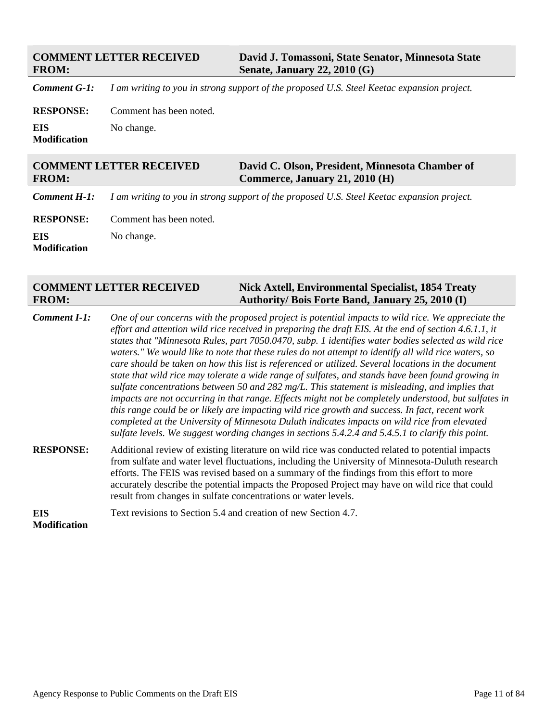### **COMMENT LETTER RECEIVED FROM:**

**David J. Tomassoni, State Senator, Minnesota State Senate, January 22, 2010 (G)** 

*Comment G-1: I am writing to you in strong support of the proposed U.S. Steel Keetac expansion project.*

**RESPONSE:** Comment has been noted.

**EIS Modification**  No change.

### **COMMENT LETTER RECEIVED FROM: David C. Olson, President, Minnesota Chamber of Commerce, January 21, 2010 (H)**

*Comment H-1: I am writing to you in strong support of the proposed U.S. Steel Keetac expansion project.*

**RESPONSE:** Comment has been noted.

**EIS**  No change.

**Modification** 

| <b>COMMENT LETTER RECEIVED</b> | Nick Axtell, Environmental Specialist, 1854 Treaty |
|--------------------------------|----------------------------------------------------|
| <b>FROM:</b>                   | Authority/ Bois Forte Band, January 25, 2010 (I)   |

*Comment I-1: One of our concerns with the proposed project is potential impacts to wild rice. We appreciate the effort and attention wild rice received in preparing the draft EIS. At the end of section 4.6.1.1, it states that "Minnesota Rules, part 7050.0470, subp. 1 identifies water bodies selected as wild rice waters." We would like to note that these rules do not attempt to identify all wild rice waters, so care should be taken on how this list is referenced or utilized. Several locations in the document state that wild rice may tolerate a wide range of sulfates, and stands have been found growing in sulfate concentrations between 50 and 282 mg/L. This statement is misleading, and implies that impacts are not occurring in that range. Effects might not be completely understood, but sulfates in this range could be or likely are impacting wild rice growth and success. In fact, recent work completed at the University of Minnesota Duluth indicates impacts on wild rice from elevated sulfate levels. We suggest wording changes in sections 5.4.2.4 and 5.4.5.1 to clarify this point.* 

**RESPONSE:** Additional review of existing literature on wild rice was conducted related to potential impacts from sulfate and water level fluctuations, including the University of Minnesota-Duluth research efforts. The FEIS was revised based on a summary of the findings from this effort to more accurately describe the potential impacts the Proposed Project may have on wild rice that could result from changes in sulfate concentrations or water levels.

#### **EIS**  Text revisions to Section 5.4 and creation of new Section 4.7.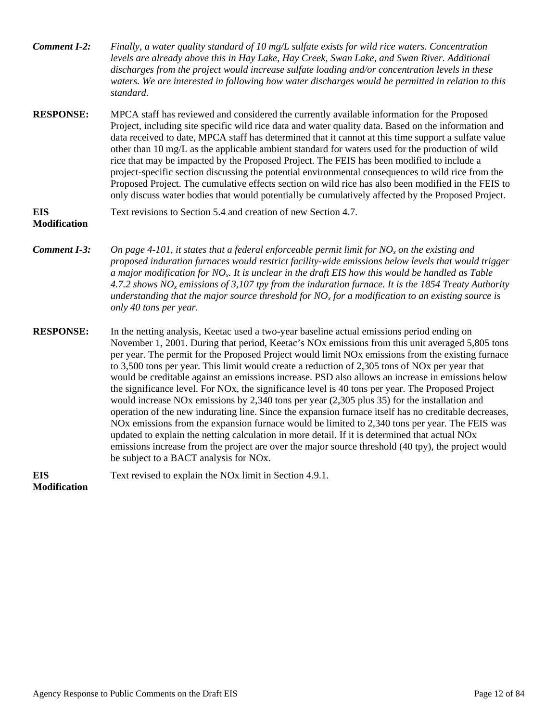| <b>Comment I-2:</b>               | Finally, a water quality standard of 10 mg/L sulfate exists for wild rice waters. Concentration<br>levels are already above this in Hay Lake, Hay Creek, Swan Lake, and Swan River. Additional<br>discharges from the project would increase sulfate loading and/or concentration levels in these<br>waters. We are interested in following how water discharges would be permitted in relation to this<br>standard.                                                                                                                                                                                                                                                                                                                                                                                                                                                                                                                                                                                                                                                                                                                                                                                              |
|-----------------------------------|-------------------------------------------------------------------------------------------------------------------------------------------------------------------------------------------------------------------------------------------------------------------------------------------------------------------------------------------------------------------------------------------------------------------------------------------------------------------------------------------------------------------------------------------------------------------------------------------------------------------------------------------------------------------------------------------------------------------------------------------------------------------------------------------------------------------------------------------------------------------------------------------------------------------------------------------------------------------------------------------------------------------------------------------------------------------------------------------------------------------------------------------------------------------------------------------------------------------|
| <b>RESPONSE:</b>                  | MPCA staff has reviewed and considered the currently available information for the Proposed<br>Project, including site specific wild rice data and water quality data. Based on the information and<br>data received to date, MPCA staff has determined that it cannot at this time support a sulfate value<br>other than 10 mg/L as the applicable ambient standard for waters used for the production of wild<br>rice that may be impacted by the Proposed Project. The FEIS has been modified to include a<br>project-specific section discussing the potential environmental consequences to wild rice from the<br>Proposed Project. The cumulative effects section on wild rice has also been modified in the FEIS to<br>only discuss water bodies that would potentially be cumulatively affected by the Proposed Project.                                                                                                                                                                                                                                                                                                                                                                                  |
| <b>EIS</b><br><b>Modification</b> | Text revisions to Section 5.4 and creation of new Section 4.7.                                                                                                                                                                                                                                                                                                                                                                                                                                                                                                                                                                                                                                                                                                                                                                                                                                                                                                                                                                                                                                                                                                                                                    |
| <b>Comment I-3:</b>               | On page 4-101, it states that a federal enforceable permit limit for $NO_x$ on the existing and<br>proposed induration furnaces would restrict facility-wide emissions below levels that would trigger<br>a major modification for $NO_x$ . It is unclear in the draft EIS how this would be handled as Table<br>4.7.2 shows $NOx$ emissions of 3,107 tpy from the induration furnace. It is the 1854 Treaty Authority<br>understanding that the major source threshold for $NOx$ for a modification to an existing source is<br>only 40 tons per year.                                                                                                                                                                                                                                                                                                                                                                                                                                                                                                                                                                                                                                                           |
| <b>RESPONSE:</b>                  | In the netting analysis, Keetac used a two-year baseline actual emissions period ending on<br>November 1, 2001. During that period, Keetac's NO <sub>x</sub> emissions from this unit averaged 5,805 tons<br>per year. The permit for the Proposed Project would limit NOx emissions from the existing furnace<br>to 3,500 tons per year. This limit would create a reduction of 2,305 tons of NO <sub>x</sub> per year that<br>would be creditable against an emissions increase. PSD also allows an increase in emissions below<br>the significance level. For NOx, the significance level is 40 tons per year. The Proposed Project<br>would increase NOx emissions by 2,340 tons per year (2,305 plus 35) for the installation and<br>operation of the new indurating line. Since the expansion furnace itself has no creditable decreases,<br>NOx emissions from the expansion furnace would be limited to 2,340 tons per year. The FEIS was<br>updated to explain the netting calculation in more detail. If it is determined that actual NOx<br>emissions increase from the project are over the major source threshold (40 tpy), the project would<br>be subject to a BACT analysis for NO <sub>x</sub> . |
| <b>EIS</b><br><b>Modification</b> | Text revised to explain the NO <sub>x</sub> limit in Section 4.9.1.                                                                                                                                                                                                                                                                                                                                                                                                                                                                                                                                                                                                                                                                                                                                                                                                                                                                                                                                                                                                                                                                                                                                               |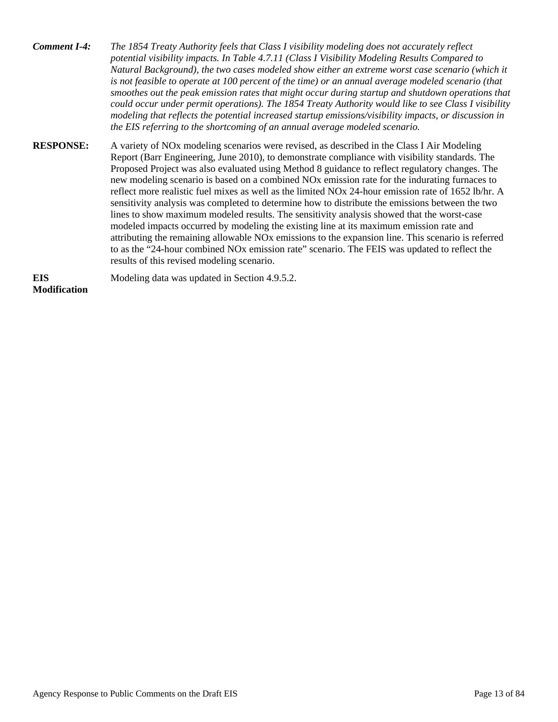*Comment I-4: The 1854 Treaty Authority feels that Class I visibility modeling does not accurately reflect potential visibility impacts. In Table 4.7.11 (Class I Visibility Modeling Results Compared to Natural Background), the two cases modeled show either an extreme worst case scenario (which it is not feasible to operate at 100 percent of the time) or an annual average modeled scenario (that smoothes out the peak emission rates that might occur during startup and shutdown operations that could occur under permit operations). The 1854 Treaty Authority would like to see Class I visibility modeling that reflects the potential increased startup emissions/visibility impacts, or discussion in the EIS referring to the shortcoming of an annual average modeled scenario.* 

**RESPONSE:** A variety of NOx modeling scenarios were revised, as described in the Class I Air Modeling Report (Barr Engineering, June 2010), to demonstrate compliance with visibility standards. The Proposed Project was also evaluated using Method 8 guidance to reflect regulatory changes. The new modeling scenario is based on a combined NOx emission rate for the indurating furnaces to reflect more realistic fuel mixes as well as the limited NOx 24-hour emission rate of 1652 lb/hr. A sensitivity analysis was completed to determine how to distribute the emissions between the two lines to show maximum modeled results. The sensitivity analysis showed that the worst-case modeled impacts occurred by modeling the existing line at its maximum emission rate and attributing the remaining allowable NOx emissions to the expansion line. This scenario is referred to as the "24-hour combined NOx emission rate" scenario. The FEIS was updated to reflect the results of this revised modeling scenario.

#### **EIS Modification**  Modeling data was updated in Section 4.9.5.2.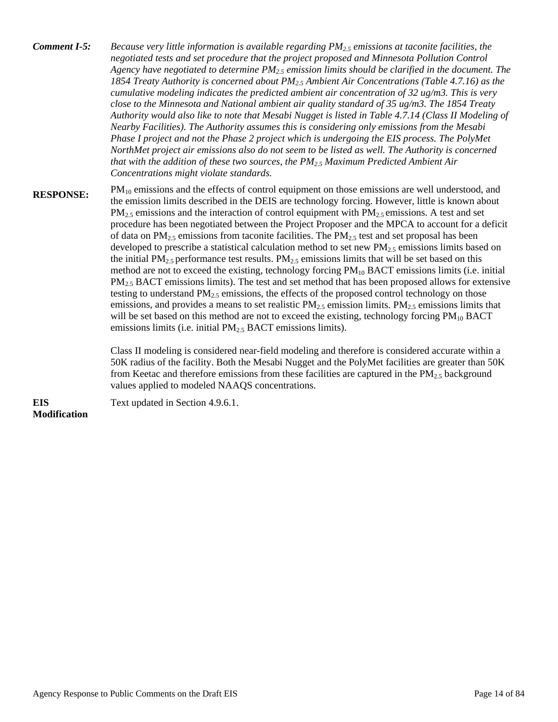| <b>Comment I-5:</b>               | Because very little information is available regarding $PM_{2,5}$ emissions at taconite facilities, the<br>negotiated tests and set procedure that the project proposed and Minnesota Pollution Control<br>Agency have negotiated to determine $PM_{2,5}$ emission limits should be clarified in the document. The<br>1854 Treaty Authority is concerned about $PM_{2.5}$ Ambient Air Concentrations (Table 4.7.16) as the<br>cumulative modeling indicates the predicted ambient air concentration of 32 $\mu$ g/m3. This is very<br>close to the Minnesota and National ambient air quality standard of 35 $\mu$ g/m3. The 1854 Treaty<br>Authority would also like to note that Mesabi Nugget is listed in Table 4.7.14 (Class II Modeling of<br>Nearby Facilities). The Authority assumes this is considering only emissions from the Mesabi<br>Phase I project and not the Phase 2 project which is undergoing the EIS process. The PolyMet<br>NorthMet project air emissions also do not seem to be listed as well. The Authority is concerned<br>that with the addition of these two sources, the $PM_{2.5}$ Maximum Predicted Ambient Air<br>Concentrations might violate standards.                                                                                                                                                                                                    |
|-----------------------------------|-------------------------------------------------------------------------------------------------------------------------------------------------------------------------------------------------------------------------------------------------------------------------------------------------------------------------------------------------------------------------------------------------------------------------------------------------------------------------------------------------------------------------------------------------------------------------------------------------------------------------------------------------------------------------------------------------------------------------------------------------------------------------------------------------------------------------------------------------------------------------------------------------------------------------------------------------------------------------------------------------------------------------------------------------------------------------------------------------------------------------------------------------------------------------------------------------------------------------------------------------------------------------------------------------------------------------------------------------------------------------------------------------|
| <b>RESPONSE:</b>                  | $PM_{10}$ emissions and the effects of control equipment on those emissions are well understood, and<br>the emission limits described in the DEIS are technology forcing. However, little is known about<br>$PM_{2.5}$ emissions and the interaction of control equipment with $PM_{2.5}$ emissions. A test and set<br>procedure has been negotiated between the Project Proposer and the MPCA to account for a deficit<br>of data on $PM_{2,5}$ emissions from taconite facilities. The $PM_{2,5}$ test and set proposal has been<br>developed to prescribe a statistical calculation method to set new $PM_{2.5}$ emissions limits based on<br>the initial PM <sub>2.5</sub> performance test results. PM <sub>2.5</sub> emissions limits that will be set based on this<br>method are not to exceed the existing, technology forcing $PM_{10}$ BACT emissions limits (i.e. initial<br>$PM_{2.5}$ BACT emissions limits). The test and set method that has been proposed allows for extensive<br>testing to understand $PM_{2.5}$ emissions, the effects of the proposed control technology on those<br>emissions, and provides a means to set realistic $PM_{2.5}$ emission limits. $PM_{2.5}$ emissions limits that<br>will be set based on this method are not to exceed the existing, technology forcing $PM_{10}$ BACT<br>emissions limits (i.e. initial $PM2.5 BACT$ emissions limits). |
|                                   | Class II modeling is considered near-field modeling and therefore is considered accurate within a<br>50K radius of the facility. Both the Mesabi Nugget and the PolyMet facilities are greater than 50K<br>from Keetac and therefore emissions from these facilities are captured in the $PM_{2.5}$ background<br>values applied to modeled NAAQS concentrations.                                                                                                                                                                                                                                                                                                                                                                                                                                                                                                                                                                                                                                                                                                                                                                                                                                                                                                                                                                                                                               |
| <b>EIS</b><br><b>Modification</b> | Text updated in Section 4.9.6.1.                                                                                                                                                                                                                                                                                                                                                                                                                                                                                                                                                                                                                                                                                                                                                                                                                                                                                                                                                                                                                                                                                                                                                                                                                                                                                                                                                                |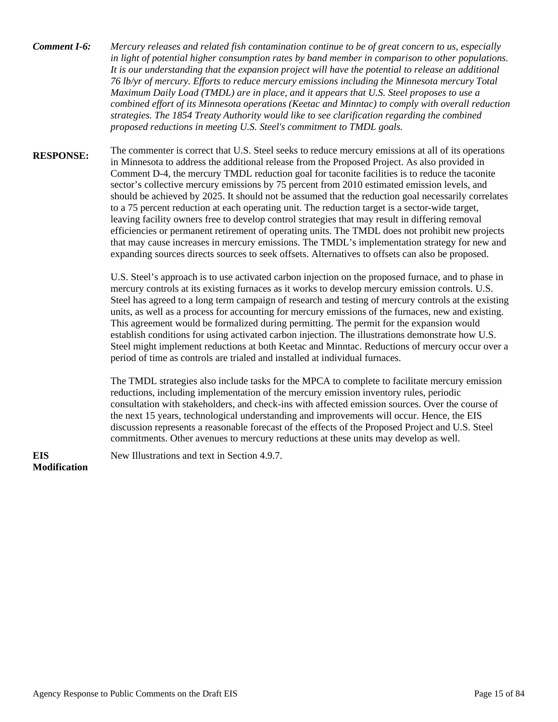*Comment I-6: Mercury releases and related fish contamination continue to be of great concern to us, especially in light of potential higher consumption rates by band member in comparison to other populations. It is our understanding that the expansion project will have the potential to release an additional 76 lb/yr of mercury. Efforts to reduce mercury emissions including the Minnesota mercury Total Maximum Daily Load (TMDL) are in place, and it appears that U.S. Steel proposes to use a combined effort of its Minnesota operations (Keetac and Minntac) to comply with overall reduction strategies. The 1854 Treaty Authority would like to see clarification regarding the combined proposed reductions in meeting U.S. Steel's commitment to TMDL goals.* 

**RESPONSE:** The commenter is correct that U.S. Steel seeks to reduce mercury emissions at all of its operations in Minnesota to address the additional release from the Proposed Project. As also provided in Comment D-4, the mercury TMDL reduction goal for taconite facilities is to reduce the taconite sector's collective mercury emissions by 75 percent from 2010 estimated emission levels, and should be achieved by 2025. It should not be assumed that the reduction goal necessarily correlates to a 75 percent reduction at each operating unit. The reduction target is a sector-wide target, leaving facility owners free to develop control strategies that may result in differing removal efficiencies or permanent retirement of operating units. The TMDL does not prohibit new projects that may cause increases in mercury emissions. The TMDL's implementation strategy for new and expanding sources directs sources to seek offsets. Alternatives to offsets can also be proposed.

> U.S. Steel's approach is to use activated carbon injection on the proposed furnace, and to phase in mercury controls at its existing furnaces as it works to develop mercury emission controls. U.S. Steel has agreed to a long term campaign of research and testing of mercury controls at the existing units, as well as a process for accounting for mercury emissions of the furnaces, new and existing. This agreement would be formalized during permitting. The permit for the expansion would establish conditions for using activated carbon injection. The illustrations demonstrate how U.S. Steel might implement reductions at both Keetac and Minntac. Reductions of mercury occur over a period of time as controls are trialed and installed at individual furnaces.

The TMDL strategies also include tasks for the MPCA to complete to facilitate mercury emission reductions, including implementation of the mercury emission inventory rules, periodic consultation with stakeholders, and check-ins with affected emission sources. Over the course of the next 15 years, technological understanding and improvements will occur. Hence, the EIS discussion represents a reasonable forecast of the effects of the Proposed Project and U.S. Steel commitments. Other avenues to mercury reductions at these units may develop as well.

**EIS Modification**  New Illustrations and text in Section 4.9.7.

Agency Response to Public Comments on the Draft EIS Page 15 of 84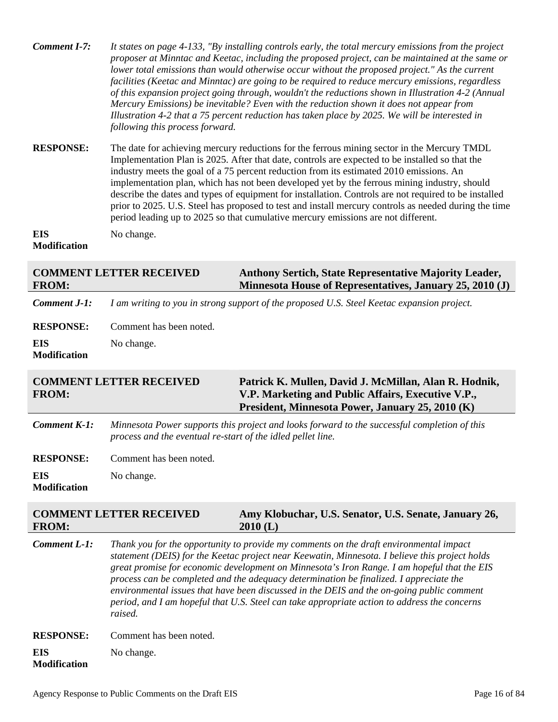*Comment I-7: It states on page 4-133, "By installing controls early, the total mercury emissions from the project proposer at Minntac and Keetac, including the proposed project, can be maintained at the same or lower total emissions than would otherwise occur without the proposed project." As the current facilities (Keetac and Minntac) are going to be required to reduce mercury emissions, regardless of this expansion project going through, wouldn't the reductions shown in Illustration 4-2 (Annual Mercury Emissions) be inevitable? Even with the reduction shown it does not appear from Illustration 4-2 that a 75 percent reduction has taken place by 2025. We will be interested in following this process forward.* 

**RESPONSE:** The date for achieving mercury reductions for the ferrous mining sector in the Mercury TMDL Implementation Plan is 2025. After that date, controls are expected to be installed so that the industry meets the goal of a 75 percent reduction from its estimated 2010 emissions. An implementation plan, which has not been developed yet by the ferrous mining industry, should describe the dates and types of equipment for installation. Controls are not required to be installed prior to 2025. U.S. Steel has proposed to test and install mercury controls as needed during the time period leading up to 2025 so that cumulative mercury emissions are not different.

| EIS                 | No change. |
|---------------------|------------|
| <b>Modification</b> |            |

#### **COMMENT LETTER RECEIVED FROM: Anthony Sertich, State Representative Majority Leader, Minnesota House of Representatives, January 25, 2010 (J)**

*Comment J-1: I am writing to you in strong support of the proposed U.S. Steel Keetac expansion project.* 

**RESPONSE:** Comment has been noted.

**EIS**  No change.

**Modification** 

# **COMMENT LETTER RECEIVED FROM:**

**Patrick K. Mullen, David J. McMillan, Alan R. Hodnik, V.P. Marketing and Public Affairs, Executive V.P., President, Minnesota Power, January 25, 2010 (K)** 

*Comment K-1: Minnesota Power supports this project and looks forward to the successful completion of this process and the eventual re-start of the idled pellet line.* 

**RESPONSE:** Comment has been noted.

**EIS**  No change.

**Modification** 

#### **COMMENT LETTER RECEIVED FROM: Amy Klobuchar, U.S. Senator, U.S. Senate, January 26, 2010 (L)**

*Comment L-1: Thank you for the opportunity to provide my comments on the draft environmental impact statement (DEIS) for the Keetac project near Keewatin, Minnesota. I believe this project holds great promise for economic development on Minnesota's Iron Range. I am hopeful that the EIS process can be completed and the adequacy determination be finalized. I appreciate the environmental issues that have been discussed in the DEIS and the on-going public comment period, and I am hopeful that U.S. Steel can take appropriate action to address the concerns raised.*

**RESPONSE:** Comment has been noted.

**EIS**  No change.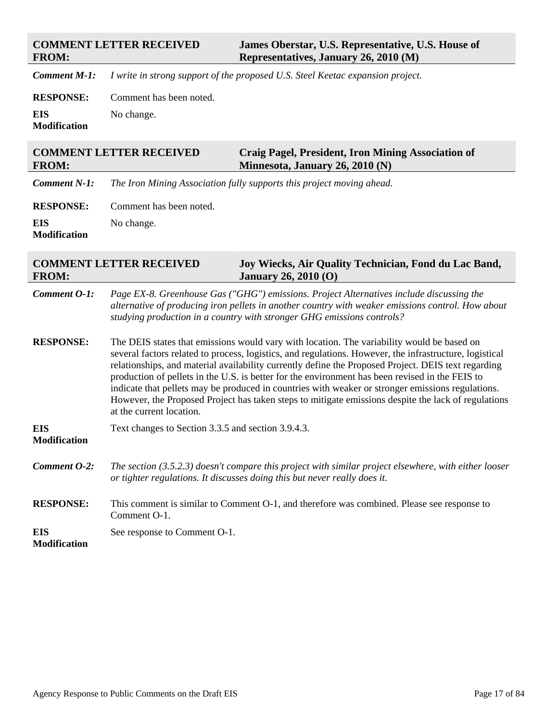### **COMMENT LETTER RECEIVED FROM:**

**James Oberstar, U.S. Representative, U.S. House of Representatives, January 26, 2010 (M)** 

*Comment M-1: I write in strong support of the proposed U.S. Steel Keetac expansion project.* 

**RESPONSE:** Comment has been noted.

**EIS**  No change.

**Modification** 

#### **COMMENT LETTER RECEIVED FROM: Craig Pagel, President, Iron Mining Association of Minnesota, January 26, 2010 (N)**

*Comment N-1: The Iron Mining Association fully supports this project moving ahead.* 

**RESPONSE:** Comment has been noted.

**EIS**  No change.

**Modification** 

#### **COMMENT LETTER RECEIVED FROM: Joy Wiecks, Air Quality Technician, Fond du Lac Band, January 26, 2010 (O)**

- *Comment O-1: Page EX-8. Greenhouse Gas ("GHG") emissions. Project Alternatives include discussing the alternative of producing iron pellets in another country with weaker emissions control. How about studying production in a country with stronger GHG emissions controls?*
- **RESPONSE:** The DEIS states that emissions would vary with location. The variability would be based on several factors related to process, logistics, and regulations. However, the infrastructure, logistical relationships, and material availability currently define the Proposed Project. DEIS text regarding production of pellets in the U.S. is better for the environment has been revised in the FEIS to indicate that pellets may be produced in countries with weaker or stronger emissions regulations. However, the Proposed Project has taken steps to mitigate emissions despite the lack of regulations at the current location.
- **EIS**  Text changes to Section 3.3.5 and section 3.9.4.3.
- *Comment O-2: The section (3.5.2.3) doesn't compare this project with similar project elsewhere, with either looser or tighter regulations. It discusses doing this but never really does it.*
- **RESPONSE:** This comment is similar to Comment O-1, and therefore was combined. Please see response to Comment O-1.

**EIS**  See response to Comment O-1.

**Modification**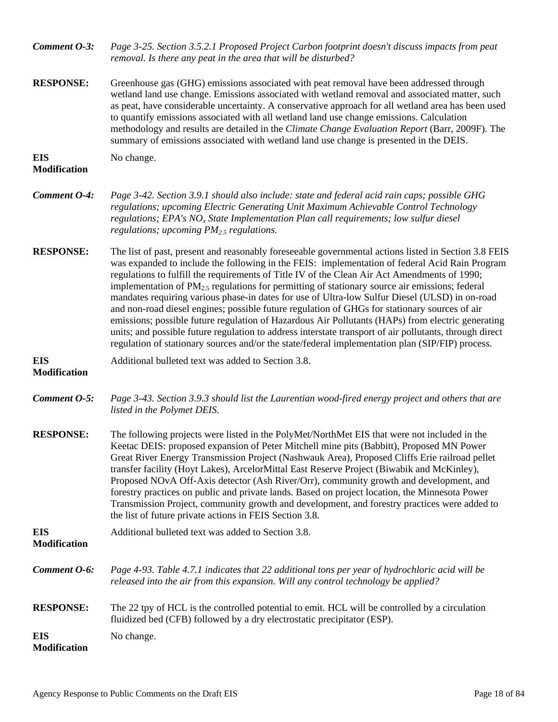| Comment O-3:                      | Page 3-25. Section 3.5.2.1 Proposed Project Carbon footprint doesn't discuss impacts from peat<br>removal. Is there any peat in the area that will be disturbed?                                                                                                                                                                                                                                                                                                                                                                                                                                                                                                                                                                                                                                                                                                                                                                     |  |
|-----------------------------------|--------------------------------------------------------------------------------------------------------------------------------------------------------------------------------------------------------------------------------------------------------------------------------------------------------------------------------------------------------------------------------------------------------------------------------------------------------------------------------------------------------------------------------------------------------------------------------------------------------------------------------------------------------------------------------------------------------------------------------------------------------------------------------------------------------------------------------------------------------------------------------------------------------------------------------------|--|
| <b>RESPONSE:</b>                  | Greenhouse gas (GHG) emissions associated with peat removal have been addressed through<br>wetland land use change. Emissions associated with wetland removal and associated matter, such<br>as peat, have considerable uncertainty. A conservative approach for all wetland area has been used<br>to quantify emissions associated with all wetland land use change emissions. Calculation<br>methodology and results are detailed in the Climate Change Evaluation Report (Barr, 2009F). The<br>summary of emissions associated with wetland land use change is presented in the DEIS.                                                                                                                                                                                                                                                                                                                                             |  |
| <b>EIS</b><br><b>Modification</b> | No change.                                                                                                                                                                                                                                                                                                                                                                                                                                                                                                                                                                                                                                                                                                                                                                                                                                                                                                                           |  |
| <b>Comment O-4:</b>               | Page 3-42. Section 3.9.1 should also include: state and federal acid rain caps; possible GHG<br>regulations; upcoming Electric Generating Unit Maximum Achievable Control Technology<br>regulations; EPA's $NOx$ State Implementation Plan call requirements; low sulfur diesel<br>regulations; upcoming $PM_{2.5}$ regulations.                                                                                                                                                                                                                                                                                                                                                                                                                                                                                                                                                                                                     |  |
| <b>RESPONSE:</b>                  | The list of past, present and reasonably foreseeable governmental actions listed in Section 3.8 FEIS<br>was expanded to include the following in the FEIS: implementation of federal Acid Rain Program<br>regulations to fulfill the requirements of Title IV of the Clean Air Act Amendments of 1990;<br>implementation of $PM_{2.5}$ regulations for permitting of stationary source air emissions; federal<br>mandates requiring various phase-in dates for use of Ultra-low Sulfur Diesel (ULSD) in on-road<br>and non-road diesel engines; possible future regulation of GHGs for stationary sources of air<br>emissions; possible future regulation of Hazardous Air Pollutants (HAPs) from electric generating<br>units; and possible future regulation to address interstate transport of air pollutants, through direct<br>regulation of stationary sources and/or the state/federal implementation plan (SIP/FIP) process. |  |
| <b>EIS</b><br><b>Modification</b> | Additional bulleted text was added to Section 3.8.                                                                                                                                                                                                                                                                                                                                                                                                                                                                                                                                                                                                                                                                                                                                                                                                                                                                                   |  |
| Comment O-5:                      | Page 3-43. Section 3.9.3 should list the Laurentian wood-fired energy project and others that are<br>listed in the Polymet DEIS.                                                                                                                                                                                                                                                                                                                                                                                                                                                                                                                                                                                                                                                                                                                                                                                                     |  |
| <b>RESPONSE:</b>                  | The following projects were listed in the PolyMet/NorthMet EIS that were not included in the<br>Keetac DEIS: proposed expansion of Peter Mitchell mine pits (Babbitt), Proposed MN Power<br>Great River Energy Transmission Project (Nashwauk Area), Proposed Cliffs Erie railroad pellet<br>transfer facility (Hoyt Lakes), ArcelorMittal East Reserve Project (Biwabik and McKinley),<br>Proposed NOvA Off-Axis detector (Ash River/Orr), community growth and development, and<br>forestry practices on public and private lands. Based on project location, the Minnesota Power<br>Transmission Project, community growth and development, and forestry practices were added to<br>the list of future private actions in FEIS Section 3.8.                                                                                                                                                                                       |  |
| <b>EIS</b><br><b>Modification</b> | Additional bulleted text was added to Section 3.8.                                                                                                                                                                                                                                                                                                                                                                                                                                                                                                                                                                                                                                                                                                                                                                                                                                                                                   |  |
| <b>Comment O-6:</b>               | Page 4-93. Table 4.7.1 indicates that 22 additional tons per year of hydrochloric acid will be<br>released into the air from this expansion. Will any control technology be applied?                                                                                                                                                                                                                                                                                                                                                                                                                                                                                                                                                                                                                                                                                                                                                 |  |
| <b>RESPONSE:</b>                  | The 22 tpy of HCL is the controlled potential to emit. HCL will be controlled by a circulation<br>fluidized bed (CFB) followed by a dry electrostatic precipitator (ESP).                                                                                                                                                                                                                                                                                                                                                                                                                                                                                                                                                                                                                                                                                                                                                            |  |
| <b>EIS</b><br>Modification        | No change.                                                                                                                                                                                                                                                                                                                                                                                                                                                                                                                                                                                                                                                                                                                                                                                                                                                                                                                           |  |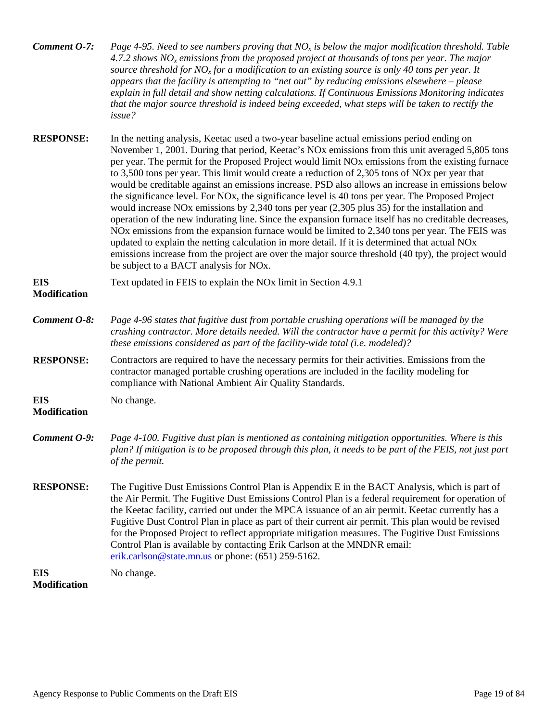| Comment O-7:                      | Page 4-95. Need to see numbers proving that $NOx$ is below the major modification threshold. Table<br>4.7.2 shows $NOx$ emissions from the proposed project at thousands of tons per year. The major<br>source threshold for $NO_x$ for a modification to an existing source is only 40 tons per year. It<br>appears that the facility is attempting to "net out" by reducing emissions elsewhere – please<br>explain in full detail and show netting calculations. If Continuous Emissions Monitoring indicates<br>that the major source threshold is indeed being exceeded, what steps will be taken to rectify the<br>issue?                                                                                                                                                                                                                                                                                                                                                                                                                                                                                                                                                          |
|-----------------------------------|------------------------------------------------------------------------------------------------------------------------------------------------------------------------------------------------------------------------------------------------------------------------------------------------------------------------------------------------------------------------------------------------------------------------------------------------------------------------------------------------------------------------------------------------------------------------------------------------------------------------------------------------------------------------------------------------------------------------------------------------------------------------------------------------------------------------------------------------------------------------------------------------------------------------------------------------------------------------------------------------------------------------------------------------------------------------------------------------------------------------------------------------------------------------------------------|
| <b>RESPONSE:</b>                  | In the netting analysis, Keetac used a two-year baseline actual emissions period ending on<br>November 1, 2001. During that period, Keetac's NO <sub>x</sub> emissions from this unit averaged 5,805 tons<br>per year. The permit for the Proposed Project would limit NOx emissions from the existing furnace<br>to 3,500 tons per year. This limit would create a reduction of 2,305 tons of NOx per year that<br>would be creditable against an emissions increase. PSD also allows an increase in emissions below<br>the significance level. For NOx, the significance level is 40 tons per year. The Proposed Project<br>would increase NOx emissions by 2,340 tons per year (2,305 plus 35) for the installation and<br>operation of the new indurating line. Since the expansion furnace itself has no creditable decreases,<br>NOx emissions from the expansion furnace would be limited to 2,340 tons per year. The FEIS was<br>updated to explain the netting calculation in more detail. If it is determined that actual NOx<br>emissions increase from the project are over the major source threshold (40 tpy), the project would<br>be subject to a BACT analysis for NOx. |
| EIS<br><b>Modification</b>        | Text updated in FEIS to explain the NO <sub>x</sub> limit in Section 4.9.1                                                                                                                                                                                                                                                                                                                                                                                                                                                                                                                                                                                                                                                                                                                                                                                                                                                                                                                                                                                                                                                                                                               |
| <b>Comment O-8:</b>               | Page 4-96 states that fugitive dust from portable crushing operations will be managed by the<br>crushing contractor. More details needed. Will the contractor have a permit for this activity? Were<br>these emissions considered as part of the facility-wide total (i.e. modeled)?                                                                                                                                                                                                                                                                                                                                                                                                                                                                                                                                                                                                                                                                                                                                                                                                                                                                                                     |
| <b>RESPONSE:</b>                  | Contractors are required to have the necessary permits for their activities. Emissions from the<br>contractor managed portable crushing operations are included in the facility modeling for<br>compliance with National Ambient Air Quality Standards.                                                                                                                                                                                                                                                                                                                                                                                                                                                                                                                                                                                                                                                                                                                                                                                                                                                                                                                                  |
| <b>EIS</b><br><b>Modification</b> | No change.                                                                                                                                                                                                                                                                                                                                                                                                                                                                                                                                                                                                                                                                                                                                                                                                                                                                                                                                                                                                                                                                                                                                                                               |
| <b>Comment O-9:</b>               | Page 4-100. Fugitive dust plan is mentioned as containing mitigation opportunities. Where is this<br>plan? If mitigation is to be proposed through this plan, it needs to be part of the FEIS, not just part<br>of the permit.                                                                                                                                                                                                                                                                                                                                                                                                                                                                                                                                                                                                                                                                                                                                                                                                                                                                                                                                                           |
| <b>RESPONSE:</b>                  | The Fugitive Dust Emissions Control Plan is Appendix E in the BACT Analysis, which is part of<br>the Air Permit. The Fugitive Dust Emissions Control Plan is a federal requirement for operation of<br>the Keetac facility, carried out under the MPCA issuance of an air permit. Keetac currently has a<br>Fugitive Dust Control Plan in place as part of their current air permit. This plan would be revised<br>for the Proposed Project to reflect appropriate mitigation measures. The Fugitive Dust Emissions<br>Control Plan is available by contacting Erik Carlson at the MNDNR email:<br>erik.carlson@state.mn.us or phone: (651) 259-5162.                                                                                                                                                                                                                                                                                                                                                                                                                                                                                                                                    |
| <b>EIS</b><br><b>Modification</b> | No change.                                                                                                                                                                                                                                                                                                                                                                                                                                                                                                                                                                                                                                                                                                                                                                                                                                                                                                                                                                                                                                                                                                                                                                               |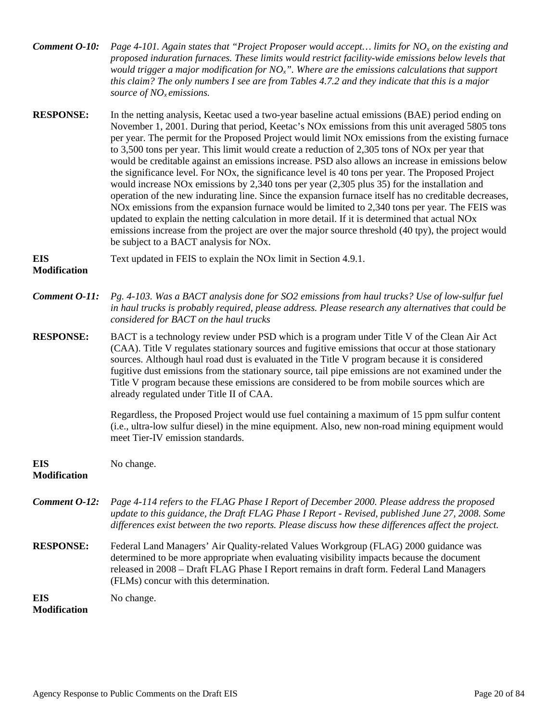| <b>Comment O-10:</b>              | Page 4-101. Again states that "Project Proposer would accept limits for $NO_x$ on the existing and<br>proposed induration furnaces. These limits would restrict facility-wide emissions below levels that<br>would trigger a major modification for $NOx$ ". Where are the emissions calculations that support<br>this claim? The only numbers I see are from Tables 4.7.2 and they indicate that this is a major<br>source of $NOx$ emissions.                                                                                                                                                                                                                                                                                                                                                                                                                                                                                                                                                                                                                                                                                                                                                           |
|-----------------------------------|-----------------------------------------------------------------------------------------------------------------------------------------------------------------------------------------------------------------------------------------------------------------------------------------------------------------------------------------------------------------------------------------------------------------------------------------------------------------------------------------------------------------------------------------------------------------------------------------------------------------------------------------------------------------------------------------------------------------------------------------------------------------------------------------------------------------------------------------------------------------------------------------------------------------------------------------------------------------------------------------------------------------------------------------------------------------------------------------------------------------------------------------------------------------------------------------------------------|
| <b>RESPONSE:</b>                  | In the netting analysis, Keetac used a two-year baseline actual emissions (BAE) period ending on<br>November 1, 2001. During that period, Keetac's NO <sub>x</sub> emissions from this unit averaged 5805 tons<br>per year. The permit for the Proposed Project would limit NOx emissions from the existing furnace<br>to 3,500 tons per year. This limit would create a reduction of 2,305 tons of NO <sub>x</sub> per year that<br>would be creditable against an emissions increase. PSD also allows an increase in emissions below<br>the significance level. For NOx, the significance level is 40 tons per year. The Proposed Project<br>would increase NOx emissions by 2,340 tons per year (2,305 plus 35) for the installation and<br>operation of the new indurating line. Since the expansion furnace itself has no creditable decreases,<br>NOx emissions from the expansion furnace would be limited to 2,340 tons per year. The FEIS was<br>updated to explain the netting calculation in more detail. If it is determined that actual NOx<br>emissions increase from the project are over the major source threshold (40 tpy), the project would<br>be subject to a BACT analysis for NOx. |
| <b>EIS</b><br><b>Modification</b> | Text updated in FEIS to explain the NO <sub>x</sub> limit in Section 4.9.1.                                                                                                                                                                                                                                                                                                                                                                                                                                                                                                                                                                                                                                                                                                                                                                                                                                                                                                                                                                                                                                                                                                                               |
| <b>Comment O-11:</b>              | Pg. 4-103. Was a BACT analysis done for SO2 emissions from haul trucks? Use of low-sulfur fuel<br>in haul trucks is probably required, please address. Please research any alternatives that could be<br>considered for BACT on the haul trucks                                                                                                                                                                                                                                                                                                                                                                                                                                                                                                                                                                                                                                                                                                                                                                                                                                                                                                                                                           |
| <b>RESPONSE:</b>                  | BACT is a technology review under PSD which is a program under Title V of the Clean Air Act<br>(CAA). Title V regulates stationary sources and fugitive emissions that occur at those stationary<br>sources. Although haul road dust is evaluated in the Title V program because it is considered<br>fugitive dust emissions from the stationary source, tail pipe emissions are not examined under the<br>Title V program because these emissions are considered to be from mobile sources which are<br>already regulated under Title II of CAA.                                                                                                                                                                                                                                                                                                                                                                                                                                                                                                                                                                                                                                                         |
|                                   | Regardless, the Proposed Project would use fuel containing a maximum of 15 ppm sulfur content<br>(i.e., ultra-low sulfur diesel) in the mine equipment. Also, new non-road mining equipment would<br>meet Tier-IV emission standards.                                                                                                                                                                                                                                                                                                                                                                                                                                                                                                                                                                                                                                                                                                                                                                                                                                                                                                                                                                     |
| <b>EIS</b><br><b>Modification</b> | No change.                                                                                                                                                                                                                                                                                                                                                                                                                                                                                                                                                                                                                                                                                                                                                                                                                                                                                                                                                                                                                                                                                                                                                                                                |
| Comment O-12:                     | Page 4-114 refers to the FLAG Phase I Report of December 2000. Please address the proposed<br>update to this guidance, the Draft FLAG Phase I Report - Revised, published June 27, 2008. Some<br>differences exist between the two reports. Please discuss how these differences affect the project.                                                                                                                                                                                                                                                                                                                                                                                                                                                                                                                                                                                                                                                                                                                                                                                                                                                                                                      |
| <b>RESPONSE:</b>                  | Federal Land Managers' Air Quality-related Values Workgroup (FLAG) 2000 guidance was<br>determined to be more appropriate when evaluating visibility impacts because the document<br>released in 2008 - Draft FLAG Phase I Report remains in draft form. Federal Land Managers<br>(FLMs) concur with this determination.                                                                                                                                                                                                                                                                                                                                                                                                                                                                                                                                                                                                                                                                                                                                                                                                                                                                                  |
| <b>EIS</b><br>Modification        | No change.                                                                                                                                                                                                                                                                                                                                                                                                                                                                                                                                                                                                                                                                                                                                                                                                                                                                                                                                                                                                                                                                                                                                                                                                |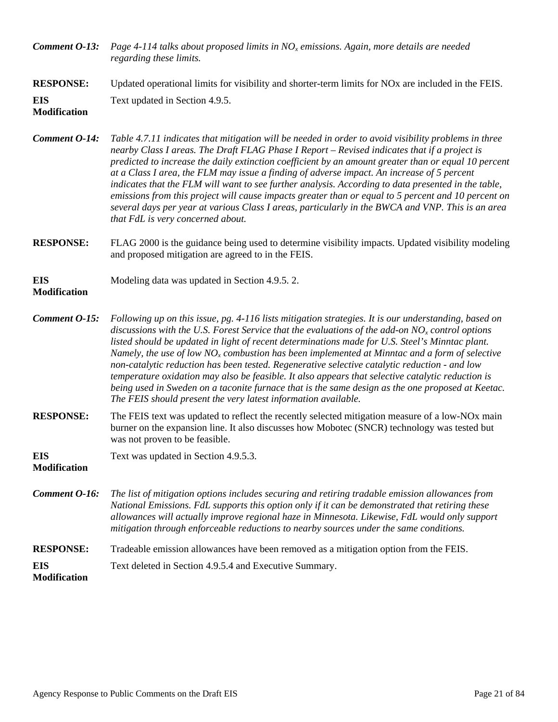*Comment O-13:* Page 4-114 talks about proposed limits in NO<sub>x</sub> emissions. Again, more details are needed *regarding these limits.* 

**RESPONSE:** Updated operational limits for visibility and shorter-term limits for NOx are included in the FEIS. **EIS**  Text updated in Section 4.9.5.

**Modification** 

*Comment O-14: Table 4.7.11 indicates that mitigation will be needed in order to avoid visibility problems in three nearby Class I areas. The Draft FLAG Phase I Report – Revised indicates that if a project is predicted to increase the daily extinction coefficient by an amount greater than or equal 10 percent at a Class I area, the FLM may issue a finding of adverse impact. An increase of 5 percent indicates that the FLM will want to see further analysis. According to data presented in the table, emissions from this project will cause impacts greater than or equal to 5 percent and 10 percent on several days per year at various Class I areas, particularly in the BWCA and VNP. This is an area that FdL is very concerned about.* 

**RESPONSE:** FLAG 2000 is the guidance being used to determine visibility impacts. Updated visibility modeling and proposed mitigation are agreed to in the FEIS.

**EIS Modification**  Modeling data was updated in Section 4.9.5. 2.

- *Comment O-15: Following up on this issue, pg. 4-116 lists mitigation strategies. It is our understanding, based on discussions with the U.S. Forest Service that the evaluations of the add-on NOx control options listed should be updated in light of recent determinations made for U.S. Steel's Minntac plant. Namely, the use of low NO<sub>x</sub> combustion has been implemented at Minntac and a form of selective non-catalytic reduction has been tested. Regenerative selective catalytic reduction - and low temperature oxidation may also be feasible. It also appears that selective catalytic reduction is being used in Sweden on a taconite furnace that is the same design as the one proposed at Keetac. The FEIS should present the very latest information available.*
- **RESPONSE:** The FEIS text was updated to reflect the recently selected mitigation measure of a low-NOx main burner on the expansion line. It also discusses how Mobotec (SNCR) technology was tested but was not proven to be feasible.

**EIS Modification**  Text was updated in Section 4.9.5.3.

*Comment O-16: The list of mitigation options includes securing and retiring tradable emission allowances from National Emissions. FdL supports this option only if it can be demonstrated that retiring these allowances will actually improve regional haze in Minnesota. Likewise, FdL would only support mitigation through enforceable reductions to nearby sources under the same conditions.* 

**RESPONSE:** Tradeable emission allowances have been removed as a mitigation option from the FEIS.

**EIS**  Text deleted in Section 4.9.5.4 and Executive Summary.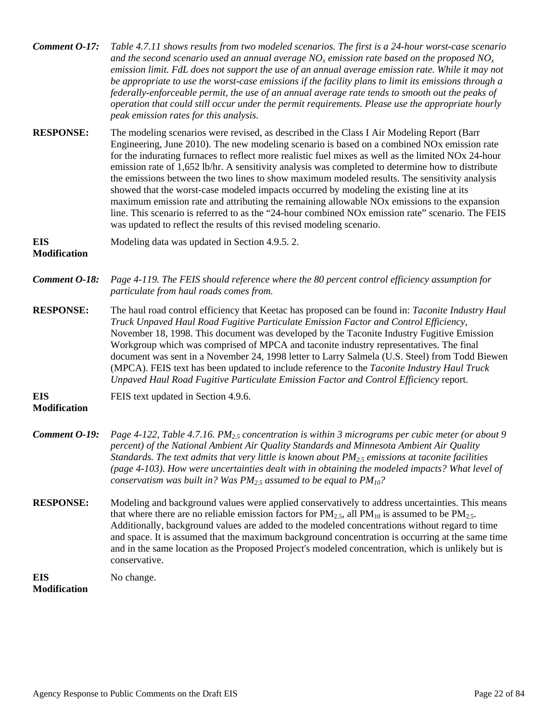| Comment O-17:                     | Table 4.7.11 shows results from two modeled scenarios. The first is a 24-hour worst-case scenario<br>and the second scenario used an annual average $NO_x$ emission rate based on the proposed $NO_x$<br>emission limit. FdL does not support the use of an annual average emission rate. While it may not<br>be appropriate to use the worst-case emissions if the facility plans to limit its emissions through a<br>federally-enforceable permit, the use of an annual average rate tends to smooth out the peaks of<br>operation that could still occur under the permit requirements. Please use the appropriate hourly<br>peak emission rates for this analysis.                                                                                                                                                                                                                       |
|-----------------------------------|----------------------------------------------------------------------------------------------------------------------------------------------------------------------------------------------------------------------------------------------------------------------------------------------------------------------------------------------------------------------------------------------------------------------------------------------------------------------------------------------------------------------------------------------------------------------------------------------------------------------------------------------------------------------------------------------------------------------------------------------------------------------------------------------------------------------------------------------------------------------------------------------|
| <b>RESPONSE:</b>                  | The modeling scenarios were revised, as described in the Class I Air Modeling Report (Barr<br>Engineering, June 2010). The new modeling scenario is based on a combined NOx emission rate<br>for the indurating furnaces to reflect more realistic fuel mixes as well as the limited NOx 24-hour<br>emission rate of 1,652 lb/hr. A sensitivity analysis was completed to determine how to distribute<br>the emissions between the two lines to show maximum modeled results. The sensitivity analysis<br>showed that the worst-case modeled impacts occurred by modeling the existing line at its<br>maximum emission rate and attributing the remaining allowable NOx emissions to the expansion<br>line. This scenario is referred to as the "24-hour combined NO <sub>x</sub> emission rate" scenario. The FEIS<br>was updated to reflect the results of this revised modeling scenario. |
| <b>EIS</b><br><b>Modification</b> | Modeling data was updated in Section 4.9.5.2.                                                                                                                                                                                                                                                                                                                                                                                                                                                                                                                                                                                                                                                                                                                                                                                                                                                |
| <b>Comment O-18:</b>              | Page 4-119. The FEIS should reference where the 80 percent control efficiency assumption for<br>particulate from haul roads comes from.                                                                                                                                                                                                                                                                                                                                                                                                                                                                                                                                                                                                                                                                                                                                                      |
| <b>RESPONSE:</b>                  | The haul road control efficiency that Keetac has proposed can be found in: Taconite Industry Haul<br>Truck Unpaved Haul Road Fugitive Particulate Emission Factor and Control Efficiency,<br>November 18, 1998. This document was developed by the Taconite Industry Fugitive Emission<br>Workgroup which was comprised of MPCA and taconite industry representatives. The final<br>document was sent in a November 24, 1998 letter to Larry Salmela (U.S. Steel) from Todd Biewen<br>(MPCA). FEIS text has been updated to include reference to the Taconite Industry Haul Truck<br>Unpaved Haul Road Fugitive Particulate Emission Factor and Control Efficiency report.                                                                                                                                                                                                                   |
| <b>EIS</b><br><b>Modification</b> | FEIS text updated in Section 4.9.6.                                                                                                                                                                                                                                                                                                                                                                                                                                                                                                                                                                                                                                                                                                                                                                                                                                                          |
| <b>Comment O-19:</b>              | Page 4-122, Table 4.7.16. PM <sub>2.5</sub> concentration is within 3 micrograms per cubic meter (or about 9<br>percent) of the National Ambient Air Quality Standards and Minnesota Ambient Air Quality<br>Standards. The text admits that very little is known about $PM_{2.5}$ emissions at taconite facilities<br>(page 4-103). How were uncertainties dealt with in obtaining the modeled impacts? What level of<br>conservatism was built in? Was $PM_{2.5}$ assumed to be equal to $PM_{10}$ ?                                                                                                                                                                                                                                                                                                                                                                                        |
| <b>RESPONSE:</b>                  | Modeling and background values were applied conservatively to address uncertainties. This means<br>that where there are no reliable emission factors for $PM_{2.5}$ , all $PM_{10}$ is assumed to be $PM_{2.5}$ .<br>Additionally, background values are added to the modeled concentrations without regard to time<br>and space. It is assumed that the maximum background concentration is occurring at the same time<br>and in the same location as the Proposed Project's modeled concentration, which is unlikely but is<br>conservative.                                                                                                                                                                                                                                                                                                                                               |
| <b>EIS</b><br><b>Modification</b> | No change.                                                                                                                                                                                                                                                                                                                                                                                                                                                                                                                                                                                                                                                                                                                                                                                                                                                                                   |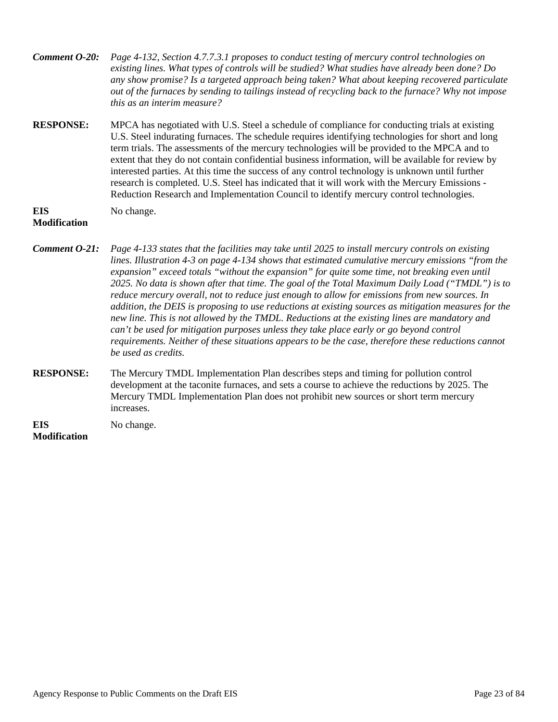| <b>Comment O-20:</b>              | Page 4-132, Section 4.7.7.3.1 proposes to conduct testing of mercury control technologies on<br>existing lines. What types of controls will be studied? What studies have already been done? Do<br>any show promise? Is a targeted approach being taken? What about keeping recovered particulate<br>out of the furnaces by sending to tailings instead of recycling back to the furnace? Why not impose<br>this as an interim measure?                                                                                                                                                                                                                                                                                                                                                                                                                                                                                                       |
|-----------------------------------|-----------------------------------------------------------------------------------------------------------------------------------------------------------------------------------------------------------------------------------------------------------------------------------------------------------------------------------------------------------------------------------------------------------------------------------------------------------------------------------------------------------------------------------------------------------------------------------------------------------------------------------------------------------------------------------------------------------------------------------------------------------------------------------------------------------------------------------------------------------------------------------------------------------------------------------------------|
| <b>RESPONSE:</b>                  | MPCA has negotiated with U.S. Steel a schedule of compliance for conducting trials at existing<br>U.S. Steel indurating furnaces. The schedule requires identifying technologies for short and long<br>term trials. The assessments of the mercury technologies will be provided to the MPCA and to<br>extent that they do not contain confidential business information, will be available for review by<br>interested parties. At this time the success of any control technology is unknown until further<br>research is completed. U.S. Steel has indicated that it will work with the Mercury Emissions -<br>Reduction Research and Implementation Council to identify mercury control technologies.                                                                                                                                                                                                                                     |
| <b>EIS</b><br><b>Modification</b> | No change.                                                                                                                                                                                                                                                                                                                                                                                                                                                                                                                                                                                                                                                                                                                                                                                                                                                                                                                                    |
| <b>Comment O-21:</b>              | Page 4-133 states that the facilities may take until 2025 to install mercury controls on existing<br>lines. Illustration 4-3 on page 4-134 shows that estimated cumulative mercury emissions "from the<br>expansion" exceed totals "without the expansion" for quite some time, not breaking even until<br>2025. No data is shown after that time. The goal of the Total Maximum Daily Load ("TMDL") is to<br>reduce mercury overall, not to reduce just enough to allow for emissions from new sources. In<br>addition, the DEIS is proposing to use reductions at existing sources as mitigation measures for the<br>new line. This is not allowed by the TMDL. Reductions at the existing lines are mandatory and<br>can't be used for mitigation purposes unless they take place early or go beyond control<br>requirements. Neither of these situations appears to be the case, therefore these reductions cannot<br>be used as credits. |
| <b>RESPONSE:</b>                  | The Mercury TMDL Implementation Plan describes steps and timing for pollution control<br>development at the taconite furnaces, and sets a course to achieve the reductions by 2025. The<br>Mercury TMDL Implementation Plan does not prohibit new sources or short term mercury<br>increases.                                                                                                                                                                                                                                                                                                                                                                                                                                                                                                                                                                                                                                                 |
| <b>EIS</b><br><b>Modification</b> | No change.                                                                                                                                                                                                                                                                                                                                                                                                                                                                                                                                                                                                                                                                                                                                                                                                                                                                                                                                    |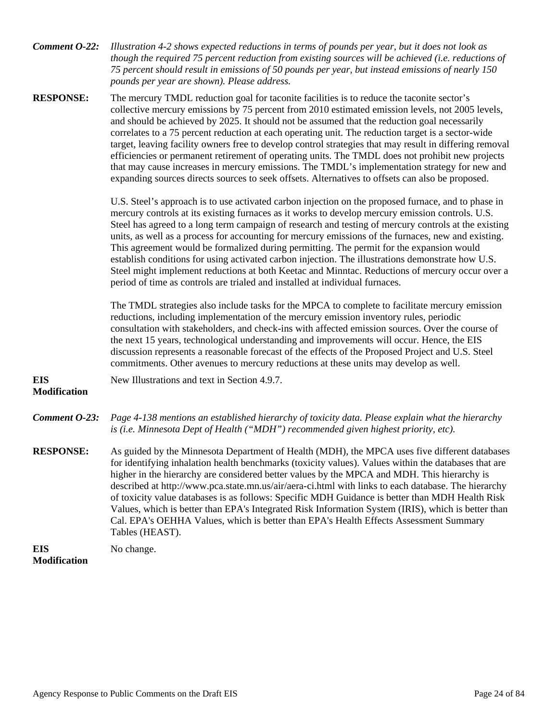| <b>Comment O-22:</b>              | Illustration 4-2 shows expected reductions in terms of pounds per year, but it does not look as<br>though the required 75 percent reduction from existing sources will be achieved (i.e. reductions of<br>75 percent should result in emissions of 50 pounds per year, but instead emissions of nearly 150<br>pounds per year are shown). Please address.                                                                                                                                                                                                                                                                                                                                                                                                                                                                |
|-----------------------------------|--------------------------------------------------------------------------------------------------------------------------------------------------------------------------------------------------------------------------------------------------------------------------------------------------------------------------------------------------------------------------------------------------------------------------------------------------------------------------------------------------------------------------------------------------------------------------------------------------------------------------------------------------------------------------------------------------------------------------------------------------------------------------------------------------------------------------|
| <b>RESPONSE:</b>                  | The mercury TMDL reduction goal for taconite facilities is to reduce the taconite sector's<br>collective mercury emissions by 75 percent from 2010 estimated emission levels, not 2005 levels,<br>and should be achieved by 2025. It should not be assumed that the reduction goal necessarily<br>correlates to a 75 percent reduction at each operating unit. The reduction target is a sector-wide<br>target, leaving facility owners free to develop control strategies that may result in differing removal<br>efficiencies or permanent retirement of operating units. The TMDL does not prohibit new projects<br>that may cause increases in mercury emissions. The TMDL's implementation strategy for new and<br>expanding sources directs sources to seek offsets. Alternatives to offsets can also be proposed. |
|                                   | U.S. Steel's approach is to use activated carbon injection on the proposed furnace, and to phase in<br>mercury controls at its existing furnaces as it works to develop mercury emission controls. U.S.<br>Steel has agreed to a long term campaign of research and testing of mercury controls at the existing<br>units, as well as a process for accounting for mercury emissions of the furnaces, new and existing.<br>This agreement would be formalized during permitting. The permit for the expansion would<br>establish conditions for using activated carbon injection. The illustrations demonstrate how U.S.<br>Steel might implement reductions at both Keetac and Minntac. Reductions of mercury occur over a<br>period of time as controls are trialed and installed at individual furnaces.               |
|                                   | The TMDL strategies also include tasks for the MPCA to complete to facilitate mercury emission<br>reductions, including implementation of the mercury emission inventory rules, periodic<br>consultation with stakeholders, and check-ins with affected emission sources. Over the course of<br>the next 15 years, technological understanding and improvements will occur. Hence, the EIS<br>discussion represents a reasonable forecast of the effects of the Proposed Project and U.S. Steel<br>commitments. Other avenues to mercury reductions at these units may develop as well.                                                                                                                                                                                                                                  |
| <b>EIS</b><br><b>Modification</b> | New Illustrations and text in Section 4.9.7.                                                                                                                                                                                                                                                                                                                                                                                                                                                                                                                                                                                                                                                                                                                                                                             |
| Comment O-23:                     | Page 4-138 mentions an established hierarchy of toxicity data. Please explain what the hierarchy<br>is (i.e. Minnesota Dept of Health ("MDH") recommended given highest priority, etc).                                                                                                                                                                                                                                                                                                                                                                                                                                                                                                                                                                                                                                  |
| <b>RESPONSE:</b>                  | As guided by the Minnesota Department of Health (MDH), the MPCA uses five different databases<br>for identifying inhalation health benchmarks (toxicity values). Values within the databases that are<br>higher in the hierarchy are considered better values by the MPCA and MDH. This hierarchy is<br>described at http://www.pca.state.mn.us/air/aera-ci.html with links to each database. The hierarchy<br>of toxicity value databases is as follows: Specific MDH Guidance is better than MDH Health Risk<br>Values, which is better than EPA's Integrated Risk Information System (IRIS), which is better than<br>Cal. EPA's OEHHA Values, which is better than EPA's Health Effects Assessment Summary<br>Tables (HEAST).                                                                                         |
| <b>EIS</b><br><b>Modification</b> | No change.                                                                                                                                                                                                                                                                                                                                                                                                                                                                                                                                                                                                                                                                                                                                                                                                               |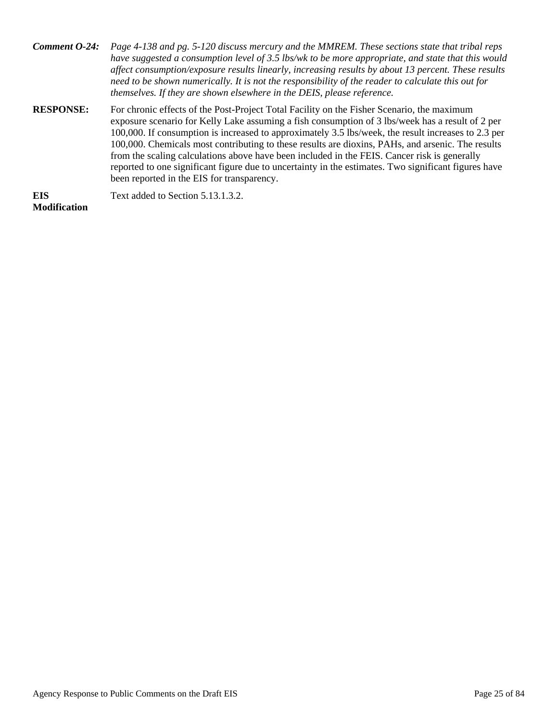*Comment O-24: Page 4-138 and pg. 5-120 discuss mercury and the MMREM. These sections state that tribal reps have suggested a consumption level of 3.5 lbs/wk to be more appropriate, and state that this would affect consumption/exposure results linearly, increasing results by about 13 percent. These results need to be shown numerically. It is not the responsibility of the reader to calculate this out for themselves. If they are shown elsewhere in the DEIS, please reference.*  **RESPONSE:** For chronic effects of the Post-Project Total Facility on the Fisher Scenario, the maximum exposure scenario for Kelly Lake assuming a fish consumption of 3 lbs/week has a result of 2 per 100,000. If consumption is increased to approximately 3.5 lbs/week, the result increases to 2.3 per 100,000. Chemicals most contributing to these results are dioxins, PAHs, and arsenic. The results from the scaling calculations above have been included in the FEIS. Cancer risk is generally reported to one significant figure due to uncertainty in the estimates. Two significant figures have been reported in the EIS for transparency.

**EIS**  Text added to Section 5.13.1.3.2.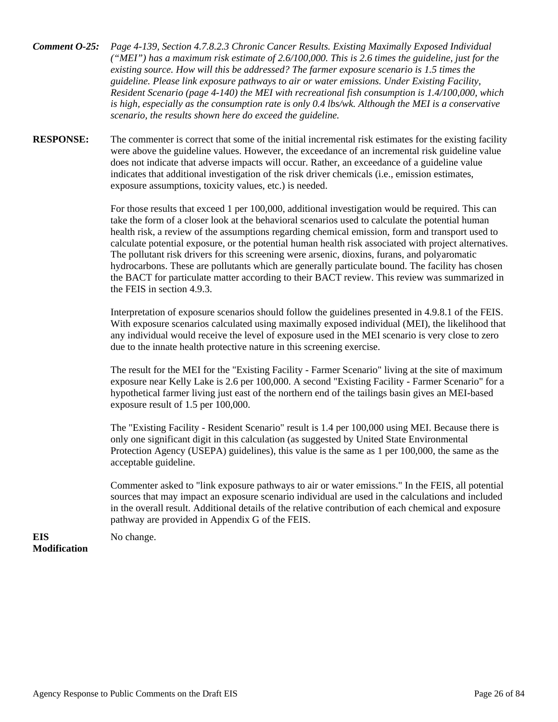*Comment O-25: Page 4-139, Section 4.7.8.2.3 Chronic Cancer Results. Existing Maximally Exposed Individual ("MEI") has a maximum risk estimate of 2.6/100,000. This is 2.6 times the guideline, just for the existing source. How will this be addressed? The farmer exposure scenario is 1.5 times the guideline. Please link exposure pathways to air or water emissions. Under Existing Facility, Resident Scenario (page 4-140) the MEI with recreational fish consumption is 1.4/100,000, which is high, especially as the consumption rate is only 0.4 lbs/wk. Although the MEI is a conservative scenario, the results shown here do exceed the guideline.* 

**RESPONSE:** The commenter is correct that some of the initial incremental risk estimates for the existing facility were above the guideline values. However, the exceedance of an incremental risk guideline value does not indicate that adverse impacts will occur. Rather, an exceedance of a guideline value indicates that additional investigation of the risk driver chemicals (i.e., emission estimates, exposure assumptions, toxicity values, etc.) is needed.

> For those results that exceed 1 per 100,000, additional investigation would be required. This can take the form of a closer look at the behavioral scenarios used to calculate the potential human health risk, a review of the assumptions regarding chemical emission, form and transport used to calculate potential exposure, or the potential human health risk associated with project alternatives. The pollutant risk drivers for this screening were arsenic, dioxins, furans, and polyaromatic hydrocarbons. These are pollutants which are generally particulate bound. The facility has chosen the BACT for particulate matter according to their BACT review. This review was summarized in the FEIS in section 4.9.3.

> Interpretation of exposure scenarios should follow the guidelines presented in 4.9.8.1 of the FEIS. With exposure scenarios calculated using maximally exposed individual (MEI), the likelihood that any individual would receive the level of exposure used in the MEI scenario is very close to zero due to the innate health protective nature in this screening exercise.

> The result for the MEI for the "Existing Facility - Farmer Scenario" living at the site of maximum exposure near Kelly Lake is 2.6 per 100,000. A second "Existing Facility - Farmer Scenario" for a hypothetical farmer living just east of the northern end of the tailings basin gives an MEI-based exposure result of 1.5 per 100,000.

The "Existing Facility - Resident Scenario" result is 1.4 per 100,000 using MEI. Because there is only one significant digit in this calculation (as suggested by United State Environmental Protection Agency (USEPA) guidelines), this value is the same as 1 per 100,000, the same as the acceptable guideline.

Commenter asked to "link exposure pathways to air or water emissions." In the FEIS, all potential sources that may impact an exposure scenario individual are used in the calculations and included in the overall result. Additional details of the relative contribution of each chemical and exposure pathway are provided in Appendix G of the FEIS.

**EIS Modification**  No change.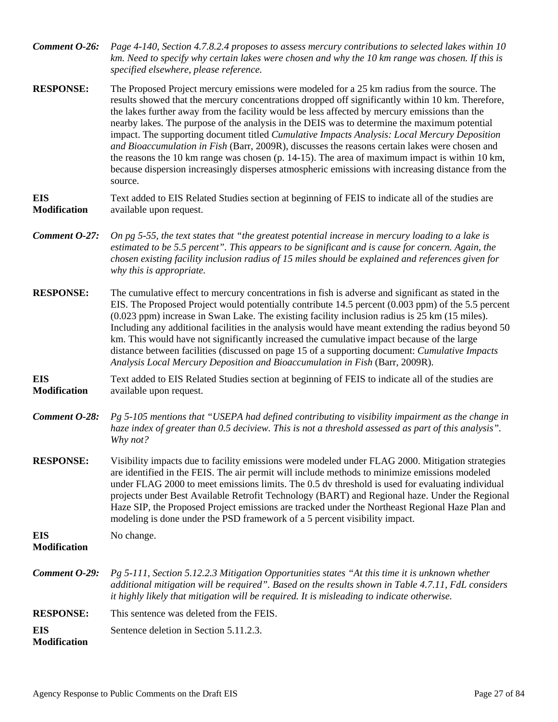| Comment O-26:                     | Page 4-140, Section 4.7.8.2.4 proposes to assess mercury contributions to selected lakes within 10<br>km. Need to specify why certain lakes were chosen and why the 10 km range was chosen. If this is<br>specified elsewhere, please reference.                                                                                                                                                                                                                                                                                                                                                                                                                                                                                                                                                                         |
|-----------------------------------|--------------------------------------------------------------------------------------------------------------------------------------------------------------------------------------------------------------------------------------------------------------------------------------------------------------------------------------------------------------------------------------------------------------------------------------------------------------------------------------------------------------------------------------------------------------------------------------------------------------------------------------------------------------------------------------------------------------------------------------------------------------------------------------------------------------------------|
| <b>RESPONSE:</b>                  | The Proposed Project mercury emissions were modeled for a 25 km radius from the source. The<br>results showed that the mercury concentrations dropped off significantly within 10 km. Therefore,<br>the lakes further away from the facility would be less affected by mercury emissions than the<br>nearby lakes. The purpose of the analysis in the DEIS was to determine the maximum potential<br>impact. The supporting document titled Cumulative Impacts Analysis: Local Mercury Deposition<br>and Bioaccumulation in Fish (Barr, 2009R), discusses the reasons certain lakes were chosen and<br>the reasons the 10 km range was chosen (p. $14-15$ ). The area of maximum impact is within 10 km,<br>because dispersion increasingly disperses atmospheric emissions with increasing distance from the<br>source. |
| <b>EIS</b><br><b>Modification</b> | Text added to EIS Related Studies section at beginning of FEIS to indicate all of the studies are<br>available upon request.                                                                                                                                                                                                                                                                                                                                                                                                                                                                                                                                                                                                                                                                                             |
| Comment O-27:                     | On pg 5-55, the text states that "the greatest potential increase in mercury loading to a lake is<br>estimated to be 5.5 percent". This appears to be significant and is cause for concern. Again, the<br>chosen existing facility inclusion radius of 15 miles should be explained and references given for<br>why this is appropriate.                                                                                                                                                                                                                                                                                                                                                                                                                                                                                 |
| <b>RESPONSE:</b>                  | The cumulative effect to mercury concentrations in fish is adverse and significant as stated in the<br>EIS. The Proposed Project would potentially contribute 14.5 percent (0.003 ppm) of the 5.5 percent<br>(0.023 ppm) increase in Swan Lake. The existing facility inclusion radius is 25 km (15 miles).<br>Including any additional facilities in the analysis would have meant extending the radius beyond 50<br>km. This would have not significantly increased the cumulative impact because of the large<br>distance between facilities (discussed on page 15 of a supporting document: Cumulative Impacts<br>Analysis Local Mercury Deposition and Bioaccumulation in Fish (Barr, 2009R).                                                                                                                       |
| <b>EIS</b><br><b>Modification</b> | Text added to EIS Related Studies section at beginning of FEIS to indicate all of the studies are<br>available upon request.                                                                                                                                                                                                                                                                                                                                                                                                                                                                                                                                                                                                                                                                                             |
| <b>Comment O-28:</b>              | $Pg$ 5-105 mentions that "USEPA had defined contributing to visibility impairment as the change in<br>haze index of greater than 0.5 deciview. This is not a threshold assessed as part of this analysis".<br>Why not?                                                                                                                                                                                                                                                                                                                                                                                                                                                                                                                                                                                                   |
| <b>RESPONSE:</b>                  | Visibility impacts due to facility emissions were modeled under FLAG 2000. Mitigation strategies<br>are identified in the FEIS. The air permit will include methods to minimize emissions modeled<br>under FLAG 2000 to meet emissions limits. The 0.5 dv threshold is used for evaluating individual<br>projects under Best Available Retrofit Technology (BART) and Regional haze. Under the Regional<br>Haze SIP, the Proposed Project emissions are tracked under the Northeast Regional Haze Plan and<br>modeling is done under the PSD framework of a 5 percent visibility impact.                                                                                                                                                                                                                                 |
| <b>EIS</b><br><b>Modification</b> | No change.                                                                                                                                                                                                                                                                                                                                                                                                                                                                                                                                                                                                                                                                                                                                                                                                               |
|                                   |                                                                                                                                                                                                                                                                                                                                                                                                                                                                                                                                                                                                                                                                                                                                                                                                                          |
| Comment O-29:                     | Pg 5-111, Section 5.12.2.3 Mitigation Opportunities states "At this time it is unknown whether<br>additional mitigation will be required". Based on the results shown in Table 4.7.11, FdL considers<br>it highly likely that mitigation will be required. It is misleading to indicate otherwise.                                                                                                                                                                                                                                                                                                                                                                                                                                                                                                                       |
| <b>RESPONSE:</b>                  | This sentence was deleted from the FEIS.                                                                                                                                                                                                                                                                                                                                                                                                                                                                                                                                                                                                                                                                                                                                                                                 |
| <b>EIS</b><br><b>Modification</b> | Sentence deletion in Section 5.11.2.3.                                                                                                                                                                                                                                                                                                                                                                                                                                                                                                                                                                                                                                                                                                                                                                                   |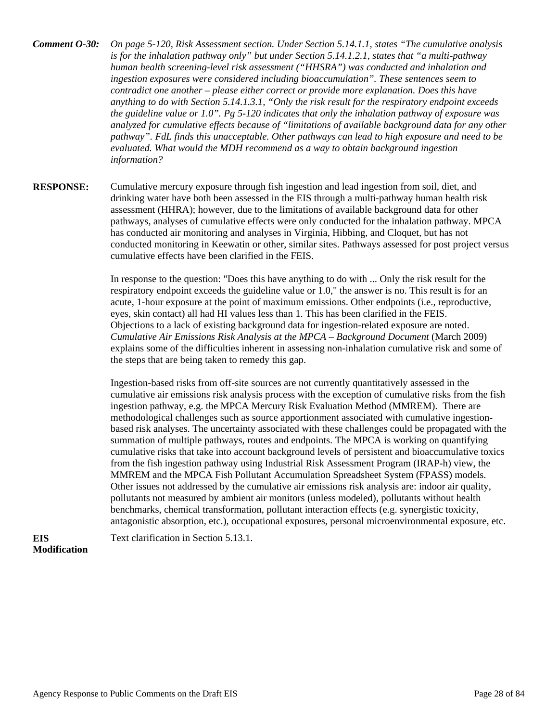*Comment O-30: On page 5-120, Risk Assessment section. Under Section 5.14.1.1, states "The cumulative analysis is for the inhalation pathway only" but under Section 5.14.1.2.1, states that "a multi-pathway human health screening-level risk assessment ("HHSRA") was conducted and inhalation and ingestion exposures were considered including bioaccumulation". These sentences seem to contradict one another – please either correct or provide more explanation. Does this have anything to do with Section 5.14.1.3.1, "Only the risk result for the respiratory endpoint exceeds the guideline value or 1.0". Pg 5-120 indicates that only the inhalation pathway of exposure was analyzed for cumulative effects because of "limitations of available background data for any other pathway". FdL finds this unacceptable. Other pathways can lead to high exposure and need to be evaluated. What would the MDH recommend as a way to obtain background ingestion information?* 

**RESPONSE:** Cumulative mercury exposure through fish ingestion and lead ingestion from soil, diet, and drinking water have both been assessed in the EIS through a multi-pathway human health risk assessment (HHRA); however, due to the limitations of available background data for other pathways, analyses of cumulative effects were only conducted for the inhalation pathway. MPCA has conducted air monitoring and analyses in Virginia, Hibbing, and Cloquet, but has not conducted monitoring in Keewatin or other, similar sites. Pathways assessed for post project versus cumulative effects have been clarified in the FEIS.

> In response to the question: "Does this have anything to do with ... Only the risk result for the respiratory endpoint exceeds the guideline value or 1.0," the answer is no. This result is for an acute, 1-hour exposure at the point of maximum emissions. Other endpoints (i.e., reproductive, eyes, skin contact) all had HI values less than 1. This has been clarified in the FEIS. Objections to a lack of existing background data for ingestion-related exposure are noted. *Cumulative Air Emissions Risk Analysis at the MPCA – Background Document* (March 2009) explains some of the difficulties inherent in assessing non-inhalation cumulative risk and some of the steps that are being taken to remedy this gap.

Ingestion-based risks from off-site sources are not currently quantitatively assessed in the cumulative air emissions risk analysis process with the exception of cumulative risks from the fish ingestion pathway, e.g. the MPCA Mercury Risk Evaluation Method (MMREM). There are methodological challenges such as source apportionment associated with cumulative ingestionbased risk analyses. The uncertainty associated with these challenges could be propagated with the summation of multiple pathways, routes and endpoints. The MPCA is working on quantifying cumulative risks that take into account background levels of persistent and bioaccumulative toxics from the fish ingestion pathway using Industrial Risk Assessment Program (IRAP-h) view, the MMREM and the MPCA Fish Pollutant Accumulation Spreadsheet System (FPASS) models. Other issues not addressed by the cumulative air emissions risk analysis are: indoor air quality, pollutants not measured by ambient air monitors (unless modeled), pollutants without health benchmarks, chemical transformation, pollutant interaction effects (e.g. synergistic toxicity, antagonistic absorption, etc.), occupational exposures, personal microenvironmental exposure, etc.

**EIS**  Text clarification in Section 5.13.1.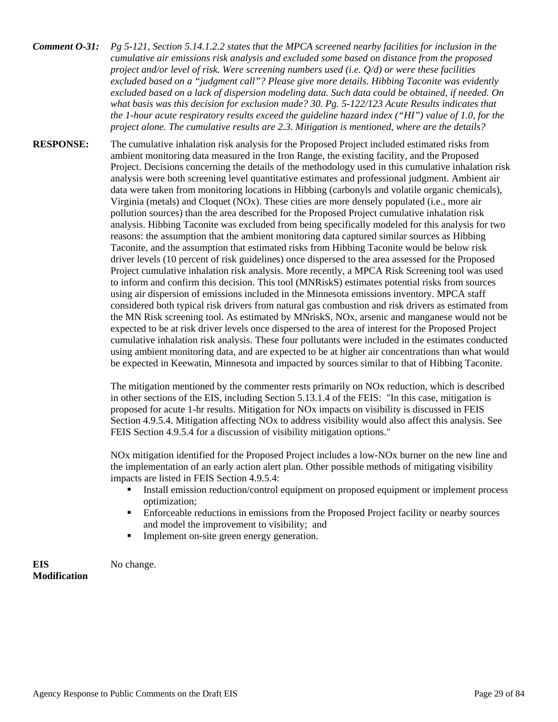*Comment O-31: Pg 5-121, Section 5.14.1.2.2 states that the MPCA screened nearby facilities for inclusion in the cumulative air emissions risk analysis and excluded some based on distance from the proposed project and/or level of risk. Were screening numbers used (i.e. Q/d) or were these facilities excluded based on a "judgment call"? Please give more details. Hibbing Taconite was evidently excluded based on a lack of dispersion modeling data. Such data could be obtained, if needed. On what basis was this decision for exclusion made? 30. Pg. 5-122/123 Acute Results indicates that the 1-hour acute respiratory results exceed the guideline hazard index ("HI") value of 1.0, for the project alone. The cumulative results are 2.3. Mitigation is mentioned, where are the details?* 

**RESPONSE:** The cumulative inhalation risk analysis for the Proposed Project included estimated risks from ambient monitoring data measured in the Iron Range, the existing facility, and the Proposed Project. Decisions concerning the details of the methodology used in this cumulative inhalation risk analysis were both screening level quantitative estimates and professional judgment. Ambient air data were taken from monitoring locations in Hibbing (carbonyls and volatile organic chemicals), Virginia (metals) and Cloquet (NOx). These cities are more densely populated (i.e., more air pollution sources) than the area described for the Proposed Project cumulative inhalation risk analysis. Hibbing Taconite was excluded from being specifically modeled for this analysis for two reasons: the assumption that the ambient monitoring data captured similar sources as Hibbing Taconite, and the assumption that estimated risks from Hibbing Taconite would be below risk driver levels (10 percent of risk guidelines) once dispersed to the area assessed for the Proposed Project cumulative inhalation risk analysis. More recently, a MPCA Risk Screening tool was used to inform and confirm this decision. This tool (MNRiskS) estimates potential risks from sources using air dispersion of emissions included in the Minnesota emissions inventory. MPCA staff considered both typical risk drivers from natural gas combustion and risk drivers as estimated from the MN Risk screening tool. As estimated by MNriskS, NOx, arsenic and manganese would not be expected to be at risk driver levels once dispersed to the area of interest for the Proposed Project cumulative inhalation risk analysis. These four pollutants were included in the estimates conducted using ambient monitoring data, and are expected to be at higher air concentrations than what would be expected in Keewatin, Minnesota and impacted by sources similar to that of Hibbing Taconite.

> The mitigation mentioned by the commenter rests primarily on NOx reduction, which is described in other sections of the EIS, including Section 5.13.1.4 of the FEIS: "In this case, mitigation is proposed for acute 1-hr results. Mitigation for NOx impacts on visibility is discussed in FEIS Section 4.9.5.4. Mitigation affecting NOx to address visibility would also affect this analysis. See FEIS Section 4.9.5.4 for a discussion of visibility mitigation options."

> NOx mitigation identified for the Proposed Project includes a low-NOx burner on the new line and the implementation of an early action alert plan. Other possible methods of mitigating visibility impacts are listed in FEIS Section 4.9.5.4:

- Install emission reduction/control equipment on proposed equipment or implement process optimization;
- Enforceable reductions in emissions from the Proposed Project facility or nearby sources and model the improvement to visibility; and
- Implement on-site green energy generation.

**EIS Modification**  No change.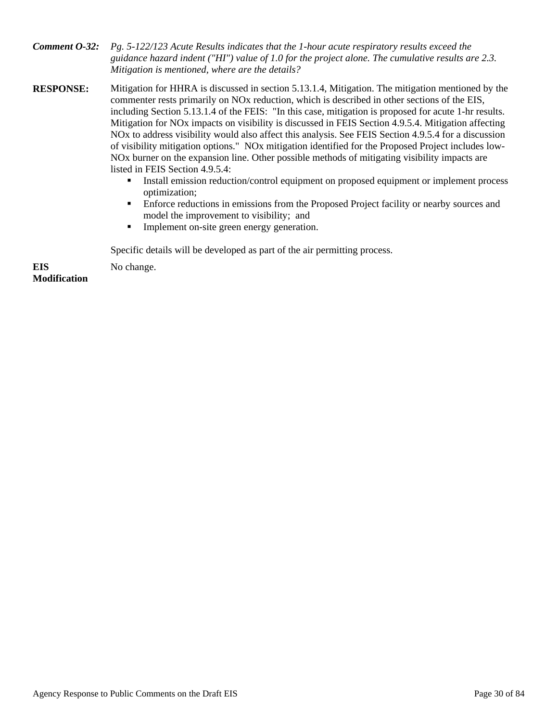*Comment O-32: Pg. 5-122/123 Acute Results indicates that the 1-hour acute respiratory results exceed the guidance hazard indent ("HI") value of 1.0 for the project alone. The cumulative results are 2.3. Mitigation is mentioned, where are the details?* 

- **RESPONSE:** Mitigation for HHRA is discussed in section 5.13.1.4, Mitigation. The mitigation mentioned by the commenter rests primarily on NOx reduction, which is described in other sections of the EIS, including Section 5.13.1.4 of the FEIS: "In this case, mitigation is proposed for acute 1-hr results. Mitigation for NOx impacts on visibility is discussed in FEIS Section 4.9.5.4. Mitigation affecting NOx to address visibility would also affect this analysis. See FEIS Section 4.9.5.4 for a discussion of visibility mitigation options." NOx mitigation identified for the Proposed Project includes low-NOx burner on the expansion line. Other possible methods of mitigating visibility impacts are listed in FEIS Section 4.9.5.4:
	- Install emission reduction/control equipment on proposed equipment or implement process optimization;
	- **Enforce reductions in emissions from the Proposed Project facility or nearby sources and** model the improvement to visibility; and
	- Implement on-site green energy generation.

Specific details will be developed as part of the air permitting process.

**EIS Modification**  No change.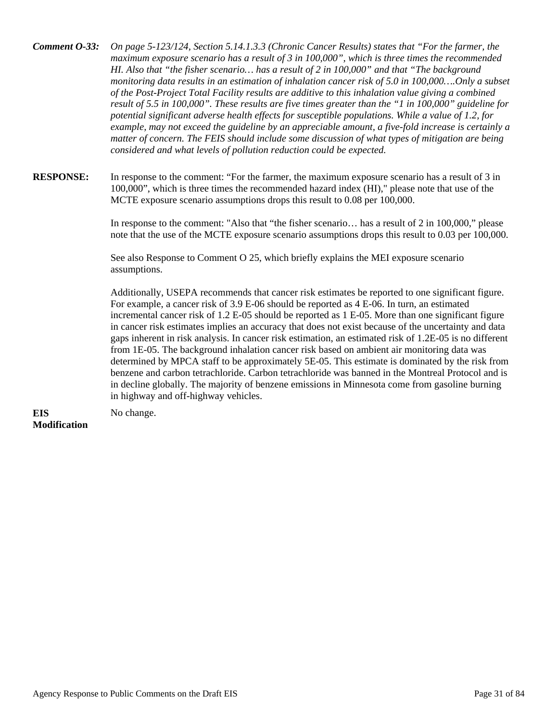*Comment O-33: On page 5-123/124, Section 5.14.1.3.3 (Chronic Cancer Results) states that "For the farmer, the maximum exposure scenario has a result of 3 in 100,000", which is three times the recommended HI. Also that "the fisher scenario… has a result of 2 in 100,000" and that "The background monitoring data results in an estimation of inhalation cancer risk of 5.0 in 100,000….Only a subset of the Post-Project Total Facility results are additive to this inhalation value giving a combined result of 5.5 in 100,000". These results are five times greater than the "1 in 100,000" guideline for potential significant adverse health effects for susceptible populations. While a value of 1.2, for example, may not exceed the guideline by an appreciable amount, a five-fold increase is certainly a matter of concern. The FEIS should include some discussion of what types of mitigation are being considered and what levels of pollution reduction could be expected.* 

**RESPONSE:** In response to the comment: "For the farmer, the maximum exposure scenario has a result of 3 in 100,000", which is three times the recommended hazard index (HI)," please note that use of the MCTE exposure scenario assumptions drops this result to 0.08 per 100,000.

> In response to the comment: "Also that "the fisher scenario… has a result of 2 in 100,000," please note that the use of the MCTE exposure scenario assumptions drops this result to 0.03 per 100,000.

See also Response to Comment O 25, which briefly explains the MEI exposure scenario assumptions.

Additionally, USEPA recommends that cancer risk estimates be reported to one significant figure. For example, a cancer risk of 3.9 E-06 should be reported as 4 E-06. In turn, an estimated incremental cancer risk of 1.2 E-05 should be reported as 1 E-05. More than one significant figure in cancer risk estimates implies an accuracy that does not exist because of the uncertainty and data gaps inherent in risk analysis. In cancer risk estimation, an estimated risk of 1.2E-05 is no different from 1E-05. The background inhalation cancer risk based on ambient air monitoring data was determined by MPCA staff to be approximately 5E-05. This estimate is dominated by the risk from benzene and carbon tetrachloride. Carbon tetrachloride was banned in the Montreal Protocol and is in decline globally. The majority of benzene emissions in Minnesota come from gasoline burning in highway and off-highway vehicles.

**EIS Modification**  No change.

Agency Response to Public Comments on the Draft EIS Page 31 of 84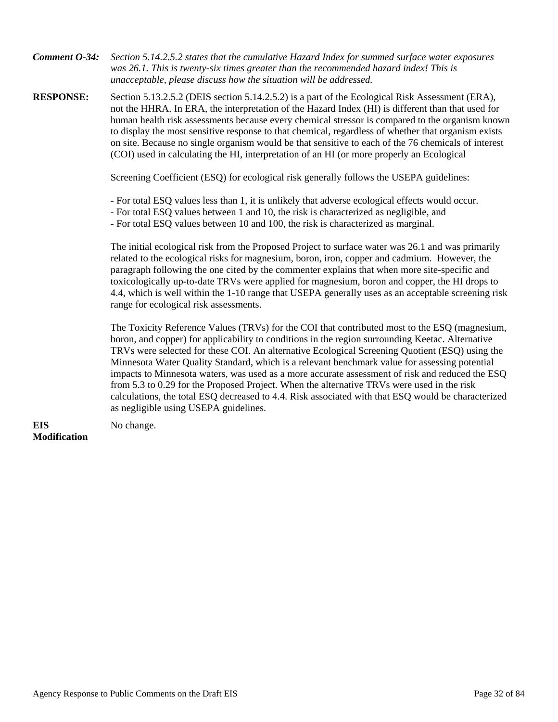*Comment O-34: Section 5.14.2.5.2 states that the cumulative Hazard Index for summed surface water exposures was 26.1. This is twenty-six times greater than the recommended hazard index! This is unacceptable, please discuss how the situation will be addressed.* 

**RESPONSE:** Section 5.13.2.5.2 (DEIS section 5.14.2.5.2) is a part of the Ecological Risk Assessment (ERA), not the HHRA. In ERA, the interpretation of the Hazard Index (HI) is different than that used for human health risk assessments because every chemical stressor is compared to the organism known to display the most sensitive response to that chemical, regardless of whether that organism exists on site. Because no single organism would be that sensitive to each of the 76 chemicals of interest (COI) used in calculating the HI, interpretation of an HI (or more properly an Ecological

Screening Coefficient (ESQ) for ecological risk generally follows the USEPA guidelines:

- For total ESQ values less than 1, it is unlikely that adverse ecological effects would occur.
- For total ESQ values between 1 and 10, the risk is characterized as negligible, and
- For total ESQ values between 10 and 100, the risk is characterized as marginal.

The initial ecological risk from the Proposed Project to surface water was 26.1 and was primarily related to the ecological risks for magnesium, boron, iron, copper and cadmium. However, the paragraph following the one cited by the commenter explains that when more site-specific and toxicologically up-to-date TRVs were applied for magnesium, boron and copper, the HI drops to 4.4, which is well within the 1-10 range that USEPA generally uses as an acceptable screening risk range for ecological risk assessments.

The Toxicity Reference Values (TRVs) for the COI that contributed most to the ESQ (magnesium, boron, and copper) for applicability to conditions in the region surrounding Keetac. Alternative TRVs were selected for these COI. An alternative Ecological Screening Quotient (ESQ) using the Minnesota Water Quality Standard, which is a relevant benchmark value for assessing potential impacts to Minnesota waters, was used as a more accurate assessment of risk and reduced the ESQ from 5.3 to 0.29 for the Proposed Project. When the alternative TRVs were used in the risk calculations, the total ESQ decreased to 4.4. Risk associated with that ESQ would be characterized as negligible using USEPA guidelines.

No change.

# **Modification**

**EIS**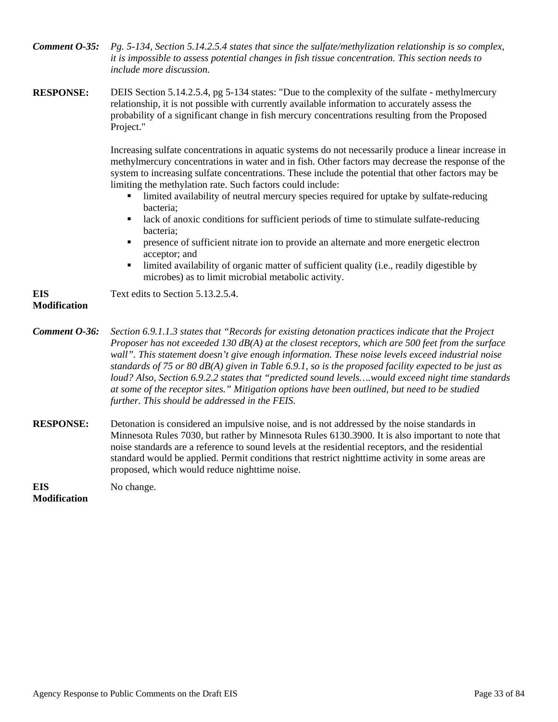| Comment O-35:                     | Pg. 5-134, Section 5.14.2.5.4 states that since the sulfate/methylization relationship is so complex,<br>it is impossible to assess potential changes in fish tissue concentration. This section needs to<br>include more discussion.                                                                                                                                                                                                                                                                                                                                                                                                                                                                                                                                                                                                                                 |
|-----------------------------------|-----------------------------------------------------------------------------------------------------------------------------------------------------------------------------------------------------------------------------------------------------------------------------------------------------------------------------------------------------------------------------------------------------------------------------------------------------------------------------------------------------------------------------------------------------------------------------------------------------------------------------------------------------------------------------------------------------------------------------------------------------------------------------------------------------------------------------------------------------------------------|
| <b>RESPONSE:</b>                  | DEIS Section 5.14.2.5.4, pg 5-134 states: "Due to the complexity of the sulfate - methylmercury<br>relationship, it is not possible with currently available information to accurately assess the<br>probability of a significant change in fish mercury concentrations resulting from the Proposed<br>Project."                                                                                                                                                                                                                                                                                                                                                                                                                                                                                                                                                      |
|                                   | Increasing sulfate concentrations in aquatic systems do not necessarily produce a linear increase in<br>methylmercury concentrations in water and in fish. Other factors may decrease the response of the<br>system to increasing sulfate concentrations. These include the potential that other factors may be<br>limiting the methylation rate. Such factors could include:<br>limited availability of neutral mercury species required for uptake by sulfate-reducing<br>bacteria;<br>lack of anoxic conditions for sufficient periods of time to stimulate sulfate-reducing<br>bacteria;<br>presence of sufficient nitrate ion to provide an alternate and more energetic electron<br>٠<br>acceptor; and<br>limited availability of organic matter of sufficient quality (i.e., readily digestible by<br>٠<br>microbes) as to limit microbial metabolic activity. |
| <b>EIS</b><br><b>Modification</b> | Text edits to Section 5.13.2.5.4.                                                                                                                                                                                                                                                                                                                                                                                                                                                                                                                                                                                                                                                                                                                                                                                                                                     |
| Comment O-36:                     | Section 6.9.1.1.3 states that "Records for existing detonation practices indicate that the Project<br>Proposer has not exceeded 130 dB(A) at the closest receptors, which are 500 feet from the surface<br>wall". This statement doesn't give enough information. These noise levels exceed industrial noise<br>standards of 75 or 80 dB(A) given in Table 6.9.1, so is the proposed facility expected to be just as<br>loud? Also, Section 6.9.2.2 states that "predicted sound levelswould exceed night time standards<br>at some of the receptor sites." Mitigation options have been outlined, but need to be studied<br>further. This should be addressed in the FEIS.                                                                                                                                                                                           |
| <b>RESPONSE:</b>                  | Detonation is considered an impulsive noise, and is not addressed by the noise standards in<br>Minnesota Rules 7030, but rather by Minnesota Rules 6130.3900. It is also important to note that<br>noise standards are a reference to sound levels at the residential receptors, and the residential<br>standard would be applied. Permit conditions that restrict nighttime activity in some areas are<br>proposed, which would reduce nighttime noise.                                                                                                                                                                                                                                                                                                                                                                                                              |
| <b>EIS</b><br><b>Modification</b> | No change.                                                                                                                                                                                                                                                                                                                                                                                                                                                                                                                                                                                                                                                                                                                                                                                                                                                            |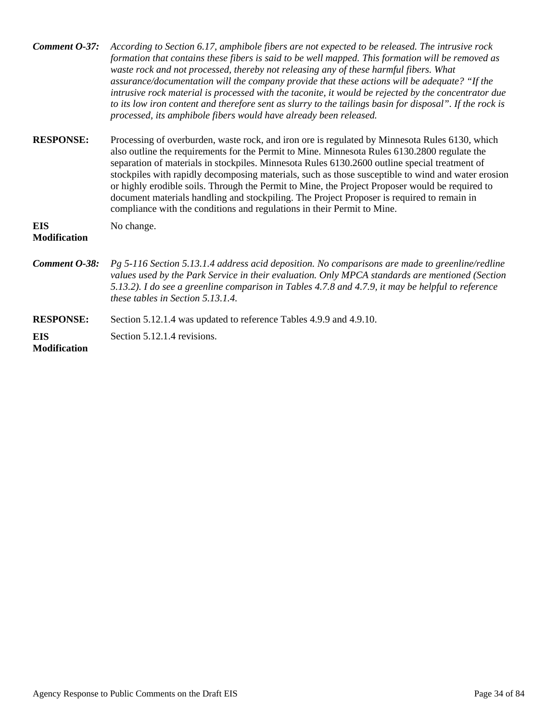| Comment O-37:                     | According to Section 6.17, amphibole fibers are not expected to be released. The intrusive rock<br>formation that contains these fibers is said to be well mapped. This formation will be removed as<br>waste rock and not processed, thereby not releasing any of these harmful fibers. What<br>assurance/documentation will the company provide that these actions will be adequate? "If the<br>intrusive rock material is processed with the taconite, it would be rejected by the concentrator due<br>to its low iron content and therefore sent as slurry to the tailings basin for disposal". If the rock is<br>processed, its amphibole fibers would have already been released. |
|-----------------------------------|-----------------------------------------------------------------------------------------------------------------------------------------------------------------------------------------------------------------------------------------------------------------------------------------------------------------------------------------------------------------------------------------------------------------------------------------------------------------------------------------------------------------------------------------------------------------------------------------------------------------------------------------------------------------------------------------|
| <b>RESPONSE:</b>                  | Processing of overburden, waste rock, and iron ore is regulated by Minnesota Rules 6130, which<br>also outline the requirements for the Permit to Mine. Minnesota Rules 6130.2800 regulate the<br>separation of materials in stockpiles. Minnesota Rules 6130.2600 outline special treatment of<br>stockpiles with rapidly decomposing materials, such as those susceptible to wind and water erosion<br>or highly erodible soils. Through the Permit to Mine, the Project Proposer would be required to<br>document materials handling and stockpiling. The Project Proposer is required to remain in<br>compliance with the conditions and regulations in their Permit to Mine.       |
| <b>EIS</b><br><b>Modification</b> | No change.                                                                                                                                                                                                                                                                                                                                                                                                                                                                                                                                                                                                                                                                              |
| <b>Comment O-38:</b>              | $Pg$ 5-116 Section 5.13.1.4 address acid deposition. No comparisons are made to greenline/redline<br>values used by the Park Service in their evaluation. Only MPCA standards are mentioned (Section<br>5.13.2). I do see a greenline comparison in Tables 4.7.8 and 4.7.9, it may be helpful to reference<br>these tables in Section 5.13.1.4.                                                                                                                                                                                                                                                                                                                                         |
| <b>RESPONSE:</b>                  | Section 5.12.1.4 was updated to reference Tables 4.9.9 and 4.9.10.                                                                                                                                                                                                                                                                                                                                                                                                                                                                                                                                                                                                                      |
| <b>EIS</b><br><b>Modification</b> | Section 5.12.1.4 revisions.                                                                                                                                                                                                                                                                                                                                                                                                                                                                                                                                                                                                                                                             |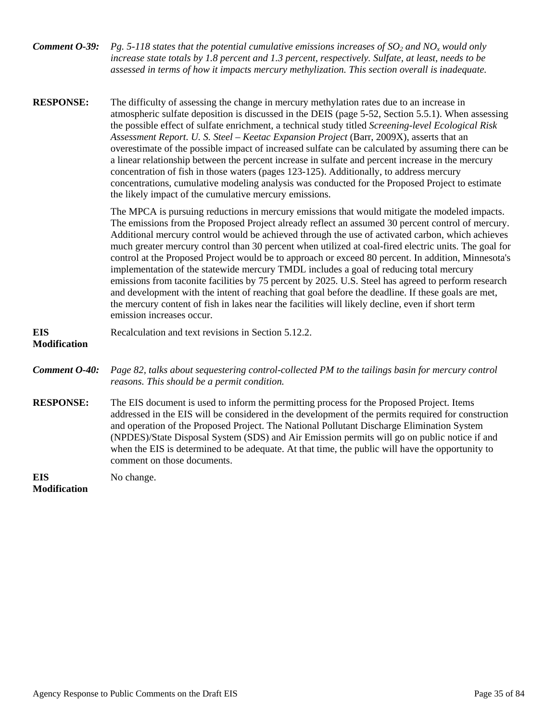| Comment O-39:                     | Pg. 5-118 states that the potential cumulative emissions increases of $SO_2$ and $NO_x$ would only<br>increase state totals by 1.8 percent and 1.3 percent, respectively. Sulfate, at least, needs to be<br>assessed in terms of how it impacts mercury methylization. This section overall is inadequate.                                                                                                                                                                                                                                                                                                                                                                                                                                                                                                                                                                                                                                                     |
|-----------------------------------|----------------------------------------------------------------------------------------------------------------------------------------------------------------------------------------------------------------------------------------------------------------------------------------------------------------------------------------------------------------------------------------------------------------------------------------------------------------------------------------------------------------------------------------------------------------------------------------------------------------------------------------------------------------------------------------------------------------------------------------------------------------------------------------------------------------------------------------------------------------------------------------------------------------------------------------------------------------|
| <b>RESPONSE:</b>                  | The difficulty of assessing the change in mercury methylation rates due to an increase in<br>atmospheric sulfate deposition is discussed in the DEIS (page 5-52, Section 5.5.1). When assessing<br>the possible effect of sulfate enrichment, a technical study titled Screening-level Ecological Risk<br>Assessment Report. U. S. Steel - Keetac Expansion Project (Barr, 2009X), asserts that an<br>overestimate of the possible impact of increased sulfate can be calculated by assuming there can be<br>a linear relationship between the percent increase in sulfate and percent increase in the mercury<br>concentration of fish in those waters (pages 123-125). Additionally, to address mercury<br>concentrations, cumulative modeling analysis was conducted for the Proposed Project to estimate<br>the likely impact of the cumulative mercury emissions.                                                                                         |
|                                   | The MPCA is pursuing reductions in mercury emissions that would mitigate the modeled impacts.<br>The emissions from the Proposed Project already reflect an assumed 30 percent control of mercury.<br>Additional mercury control would be achieved through the use of activated carbon, which achieves<br>much greater mercury control than 30 percent when utilized at coal-fired electric units. The goal for<br>control at the Proposed Project would be to approach or exceed 80 percent. In addition, Minnesota's<br>implementation of the statewide mercury TMDL includes a goal of reducing total mercury<br>emissions from taconite facilities by 75 percent by 2025. U.S. Steel has agreed to perform research<br>and development with the intent of reaching that goal before the deadline. If these goals are met,<br>the mercury content of fish in lakes near the facilities will likely decline, even if short term<br>emission increases occur. |
| <b>EIS</b><br><b>Modification</b> | Recalculation and text revisions in Section 5.12.2.                                                                                                                                                                                                                                                                                                                                                                                                                                                                                                                                                                                                                                                                                                                                                                                                                                                                                                            |
| <b>Comment O-40:</b>              | Page 82, talks about sequestering control-collected PM to the tailings basin for mercury control<br>reasons. This should be a permit condition.                                                                                                                                                                                                                                                                                                                                                                                                                                                                                                                                                                                                                                                                                                                                                                                                                |
| <b>RESPONSE:</b>                  | The EIS document is used to inform the permitting process for the Proposed Project. Items<br>addressed in the EIS will be considered in the development of the permits required for construction<br>and operation of the Proposed Project. The National Pollutant Discharge Elimination System<br>(NPDES)/State Disposal System (SDS) and Air Emission permits will go on public notice if and<br>when the EIS is determined to be adequate. At that time, the public will have the opportunity to<br>comment on those documents.                                                                                                                                                                                                                                                                                                                                                                                                                              |
| <b>EIS</b><br><b>Modification</b> | No change.                                                                                                                                                                                                                                                                                                                                                                                                                                                                                                                                                                                                                                                                                                                                                                                                                                                                                                                                                     |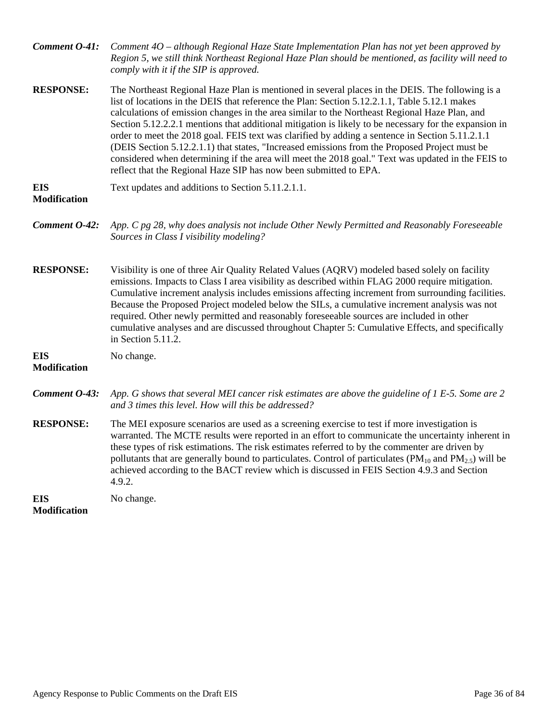| Comment O-41:                     | Comment $40$ – although Regional Haze State Implementation Plan has not yet been approved by<br>Region 5, we still think Northeast Regional Haze Plan should be mentioned, as facility will need to<br>comply with it if the SIP is approved.                                                                                                                                                                                                                                                                                                                                                                                                                                                                                                                                            |
|-----------------------------------|------------------------------------------------------------------------------------------------------------------------------------------------------------------------------------------------------------------------------------------------------------------------------------------------------------------------------------------------------------------------------------------------------------------------------------------------------------------------------------------------------------------------------------------------------------------------------------------------------------------------------------------------------------------------------------------------------------------------------------------------------------------------------------------|
| <b>RESPONSE:</b>                  | The Northeast Regional Haze Plan is mentioned in several places in the DEIS. The following is a<br>list of locations in the DEIS that reference the Plan: Section 5.12.2.1.1, Table 5.12.1 makes<br>calculations of emission changes in the area similar to the Northeast Regional Haze Plan, and<br>Section 5.12.2.2.1 mentions that additional mitigation is likely to be necessary for the expansion in<br>order to meet the 2018 goal. FEIS text was clarified by adding a sentence in Section 5.11.2.1.1<br>(DEIS Section 5.12.2.1.1) that states, "Increased emissions from the Proposed Project must be<br>considered when determining if the area will meet the 2018 goal." Text was updated in the FEIS to<br>reflect that the Regional Haze SIP has now been submitted to EPA. |
| <b>EIS</b><br><b>Modification</b> | Text updates and additions to Section 5.11.2.1.1.                                                                                                                                                                                                                                                                                                                                                                                                                                                                                                                                                                                                                                                                                                                                        |
| Comment O-42:                     | App. C pg 28, why does analysis not include Other Newly Permitted and Reasonably Foreseeable<br>Sources in Class I visibility modeling?                                                                                                                                                                                                                                                                                                                                                                                                                                                                                                                                                                                                                                                  |
| <b>RESPONSE:</b>                  | Visibility is one of three Air Quality Related Values (AQRV) modeled based solely on facility<br>emissions. Impacts to Class I area visibility as described within FLAG 2000 require mitigation.<br>Cumulative increment analysis includes emissions affecting increment from surrounding facilities.<br>Because the Proposed Project modeled below the SILs, a cumulative increment analysis was not<br>required. Other newly permitted and reasonably foreseeable sources are included in other<br>cumulative analyses and are discussed throughout Chapter 5: Cumulative Effects, and specifically<br>in Section 5.11.2.                                                                                                                                                              |
| <b>EIS</b><br><b>Modification</b> | No change.                                                                                                                                                                                                                                                                                                                                                                                                                                                                                                                                                                                                                                                                                                                                                                               |
| <b>Comment O-43:</b>              | App. G shows that several MEI cancer risk estimates are above the guideline of 1 E-5. Some are 2<br>and 3 times this level. How will this be addressed?                                                                                                                                                                                                                                                                                                                                                                                                                                                                                                                                                                                                                                  |
| <b>RESPONSE:</b>                  | The MEI exposure scenarios are used as a screening exercise to test if more investigation is<br>warranted. The MCTE results were reported in an effort to communicate the uncertainty inherent in<br>these types of risk estimations. The risk estimates referred to by the commenter are driven by<br>pollutants that are generally bound to particulates. Control of particulates ( $PM_{10}$ and $PM_{2.5}$ ) will be<br>achieved according to the BACT review which is discussed in FEIS Section 4.9.3 and Section<br>4.9.2.                                                                                                                                                                                                                                                         |
| <b>EIS</b><br>Modification        | No change.                                                                                                                                                                                                                                                                                                                                                                                                                                                                                                                                                                                                                                                                                                                                                                               |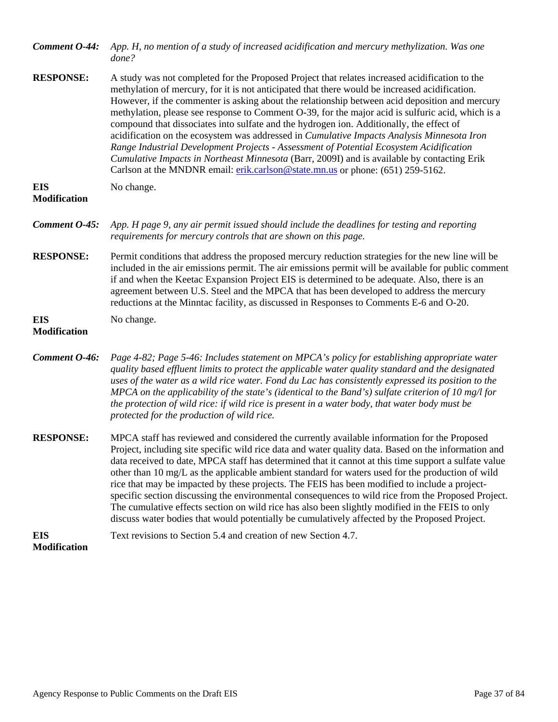*Comment O-44: App. H, no mention of a study of increased acidification and mercury methylization. Was one done?* 

| <b>RESPONSE:</b> | A study was not completed for the Proposed Project that relates increased acidification to the<br>methylation of mercury, for it is not anticipated that there would be increased acidification.<br>However, if the commenter is asking about the relationship between acid deposition and mercury |
|------------------|----------------------------------------------------------------------------------------------------------------------------------------------------------------------------------------------------------------------------------------------------------------------------------------------------|
|                  | methylation, please see response to Comment O-39, for the major acid is sulfuric acid, which is a<br>compound that dissociates into sulfate and the hydrogen ion. Additionally, the effect of<br>acidification on the ecosystem was addressed in <i>Cumulative Impacts Analysis Minnesota Iron</i> |
|                  | Range Industrial Development Projects - Assessment of Potential Ecosystem Acidification<br>Cumulative Impacts in Northeast Minnesota (Barr, 2009I) and is available by contacting Erik<br>Carlson at the MNDNR email: erik.carlson@state.mn.us or phone: (651) 259-5162.                           |

```
EIS 
Modification 
                   No change.
```
### *Comment O-45: App. H page 9, any air permit issued should include the deadlines for testing and reporting requirements for mercury controls that are shown on this page.*

**RESPONSE:** Permit conditions that address the proposed mercury reduction strategies for the new line will be included in the air emissions permit. The air emissions permit will be available for public comment if and when the Keetac Expansion Project EIS is determined to be adequate. Also, there is an agreement between U.S. Steel and the MPCA that has been developed to address the mercury reductions at the Minntac facility, as discussed in Responses to Comments E-6 and O-20.

#### **EIS Modification**  No change.

#### *Comment O-46: Page 4-82; Page 5-46: Includes statement on MPCA's policy for establishing appropriate water quality based effluent limits to protect the applicable water quality standard and the designated uses of the water as a wild rice water. Fond du Lac has consistently expressed its position to the MPCA on the applicability of the state's (identical to the Band's) sulfate criterion of 10 mg/l for the protection of wild rice: if wild rice is present in a water body, that water body must be protected for the production of wild rice.*

**RESPONSE:** MPCA staff has reviewed and considered the currently available information for the Proposed Project, including site specific wild rice data and water quality data. Based on the information and data received to date, MPCA staff has determined that it cannot at this time support a sulfate value other than 10 mg/L as the applicable ambient standard for waters used for the production of wild rice that may be impacted by these projects. The FEIS has been modified to include a projectspecific section discussing the environmental consequences to wild rice from the Proposed Project. The cumulative effects section on wild rice has also been slightly modified in the FEIS to only discuss water bodies that would potentially be cumulatively affected by the Proposed Project.

#### **EIS**  Text revisions to Section 5.4 and creation of new Section 4.7.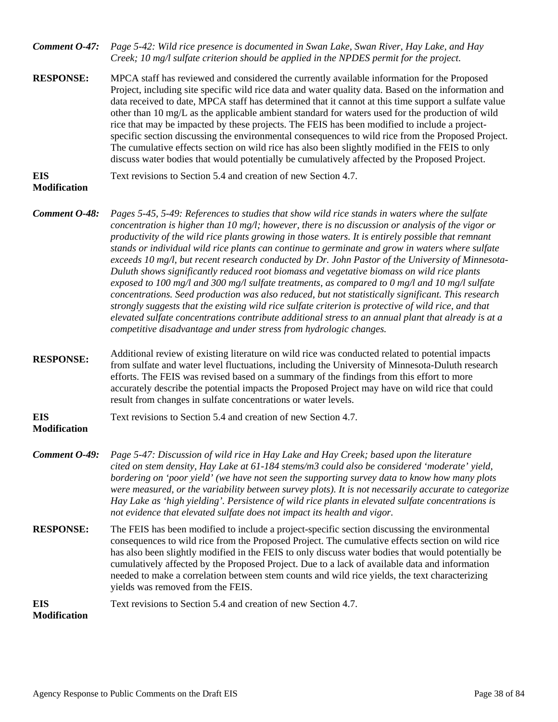| Comment O-47:                     | Page 5-42: Wild rice presence is documented in Swan Lake, Swan River, Hay Lake, and Hay<br>Creek; 10 mg/l sulfate criterion should be applied in the NPDES permit for the project.                                                                                                                                                                                                                                                                                                                                                                                                                                                                                                                                                                                                                                                                                                                                                                                                                                                                                                                                        |  |
|-----------------------------------|---------------------------------------------------------------------------------------------------------------------------------------------------------------------------------------------------------------------------------------------------------------------------------------------------------------------------------------------------------------------------------------------------------------------------------------------------------------------------------------------------------------------------------------------------------------------------------------------------------------------------------------------------------------------------------------------------------------------------------------------------------------------------------------------------------------------------------------------------------------------------------------------------------------------------------------------------------------------------------------------------------------------------------------------------------------------------------------------------------------------------|--|
| <b>RESPONSE:</b>                  | MPCA staff has reviewed and considered the currently available information for the Proposed<br>Project, including site specific wild rice data and water quality data. Based on the information and<br>data received to date, MPCA staff has determined that it cannot at this time support a sulfate value<br>other than 10 mg/L as the applicable ambient standard for waters used for the production of wild<br>rice that may be impacted by these projects. The FEIS has been modified to include a project-<br>specific section discussing the environmental consequences to wild rice from the Proposed Project.<br>The cumulative effects section on wild rice has also been slightly modified in the FEIS to only<br>discuss water bodies that would potentially be cumulatively affected by the Proposed Project.                                                                                                                                                                                                                                                                                                |  |
| <b>EIS</b><br><b>Modification</b> | Text revisions to Section 5.4 and creation of new Section 4.7.                                                                                                                                                                                                                                                                                                                                                                                                                                                                                                                                                                                                                                                                                                                                                                                                                                                                                                                                                                                                                                                            |  |
| <b>Comment O-48:</b>              | Pages 5-45, 5-49: References to studies that show wild rice stands in waters where the sulfate<br>concentration is higher than $10 \text{ mg/l}$ ; however, there is no discussion or analysis of the vigor or<br>productivity of the wild rice plants growing in those waters. It is entirely possible that remnant<br>stands or individual wild rice plants can continue to germinate and grow in waters where sulfate<br>exceeds 10 mg/l, but recent research conducted by Dr. John Pastor of the University of Minnesota-<br>Duluth shows significantly reduced root biomass and vegetative biomass on wild rice plants<br>exposed to 100 mg/l and 300 mg/l sulfate treatments, as compared to 0 mg/l and 10 mg/l sulfate<br>concentrations. Seed production was also reduced, but not statistically significant. This research<br>strongly suggests that the existing wild rice sulfate criterion is protective of wild rice, and that<br>elevated sulfate concentrations contribute additional stress to an annual plant that already is at a<br>competitive disadvantage and under stress from hydrologic changes. |  |
| <b>RESPONSE:</b>                  | Additional review of existing literature on wild rice was conducted related to potential impacts<br>from sulfate and water level fluctuations, including the University of Minnesota-Duluth research<br>efforts. The FEIS was revised based on a summary of the findings from this effort to more<br>accurately describe the potential impacts the Proposed Project may have on wild rice that could<br>result from changes in sulfate concentrations or water levels.                                                                                                                                                                                                                                                                                                                                                                                                                                                                                                                                                                                                                                                    |  |
| <b>EIS</b><br><b>Modification</b> | Text revisions to Section 5.4 and creation of new Section 4.7.                                                                                                                                                                                                                                                                                                                                                                                                                                                                                                                                                                                                                                                                                                                                                                                                                                                                                                                                                                                                                                                            |  |
| <b>Comment O-49:</b>              | Page 5-47: Discussion of wild rice in Hay Lake and Hay Creek; based upon the literature<br>cited on stem density, Hay Lake at 61-184 stems/m3 could also be considered 'moderate' yield,<br>bordering on 'poor yield' (we have not seen the supporting survey data to know how many plots<br>were measured, or the variability between survey plots). It is not necessarily accurate to categorize<br>Hay Lake as 'high yielding'. Persistence of wild rice plants in elevated sulfate concentrations is<br>not evidence that elevated sulfate does not impact its health and vigor.                                                                                                                                                                                                                                                                                                                                                                                                                                                                                                                                      |  |
| <b>RESPONSE:</b>                  | The FEIS has been modified to include a project-specific section discussing the environmental<br>consequences to wild rice from the Proposed Project. The cumulative effects section on wild rice<br>has also been slightly modified in the FEIS to only discuss water bodies that would potentially be<br>cumulatively affected by the Proposed Project. Due to a lack of available data and information<br>needed to make a correlation between stem counts and wild rice yields, the text characterizing<br>yields was removed from the FEIS.                                                                                                                                                                                                                                                                                                                                                                                                                                                                                                                                                                          |  |
| <b>EIS</b><br><b>Modification</b> | Text revisions to Section 5.4 and creation of new Section 4.7.                                                                                                                                                                                                                                                                                                                                                                                                                                                                                                                                                                                                                                                                                                                                                                                                                                                                                                                                                                                                                                                            |  |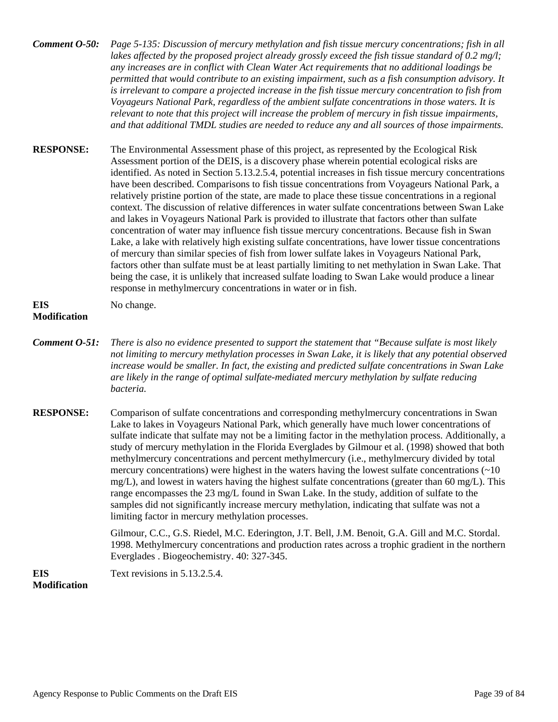| Comment O-50:    | Page 5-135: Discussion of mercury methylation and fish tissue mercury concentrations; fish in all<br>lakes affected by the proposed project already grossly exceed the fish tissue standard of 0.2 mg/l;<br>any increases are in conflict with Clean Water Act requirements that no additional loadings be<br>permitted that would contribute to an existing impairment, such as a fish consumption advisory. It<br>is irrelevant to compare a projected increase in the fish tissue mercury concentration to fish from<br>Voyageurs National Park, regardless of the ambient sulfate concentrations in those waters. It is<br>relevant to note that this project will increase the problem of mercury in fish tissue impairments,<br>and that additional TMDL studies are needed to reduce any and all sources of those impairments. |
|------------------|---------------------------------------------------------------------------------------------------------------------------------------------------------------------------------------------------------------------------------------------------------------------------------------------------------------------------------------------------------------------------------------------------------------------------------------------------------------------------------------------------------------------------------------------------------------------------------------------------------------------------------------------------------------------------------------------------------------------------------------------------------------------------------------------------------------------------------------|
| <b>RESPONSE:</b> | The Environmental Assessment phase of this project, as represented by the Ecological Risk                                                                                                                                                                                                                                                                                                                                                                                                                                                                                                                                                                                                                                                                                                                                             |

Assessment portion of the DEIS, is a discovery phase wherein potential ecological risks are identified. As noted in Section 5.13.2.5.4, potential increases in fish tissue mercury concentrations have been described. Comparisons to fish tissue concentrations from Voyageurs National Park, a relatively pristine portion of the state, are made to place these tissue concentrations in a regional context. The discussion of relative differences in water sulfate concentrations between Swan Lake and lakes in Voyageurs National Park is provided to illustrate that factors other than sulfate concentration of water may influence fish tissue mercury concentrations. Because fish in Swan Lake, a lake with relatively high existing sulfate concentrations, have lower tissue concentrations of mercury than similar species of fish from lower sulfate lakes in Voyageurs National Park, factors other than sulfate must be at least partially limiting to net methylation in Swan Lake. That being the case, it is unlikely that increased sulfate loading to Swan Lake would produce a linear response in methylmercury concentrations in water or in fish.

No change.

### **Modification**

**EIS** 

- *Comment O-51: There is also no evidence presented to support the statement that "Because sulfate is most likely not limiting to mercury methylation processes in Swan Lake, it is likely that any potential observed increase would be smaller. In fact, the existing and predicted sulfate concentrations in Swan Lake are likely in the range of optimal sulfate-mediated mercury methylation by sulfate reducing bacteria.*
- **RESPONSE:** Comparison of sulfate concentrations and corresponding methylmercury concentrations in Swan Lake to lakes in Voyageurs National Park, which generally have much lower concentrations of sulfate indicate that sulfate may not be a limiting factor in the methylation process. Additionally, a study of mercury methylation in the Florida Everglades by Gilmour et al. (1998) showed that both methylmercury concentrations and percent methylmercury (i.e., methylmercury divided by total mercury concentrations) were highest in the waters having the lowest sulfate concentrations  $\left(\sim\right)10$ mg/L), and lowest in waters having the highest sulfate concentrations (greater than 60 mg/L). This range encompasses the 23 mg/L found in Swan Lake. In the study, addition of sulfate to the samples did not significantly increase mercury methylation, indicating that sulfate was not a limiting factor in mercury methylation processes.

Gilmour, C.C., G.S. Riedel, M.C. Ederington, J.T. Bell, J.M. Benoit, G.A. Gill and M.C. Stordal. 1998. Methylmercury concentrations and production rates across a trophic gradient in the northern Everglades . Biogeochemistry. 40: 327-345.

**EIS**  Text revisions in 5.13.2.5.4.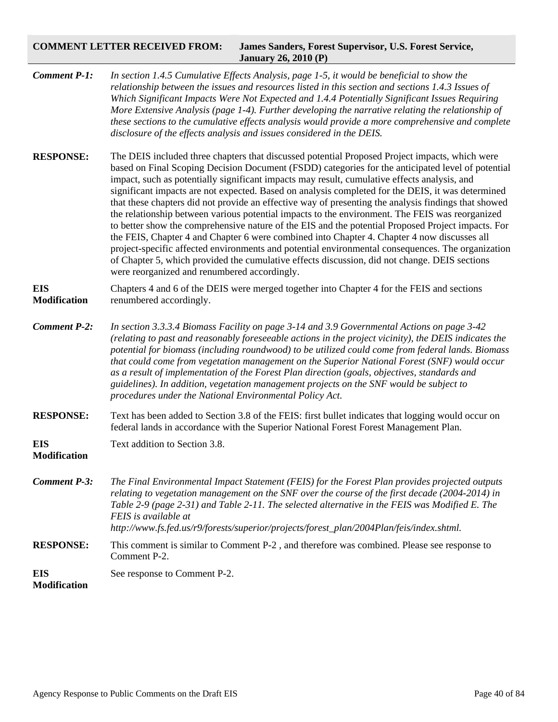# **COMMENT LETTER RECEIVED FROM: James Sanders, Forest Supervisor, U.S. Forest Service,**

**January 26, 2010 (P)** 

| <b>Comment P-1:</b>               | In section 1.4.5 Cumulative Effects Analysis, page 1-5, it would be beneficial to show the<br>relationship between the issues and resources listed in this section and sections 1.4.3 Issues of<br>Which Significant Impacts Were Not Expected and 1.4.4 Potentially Significant Issues Requiring<br>More Extensive Analysis (page 1-4). Further developing the narrative relating the relationship of<br>these sections to the cumulative effects analysis would provide a more comprehensive and complete<br>disclosure of the effects analysis and issues considered in the DEIS.                                                                                                                                                                                                                                                                                                                                                                                                                                                                                           |  |
|-----------------------------------|--------------------------------------------------------------------------------------------------------------------------------------------------------------------------------------------------------------------------------------------------------------------------------------------------------------------------------------------------------------------------------------------------------------------------------------------------------------------------------------------------------------------------------------------------------------------------------------------------------------------------------------------------------------------------------------------------------------------------------------------------------------------------------------------------------------------------------------------------------------------------------------------------------------------------------------------------------------------------------------------------------------------------------------------------------------------------------|--|
| <b>RESPONSE:</b>                  | The DEIS included three chapters that discussed potential Proposed Project impacts, which were<br>based on Final Scoping Decision Document (FSDD) categories for the anticipated level of potential<br>impact, such as potentially significant impacts may result, cumulative effects analysis, and<br>significant impacts are not expected. Based on analysis completed for the DEIS, it was determined<br>that these chapters did not provide an effective way of presenting the analysis findings that showed<br>the relationship between various potential impacts to the environment. The FEIS was reorganized<br>to better show the comprehensive nature of the EIS and the potential Proposed Project impacts. For<br>the FEIS, Chapter 4 and Chapter 6 were combined into Chapter 4. Chapter 4 now discusses all<br>project-specific affected environments and potential environmental consequences. The organization<br>of Chapter 5, which provided the cumulative effects discussion, did not change. DEIS sections<br>were reorganized and renumbered accordingly. |  |
| <b>EIS</b><br><b>Modification</b> | Chapters 4 and 6 of the DEIS were merged together into Chapter 4 for the FEIS and sections<br>renumbered accordingly.                                                                                                                                                                                                                                                                                                                                                                                                                                                                                                                                                                                                                                                                                                                                                                                                                                                                                                                                                          |  |
| <b>Comment P-2:</b>               | In section 3.3.3.4 Biomass Facility on page 3-14 and 3.9 Governmental Actions on page 3-42<br>(relating to past and reasonably foreseeable actions in the project vicinity), the DEIS indicates the<br>potential for biomass (including roundwood) to be utilized could come from federal lands. Biomass<br>that could come from vegetation management on the Superior National Forest (SNF) would occur<br>as a result of implementation of the Forest Plan direction (goals, objectives, standards and<br>guidelines). In addition, vegetation management projects on the SNF would be subject to<br>procedures under the National Environmental Policy Act.                                                                                                                                                                                                                                                                                                                                                                                                                 |  |
| <b>RESPONSE:</b>                  | Text has been added to Section 3.8 of the FEIS: first bullet indicates that logging would occur on<br>federal lands in accordance with the Superior National Forest Forest Management Plan.                                                                                                                                                                                                                                                                                                                                                                                                                                                                                                                                                                                                                                                                                                                                                                                                                                                                                    |  |
| <b>EIS</b><br><b>Modification</b> | Text addition to Section 3.8.                                                                                                                                                                                                                                                                                                                                                                                                                                                                                                                                                                                                                                                                                                                                                                                                                                                                                                                                                                                                                                                  |  |
| <b>Comment P-3:</b>               | The Final Environmental Impact Statement (FEIS) for the Forest Plan provides projected outputs<br>relating to vegetation management on the SNF over the course of the first decade (2004-2014) in<br>Table 2-9 (page 2-31) and Table 2-11. The selected alternative in the FEIS was Modified E. The<br>FEIS is available at<br>http://www.fs.fed.us/r9/forests/superior/projects/forest_plan/2004Plan/feis/index.shtml.                                                                                                                                                                                                                                                                                                                                                                                                                                                                                                                                                                                                                                                        |  |
| <b>RESPONSE:</b>                  | This comment is similar to Comment P-2, and therefore was combined. Please see response to<br>Comment P-2.                                                                                                                                                                                                                                                                                                                                                                                                                                                                                                                                                                                                                                                                                                                                                                                                                                                                                                                                                                     |  |
| <b>EIS</b><br><b>Modification</b> | See response to Comment P-2.                                                                                                                                                                                                                                                                                                                                                                                                                                                                                                                                                                                                                                                                                                                                                                                                                                                                                                                                                                                                                                                   |  |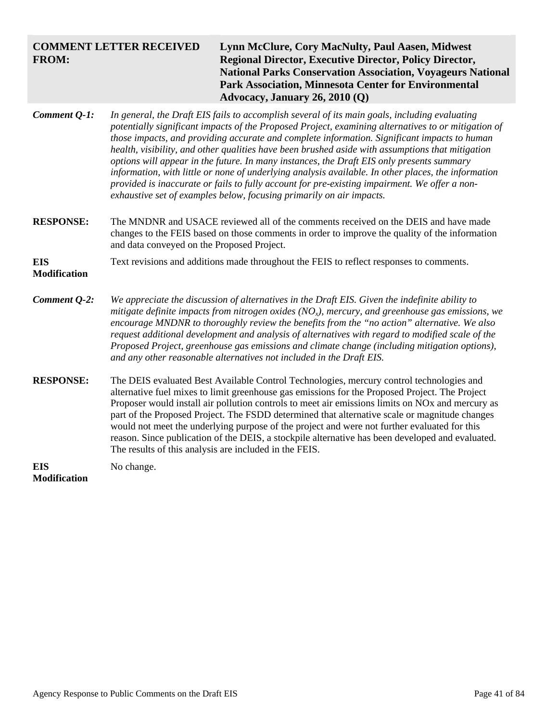# **COMMENT LETTER RECEIVED FROM:**

### **Lynn McClure, Cory MacNulty, Paul Aasen, Midwest Regional Director, Executive Director, Policy Director, National Parks Conservation Association, Voyageurs National Park Association, Minnesota Center for Environmental Advocacy, January 26, 2010 (Q)**

*Comment Q-1: In general, the Draft EIS fails to accomplish several of its main goals, including evaluating potentially significant impacts of the Proposed Project, examining alternatives to or mitigation of those impacts, and providing accurate and complete information. Significant impacts to human health, visibility, and other qualities have been brushed aside with assumptions that mitigation options will appear in the future. In many instances, the Draft EIS only presents summary information, with little or none of underlying analysis available. In other places, the information provided is inaccurate or fails to fully account for pre-existing impairment. We offer a nonexhaustive set of examples below, focusing primarily on air impacts.* 

**RESPONSE:** The MNDNR and USACE reviewed all of the comments received on the DEIS and have made changes to the FEIS based on those comments in order to improve the quality of the information and data conveyed on the Proposed Project.

#### **EIS**  Text revisions and additions made throughout the FEIS to reflect responses to comments.

- **Modification**
- *Comment Q-2: We appreciate the discussion of alternatives in the Draft EIS. Given the indefinite ability to mitigate definite impacts from nitrogen oxides (NOx), mercury, and greenhouse gas emissions, we encourage MNDNR to thoroughly review the benefits from the "no action" alternative. We also request additional development and analysis of alternatives with regard to modified scale of the Proposed Project, greenhouse gas emissions and climate change (including mitigation options), and any other reasonable alternatives not included in the Draft EIS.*
- **RESPONSE:** The DEIS evaluated Best Available Control Technologies, mercury control technologies and alternative fuel mixes to limit greenhouse gas emissions for the Proposed Project. The Project Proposer would install air pollution controls to meet air emissions limits on NOx and mercury as part of the Proposed Project. The FSDD determined that alternative scale or magnitude changes would not meet the underlying purpose of the project and were not further evaluated for this reason. Since publication of the DEIS, a stockpile alternative has been developed and evaluated. The results of this analysis are included in the FEIS.
- **EIS**  No change.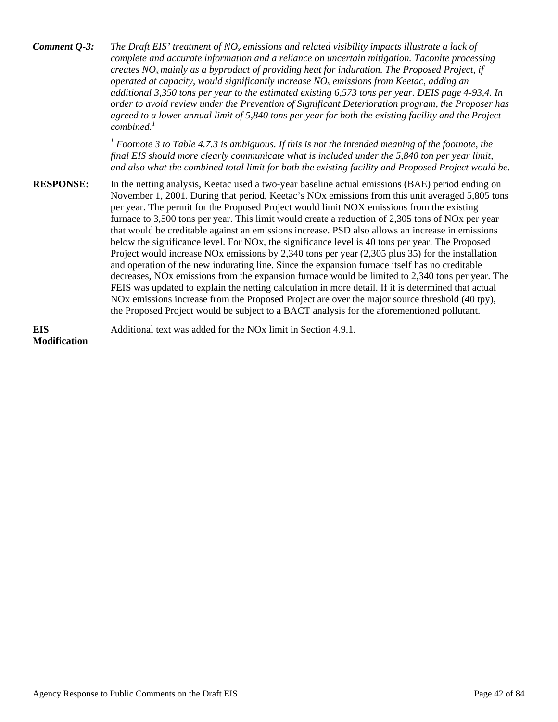| Comment Q-3:     | The Draft EIS' treatment of $NO_x$ emissions and related visibility impacts illustrate a lack of<br>complete and accurate information and a reliance on uncertain mitigation. Taconite processing<br>creates $NOx$ mainly as a byproduct of providing heat for induration. The Proposed Project, if<br>operated at capacity, would significantly increase $NOx$ emissions from Keetac, adding an<br>additional 3,350 tons per year to the estimated existing 6,573 tons per year. DEIS page 4-93,4. In<br>order to avoid review under the Prevention of Significant Deterioration program, the Proposer has<br>agreed to a lower annual limit of $5,840$ tons per year for both the existing facility and the Project<br>combined <sup>1</sup>                                                                                                                                                                                                                                                                                                                                                                                                                                                                                                           |
|------------------|----------------------------------------------------------------------------------------------------------------------------------------------------------------------------------------------------------------------------------------------------------------------------------------------------------------------------------------------------------------------------------------------------------------------------------------------------------------------------------------------------------------------------------------------------------------------------------------------------------------------------------------------------------------------------------------------------------------------------------------------------------------------------------------------------------------------------------------------------------------------------------------------------------------------------------------------------------------------------------------------------------------------------------------------------------------------------------------------------------------------------------------------------------------------------------------------------------------------------------------------------------|
|                  | $\frac{1}{2}$ Footnote 3 to Table 4.7.3 is ambiguous. If this is not the intended meaning of the footnote, the<br>final EIS should more clearly communicate what is included under the 5,840 ton per year limit,<br>and also what the combined total limit for both the existing facility and Proposed Project would be.                                                                                                                                                                                                                                                                                                                                                                                                                                                                                                                                                                                                                                                                                                                                                                                                                                                                                                                                 |
| <b>RESPONSE:</b> | In the netting analysis, Keetac used a two-year baseline actual emissions (BAE) period ending on<br>November 1, 2001. During that period, Keetac's NOx emissions from this unit averaged 5,805 tons<br>per year. The permit for the Proposed Project would limit NOX emissions from the existing<br>furnace to 3,500 tons per year. This limit would create a reduction of 2,305 tons of NO <sub>x</sub> per year<br>that would be creditable against an emissions increase. PSD also allows an increase in emissions<br>below the significance level. For NO <sub>x</sub> , the significance level is 40 tons per year. The Proposed<br>Project would increase NOx emissions by 2,340 tons per year $(2,305$ plus 35) for the installation<br>and operation of the new indurating line. Since the expansion furnace itself has no creditable<br>decreases, NOx emissions from the expansion furnace would be limited to 2,340 tons per year. The<br>FEIS was updated to explain the netting calculation in more detail. If it is determined that actual<br>NOx emissions increase from the Proposed Project are over the major source threshold (40 tpy),<br>the Proposed Project would be subject to a BACT analysis for the aforementioned pollutant. |
| <b>EIS</b>       | Additional text was added for the NO <sub>x</sub> limit in Section 4.9.1.                                                                                                                                                                                                                                                                                                                                                                                                                                                                                                                                                                                                                                                                                                                                                                                                                                                                                                                                                                                                                                                                                                                                                                                |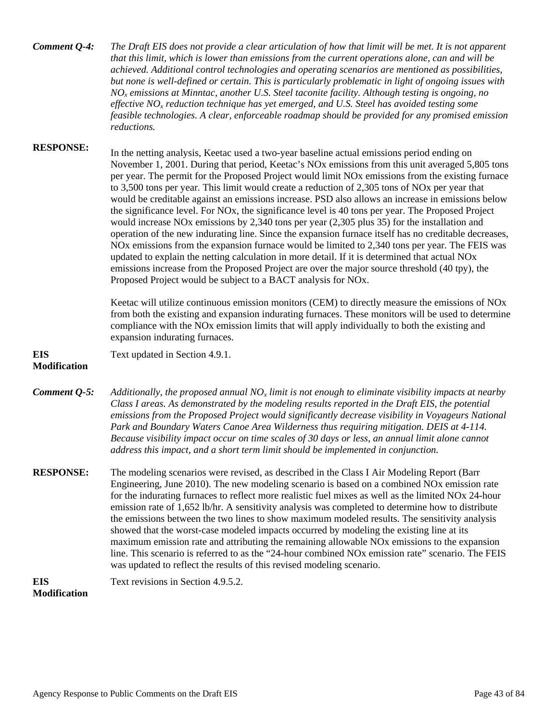| Comment Q-4:                      | The Draft EIS does not provide a clear articulation of how that limit will be met. It is not apparent<br>that this limit, which is lower than emissions from the current operations alone, can and will be<br>achieved. Additional control technologies and operating scenarios are mentioned as possibilities,<br>but none is well-defined or certain. This is particularly problematic in light of ongoing issues with<br>$NOx$ emissions at Minntac, another U.S. Steel taconite facility. Although testing is ongoing, no<br>effective $NO_x$ reduction technique has yet emerged, and U.S. Steel has avoided testing some<br>feasible technologies. A clear, enforceable roadmap should be provided for any promised emission<br>reductions.                                                                                                                                                                                                                                                                                                                                                                                                                                                                                                                                                 |
|-----------------------------------|---------------------------------------------------------------------------------------------------------------------------------------------------------------------------------------------------------------------------------------------------------------------------------------------------------------------------------------------------------------------------------------------------------------------------------------------------------------------------------------------------------------------------------------------------------------------------------------------------------------------------------------------------------------------------------------------------------------------------------------------------------------------------------------------------------------------------------------------------------------------------------------------------------------------------------------------------------------------------------------------------------------------------------------------------------------------------------------------------------------------------------------------------------------------------------------------------------------------------------------------------------------------------------------------------|
| <b>RESPONSE:</b>                  | In the netting analysis, Keetac used a two-year baseline actual emissions period ending on<br>November 1, 2001. During that period, Keetac's NOx emissions from this unit averaged 5,805 tons<br>per year. The permit for the Proposed Project would limit NOx emissions from the existing furnace<br>to 3,500 tons per year. This limit would create a reduction of 2,305 tons of NOx per year that<br>would be creditable against an emissions increase. PSD also allows an increase in emissions below<br>the significance level. For NOx, the significance level is 40 tons per year. The Proposed Project<br>would increase NOx emissions by 2,340 tons per year (2,305 plus 35) for the installation and<br>operation of the new indurating line. Since the expansion furnace itself has no creditable decreases,<br>NOx emissions from the expansion furnace would be limited to 2,340 tons per year. The FEIS was<br>updated to explain the netting calculation in more detail. If it is determined that actual NOx<br>emissions increase from the Proposed Project are over the major source threshold (40 tpy), the<br>Proposed Project would be subject to a BACT analysis for NOx.<br>Keetac will utilize continuous emission monitors (CEM) to directly measure the emissions of NOx |
|                                   | from both the existing and expansion indurating furnaces. These monitors will be used to determine<br>compliance with the NO <sub>x</sub> emission limits that will apply individually to both the existing and<br>expansion indurating furnaces.                                                                                                                                                                                                                                                                                                                                                                                                                                                                                                                                                                                                                                                                                                                                                                                                                                                                                                                                                                                                                                                 |
| <b>EIS</b><br><b>Modification</b> | Text updated in Section 4.9.1.                                                                                                                                                                                                                                                                                                                                                                                                                                                                                                                                                                                                                                                                                                                                                                                                                                                                                                                                                                                                                                                                                                                                                                                                                                                                    |
| Comment Q-5:                      | Additionally, the proposed annual $NO_x$ limit is not enough to eliminate visibility impacts at nearby<br>Class I areas. As demonstrated by the modeling results reported in the Draft EIS, the potential<br>emissions from the Proposed Project would significantly decrease visibility in Voyageurs National<br>Park and Boundary Waters Canoe Area Wilderness thus requiring mitigation. DEIS at 4-114.<br>Because visibility impact occur on time scales of 30 days or less, an annual limit alone cannot<br>address this impact, and a short term limit should be implemented in conjunction.                                                                                                                                                                                                                                                                                                                                                                                                                                                                                                                                                                                                                                                                                                |
| <b>RESPONSE:</b>                  | The modeling scenarios were revised, as described in the Class I Air Modeling Report (Barr<br>Engineering, June 2010). The new modeling scenario is based on a combined NOx emission rate<br>for the indurating furnaces to reflect more realistic fuel mixes as well as the limited NOx 24-hour<br>emission rate of 1,652 lb/hr. A sensitivity analysis was completed to determine how to distribute<br>the emissions between the two lines to show maximum modeled results. The sensitivity analysis<br>showed that the worst-case modeled impacts occurred by modeling the existing line at its<br>maximum emission rate and attributing the remaining allowable NOx emissions to the expansion<br>line. This scenario is referred to as the "24-hour combined NO <sub>x</sub> emission rate" scenario. The FEIS<br>was updated to reflect the results of this revised modeling scenario.                                                                                                                                                                                                                                                                                                                                                                                                      |
| <b>EIS</b><br><b>Modification</b> | Text revisions in Section 4.9.5.2.                                                                                                                                                                                                                                                                                                                                                                                                                                                                                                                                                                                                                                                                                                                                                                                                                                                                                                                                                                                                                                                                                                                                                                                                                                                                |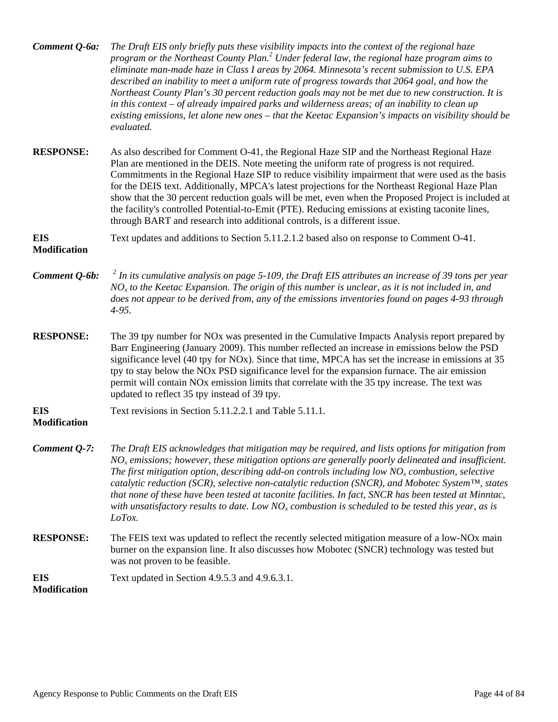| Comment Q-6a:                     | The Draft EIS only briefly puts these visibility impacts into the context of the regional haze<br>program or the Northeast County Plan. <sup>2</sup> Under federal law, the regional haze program aims to<br>eliminate man-made haze in Class I areas by 2064. Minnesota's recent submission to U.S. EPA<br>described an inability to meet a uniform rate of progress towards that 2064 goal, and how the<br>Northeast County Plan's 30 percent reduction goals may not be met due to new construction. It is<br>in this context $-$ of already impaired parks and wilderness areas; of an inability to clean up<br>existing emissions, let alone new ones – that the Keetac Expansion's impacts on visibility should be<br>evaluated. |
|-----------------------------------|----------------------------------------------------------------------------------------------------------------------------------------------------------------------------------------------------------------------------------------------------------------------------------------------------------------------------------------------------------------------------------------------------------------------------------------------------------------------------------------------------------------------------------------------------------------------------------------------------------------------------------------------------------------------------------------------------------------------------------------|
| <b>RESPONSE:</b>                  | As also described for Comment O-41, the Regional Haze SIP and the Northeast Regional Haze<br>Plan are mentioned in the DEIS. Note meeting the uniform rate of progress is not required.<br>Commitments in the Regional Haze SIP to reduce visibility impairment that were used as the basis<br>for the DEIS text. Additionally, MPCA's latest projections for the Northeast Regional Haze Plan<br>show that the 30 percent reduction goals will be met, even when the Proposed Project is included at<br>the facility's controlled Potential-to-Emit (PTE). Reducing emissions at existing taconite lines,<br>through BART and research into additional controls, is a different issue.                                                |
| <b>EIS</b><br><b>Modification</b> | Text updates and additions to Section 5.11.2.1.2 based also on response to Comment O-41.                                                                                                                                                                                                                                                                                                                                                                                                                                                                                                                                                                                                                                               |
| Comment Q-6b:                     | $3$ In its cumulative analysis on page 5-109, the Draft EIS attributes an increase of 39 tons per year<br>$NOx$ to the Keetac Expansion. The origin of this number is unclear, as it is not included in, and<br>does not appear to be derived from, any of the emissions inventories found on pages 4-93 through<br>$4-95.$                                                                                                                                                                                                                                                                                                                                                                                                            |
| <b>RESPONSE:</b>                  | The 39 tpy number for NOx was presented in the Cumulative Impacts Analysis report prepared by<br>Barr Engineering (January 2009). This number reflected an increase in emissions below the PSD<br>significance level (40 tpy for NOx). Since that time, MPCA has set the increase in emissions at 35<br>tpy to stay below the NOx PSD significance level for the expansion furnace. The air emission<br>permit will contain NO <sub>x</sub> emission limits that correlate with the 35 tpy increase. The text was<br>updated to reflect 35 tpy instead of 39 tpy.                                                                                                                                                                      |
| <b>EIS</b><br><b>Modification</b> | Text revisions in Section 5.11.2.2.1 and Table 5.11.1.                                                                                                                                                                                                                                                                                                                                                                                                                                                                                                                                                                                                                                                                                 |
| Comment Q-7:                      | The Draft EIS acknowledges that mitigation may be required, and lists options for mitigation from<br>$NOx$ emissions; however, these mitigation options are generally poorly delineated and insufficient.<br>The first mitigation option, describing add-on controls including low $NO_x$ combustion, selective<br>catalytic reduction (SCR), selective non-catalytic reduction (SNCR), and Mobotec System <sup>TM</sup> , states<br>that none of these have been tested at taconite facilities. In fact, SNCR has been tested at Minntac,<br>with unsatisfactory results to date. Low $NO_x$ combustion is scheduled to be tested this year, as is<br>LoTox.                                                                          |
| <b>RESPONSE:</b>                  | The FEIS text was updated to reflect the recently selected mitigation measure of a low-NOx main<br>burner on the expansion line. It also discusses how Mobotec (SNCR) technology was tested but<br>was not proven to be feasible.                                                                                                                                                                                                                                                                                                                                                                                                                                                                                                      |
| <b>EIS</b><br><b>Modification</b> | Text updated in Section 4.9.5.3 and 4.9.6.3.1.                                                                                                                                                                                                                                                                                                                                                                                                                                                                                                                                                                                                                                                                                         |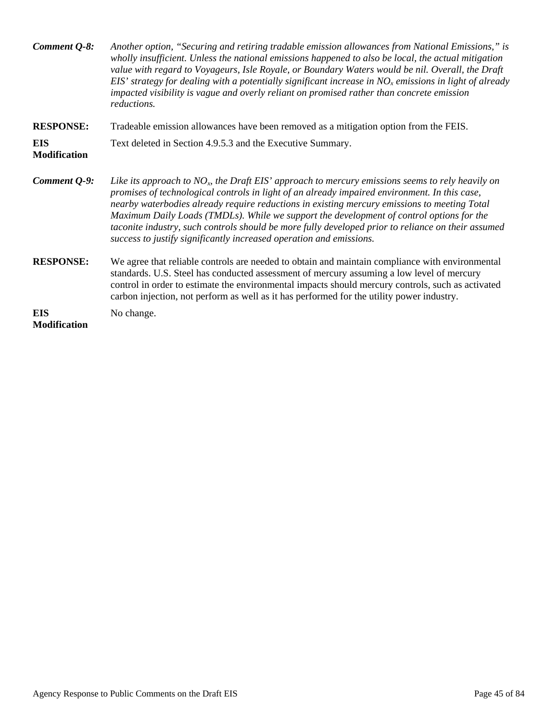| Comment Q-8:                      | Another option, "Securing and retiring tradable emission allowances from National Emissions," is<br>wholly insufficient. Unless the national emissions happened to also be local, the actual mitigation<br>value with regard to Voyageurs, Isle Royale, or Boundary Waters would be nil. Overall, the Draft<br>EIS' strategy for dealing with a potentially significant increase in $NO_x$ emissions in light of already<br>impacted visibility is vague and overly reliant on promised rather than concrete emission<br>reductions.                                          |  |
|-----------------------------------|-------------------------------------------------------------------------------------------------------------------------------------------------------------------------------------------------------------------------------------------------------------------------------------------------------------------------------------------------------------------------------------------------------------------------------------------------------------------------------------------------------------------------------------------------------------------------------|--|
| <b>RESPONSE:</b>                  | Tradeable emission allowances have been removed as a mitigation option from the FEIS.                                                                                                                                                                                                                                                                                                                                                                                                                                                                                         |  |
| <b>EIS</b><br><b>Modification</b> | Text deleted in Section 4.9.5.3 and the Executive Summary.                                                                                                                                                                                                                                                                                                                                                                                                                                                                                                                    |  |
| Comment Q-9:                      | Like its approach to $NO_x$ , the Draft EIS' approach to mercury emissions seems to rely heavily on<br>promises of technological controls in light of an already impaired environment. In this case,<br>nearby waterbodies already require reductions in existing mercury emissions to meeting Total<br>Maximum Daily Loads (TMDLs). While we support the development of control options for the<br>taconite industry, such controls should be more fully developed prior to reliance on their assumed<br>success to justify significantly increased operation and emissions. |  |
| <b>RESPONSE:</b>                  | We agree that reliable controls are needed to obtain and maintain compliance with environmental<br>standards. U.S. Steel has conducted assessment of mercury assuming a low level of mercury<br>control in order to estimate the environmental impacts should mercury controls, such as activated<br>carbon injection, not perform as well as it has performed for the utility power industry.                                                                                                                                                                                |  |
| <b>EIS</b><br><b>Modification</b> | No change.                                                                                                                                                                                                                                                                                                                                                                                                                                                                                                                                                                    |  |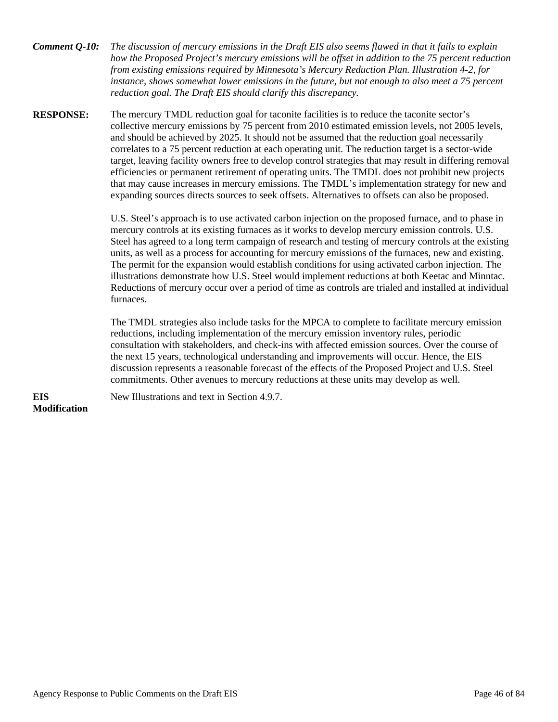*Comment Q-10: The discussion of mercury emissions in the Draft EIS also seems flawed in that it fails to explain how the Proposed Project's mercury emissions will be offset in addition to the 75 percent reduction from existing emissions required by Minnesota's Mercury Reduction Plan. Illustration 4-2, for instance, shows somewhat lower emissions in the future, but not enough to also meet a 75 percent reduction goal. The Draft EIS should clarify this discrepancy.* 

**RESPONSE:** The mercury TMDL reduction goal for taconite facilities is to reduce the taconite sector's collective mercury emissions by 75 percent from 2010 estimated emission levels, not 2005 levels, and should be achieved by 2025. It should not be assumed that the reduction goal necessarily correlates to a 75 percent reduction at each operating unit. The reduction target is a sector-wide target, leaving facility owners free to develop control strategies that may result in differing removal efficiencies or permanent retirement of operating units. The TMDL does not prohibit new projects that may cause increases in mercury emissions. The TMDL's implementation strategy for new and expanding sources directs sources to seek offsets. Alternatives to offsets can also be proposed.

> U.S. Steel's approach is to use activated carbon injection on the proposed furnace, and to phase in mercury controls at its existing furnaces as it works to develop mercury emission controls. U.S. Steel has agreed to a long term campaign of research and testing of mercury controls at the existing units, as well as a process for accounting for mercury emissions of the furnaces, new and existing. The permit for the expansion would establish conditions for using activated carbon injection. The illustrations demonstrate how U.S. Steel would implement reductions at both Keetac and Minntac. Reductions of mercury occur over a period of time as controls are trialed and installed at individual furnaces.

The TMDL strategies also include tasks for the MPCA to complete to facilitate mercury emission reductions, including implementation of the mercury emission inventory rules, periodic consultation with stakeholders, and check-ins with affected emission sources. Over the course of the next 15 years, technological understanding and improvements will occur. Hence, the EIS discussion represents a reasonable forecast of the effects of the Proposed Project and U.S. Steel commitments. Other avenues to mercury reductions at these units may develop as well.

#### **EIS Modification**  New Illustrations and text in Section 4.9.7.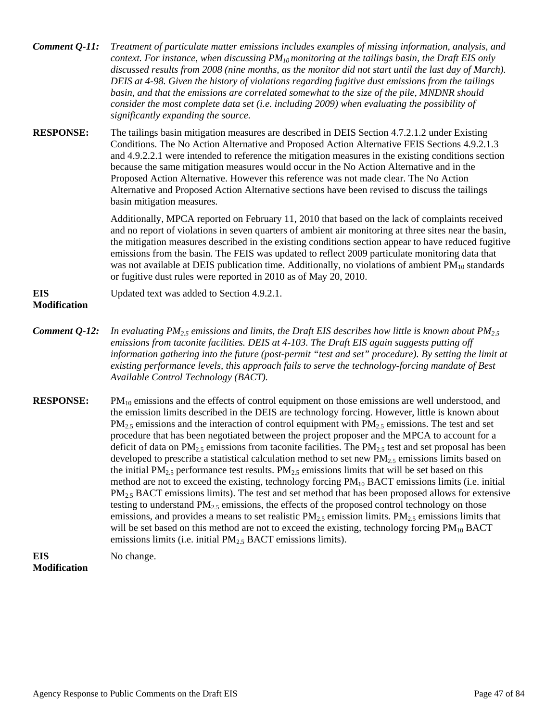| Comment Q-11:                     | Treatment of particulate matter emissions includes examples of missing information, analysis, and<br>context. For instance, when discussing $PM_{10}$ monitoring at the tailings basin, the Draft EIS only<br>discussed results from 2008 (nine months, as the monitor did not start until the last day of March).<br>DEIS at 4-98. Given the history of violations regarding fugitive dust emissions from the tailings<br>basin, and that the emissions are correlated somewhat to the size of the pile, MNDNR should<br>consider the most complete data set (i.e. including 2009) when evaluating the possibility of<br>significantly expanding the source.                                                                                                                                                                                                                                                                                                                                                                                                                                                                                                                                                                                                                                                                                                                                   |
|-----------------------------------|-------------------------------------------------------------------------------------------------------------------------------------------------------------------------------------------------------------------------------------------------------------------------------------------------------------------------------------------------------------------------------------------------------------------------------------------------------------------------------------------------------------------------------------------------------------------------------------------------------------------------------------------------------------------------------------------------------------------------------------------------------------------------------------------------------------------------------------------------------------------------------------------------------------------------------------------------------------------------------------------------------------------------------------------------------------------------------------------------------------------------------------------------------------------------------------------------------------------------------------------------------------------------------------------------------------------------------------------------------------------------------------------------|
| <b>RESPONSE:</b>                  | The tailings basin mitigation measures are described in DEIS Section 4.7.2.1.2 under Existing<br>Conditions. The No Action Alternative and Proposed Action Alternative FEIS Sections 4.9.2.1.3<br>and 4.9.2.2.1 were intended to reference the mitigation measures in the existing conditions section<br>because the same mitigation measures would occur in the No Action Alternative and in the<br>Proposed Action Alternative. However this reference was not made clear. The No Action<br>Alternative and Proposed Action Alternative sections have been revised to discuss the tailings<br>basin mitigation measures.                                                                                                                                                                                                                                                                                                                                                                                                                                                                                                                                                                                                                                                                                                                                                                      |
|                                   | Additionally, MPCA reported on February 11, 2010 that based on the lack of complaints received<br>and no report of violations in seven quarters of ambient air monitoring at three sites near the basin,<br>the mitigation measures described in the existing conditions section appear to have reduced fugitive<br>emissions from the basin. The FEIS was updated to reflect 2009 particulate monitoring data that<br>was not available at DEIS publication time. Additionally, no violations of ambient PM <sub>10</sub> standards<br>or fugitive dust rules were reported in 2010 as of May 20, 2010.                                                                                                                                                                                                                                                                                                                                                                                                                                                                                                                                                                                                                                                                                                                                                                                        |
| <b>EIS</b><br><b>Modification</b> | Updated text was added to Section 4.9.2.1.                                                                                                                                                                                                                                                                                                                                                                                                                                                                                                                                                                                                                                                                                                                                                                                                                                                                                                                                                                                                                                                                                                                                                                                                                                                                                                                                                      |
| Comment Q-12:                     | In evaluating $PM_{2.5}$ emissions and limits, the Draft EIS describes how little is known about $PM_{2.5}$<br>emissions from taconite facilities. DEIS at 4-103. The Draft EIS again suggests putting off<br>information gathering into the future (post-permit "test and set" procedure). By setting the limit at<br>existing performance levels, this approach fails to serve the technology-forcing mandate of Best<br>Available Control Technology (BACT).                                                                                                                                                                                                                                                                                                                                                                                                                                                                                                                                                                                                                                                                                                                                                                                                                                                                                                                                 |
| <b>RESPONSE:</b>                  | $PM_{10}$ emissions and the effects of control equipment on those emissions are well understood, and<br>the emission limits described in the DEIS are technology forcing. However, little is known about<br>$PM_{2.5}$ emissions and the interaction of control equipment with $PM_{2.5}$ emissions. The test and set<br>procedure that has been negotiated between the project proposer and the MPCA to account for a<br>deficit of data on $PM_{2.5}$ emissions from taconite facilities. The $PM_{2.5}$ test and set proposal has been<br>developed to prescribe a statistical calculation method to set new PM <sub>2.5</sub> emissions limits based on<br>the initial $PM_{2.5}$ performance test results. $PM_{2.5}$ emissions limits that will be set based on this<br>method are not to exceed the existing, technology forcing $PM_{10}$ BACT emissions limits (i.e. initial<br>$PM_{2.5}$ BACT emissions limits). The test and set method that has been proposed allows for extensive<br>testing to understand $PM_{2.5}$ emissions, the effects of the proposed control technology on those<br>emissions, and provides a means to set realistic $PM_{2.5}$ emission limits. $PM_{2.5}$ emissions limits that<br>will be set based on this method are not to exceed the existing, technology forcing $PM_{10}$ BACT<br>emissions limits (i.e. initial $PM2.5 BACT$ emissions limits). |
| <b>EIS</b>                        | No change.                                                                                                                                                                                                                                                                                                                                                                                                                                                                                                                                                                                                                                                                                                                                                                                                                                                                                                                                                                                                                                                                                                                                                                                                                                                                                                                                                                                      |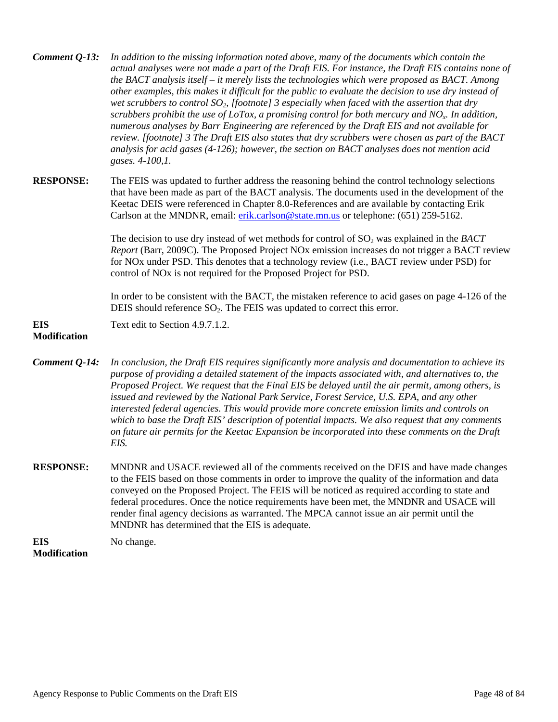| Comment Q-13:                     | In addition to the missing information noted above, many of the documents which contain the<br>actual analyses were not made a part of the Draft EIS. For instance, the Draft EIS contains none of<br>the BACT analysis itself – it merely lists the technologies which were proposed as BACT. Among<br>other examples, this makes it difficult for the public to evaluate the decision to use dry instead of<br>wet scrubbers to control $SO_2$ , [footnote] 3 especially when faced with the assertion that dry<br>scrubbers prohibit the use of LoTox, a promising control for both mercury and $NO_x$ . In addition,<br>numerous analyses by Barr Engineering are referenced by the Draft EIS and not available for<br>review. [footnote] 3 The Draft EIS also states that dry scrubbers were chosen as part of the BACT<br>analysis for acid gases (4-126); however, the section on BACT analyses does not mention acid<br>gases. 4-100,1. |
|-----------------------------------|-------------------------------------------------------------------------------------------------------------------------------------------------------------------------------------------------------------------------------------------------------------------------------------------------------------------------------------------------------------------------------------------------------------------------------------------------------------------------------------------------------------------------------------------------------------------------------------------------------------------------------------------------------------------------------------------------------------------------------------------------------------------------------------------------------------------------------------------------------------------------------------------------------------------------------------------------|
| <b>RESPONSE:</b>                  | The FEIS was updated to further address the reasoning behind the control technology selections<br>that have been made as part of the BACT analysis. The documents used in the development of the<br>Keetac DEIS were referenced in Chapter 8.0-References and are available by contacting Erik<br>Carlson at the MNDNR, email: erik.carlson@state.mn.us or telephone: (651) 259-5162.                                                                                                                                                                                                                                                                                                                                                                                                                                                                                                                                                           |
|                                   | The decision to use dry instead of wet methods for control of $SO_2$ was explained in the <i>BACT</i><br>Report (Barr, 2009C). The Proposed Project NOx emission increases do not trigger a BACT review<br>for NOx under PSD. This denotes that a technology review (i.e., BACT review under PSD) for<br>control of NO <sub>x</sub> is not required for the Proposed Project for PSD.                                                                                                                                                                                                                                                                                                                                                                                                                                                                                                                                                           |
|                                   | In order to be consistent with the BACT, the mistaken reference to acid gases on page 4-126 of the<br>DEIS should reference $SO_2$ . The FEIS was updated to correct this error.                                                                                                                                                                                                                                                                                                                                                                                                                                                                                                                                                                                                                                                                                                                                                                |
| <b>EIS</b><br><b>Modification</b> | Text edit to Section 4.9.7.1.2.                                                                                                                                                                                                                                                                                                                                                                                                                                                                                                                                                                                                                                                                                                                                                                                                                                                                                                                 |
| Comment Q-14:                     | In conclusion, the Draft EIS requires significantly more analysis and documentation to achieve its<br>purpose of providing a detailed statement of the impacts associated with, and alternatives to, the<br>Proposed Project. We request that the Final EIS be delayed until the air permit, among others, is<br>issued and reviewed by the National Park Service, Forest Service, U.S. EPA, and any other<br>interested federal agencies. This would provide more concrete emission limits and controls on<br>which to base the Draft EIS' description of potential impacts. We also request that any comments<br>on future air permits for the Keetac Expansion be incorporated into these comments on the Draft<br>EIS.                                                                                                                                                                                                                      |
| <b>RESPONSE:</b>                  | MNDNR and USACE reviewed all of the comments received on the DEIS and have made changes<br>to the FEIS based on those comments in order to improve the quality of the information and data<br>conveyed on the Proposed Project. The FEIS will be noticed as required according to state and<br>federal procedures. Once the notice requirements have been met, the MNDNR and USACE will<br>render final agency decisions as warranted. The MPCA cannot issue an air permit until the<br>MNDNR has determined that the EIS is adequate.                                                                                                                                                                                                                                                                                                                                                                                                          |
| <b>EIS</b><br><b>Modification</b> | No change.                                                                                                                                                                                                                                                                                                                                                                                                                                                                                                                                                                                                                                                                                                                                                                                                                                                                                                                                      |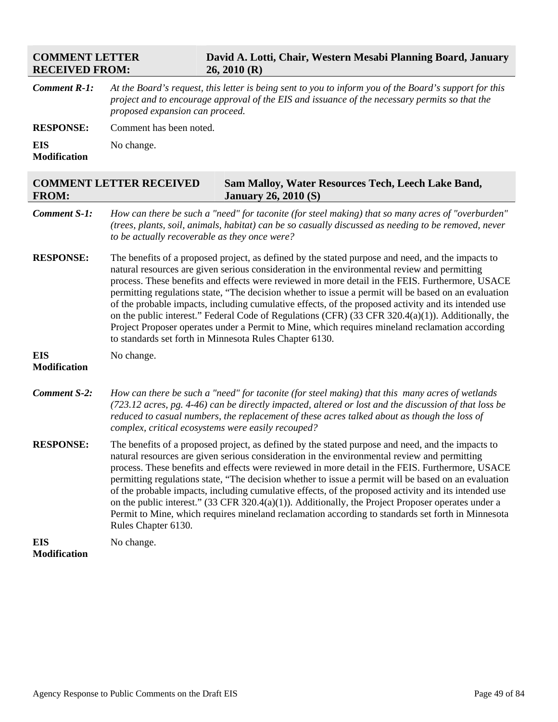#### **COMMENT LETTER RECEIVED FROM: David A. Lotti, Chair, Western Mesabi Planning Board, January 26, 2010 (R)**

*Comment R-1: At the Board's request, this letter is being sent to you to inform you of the Board's support for this project and to encourage approval of the EIS and issuance of the necessary permits so that the proposed expansion can proceed.* 

**RESPONSE:** Comment has been noted.

**EIS**  No change.

**Modification** 

| <b>COMMENT LETTER RECEIVED</b> | <b>Sam Malloy, Water Resources Tech, Leech Lake Band,</b> |
|--------------------------------|-----------------------------------------------------------|
| <b>FROM:</b>                   | <b>January 26, 2010 (S)</b>                               |

*Comment S-1: How can there be such a "need" for taconite (for steel making) that so many acres of "overburden" (trees, plants, soil, animals, habitat) can be so casually discussed as needing to be removed, never to be actually recoverable as they once were?* 

**RESPONSE:** The benefits of a proposed project, as defined by the stated purpose and need, and the impacts to natural resources are given serious consideration in the environmental review and permitting process. These benefits and effects were reviewed in more detail in the FEIS. Furthermore, USACE permitting regulations state, "The decision whether to issue a permit will be based on an evaluation of the probable impacts, including cumulative effects, of the proposed activity and its intended use on the public interest." Federal Code of Regulations (CFR) (33 CFR 320.4(a)(1)). Additionally, the Project Proposer operates under a Permit to Mine, which requires mineland reclamation according to standards set forth in Minnesota Rules Chapter 6130.

```
EIS 
                   No change.
```
# **Modification**

- *Comment S-2: How can there be such a "need" for taconite (for steel making) that this many acres of wetlands (723.12 acres, pg. 4-46) can be directly impacted, altered or lost and the discussion of that loss be reduced to casual numbers, the replacement of these acres talked about as though the loss of complex, critical ecosystems were easily recouped?*
- **RESPONSE:** The benefits of a proposed project, as defined by the stated purpose and need, and the impacts to natural resources are given serious consideration in the environmental review and permitting process. These benefits and effects were reviewed in more detail in the FEIS. Furthermore, USACE permitting regulations state, "The decision whether to issue a permit will be based on an evaluation of the probable impacts, including cumulative effects, of the proposed activity and its intended use on the public interest." (33 CFR 320.4(a)(1)). Additionally, the Project Proposer operates under a Permit to Mine, which requires mineland reclamation according to standards set forth in Minnesota Rules Chapter 6130.

**EIS**  No change.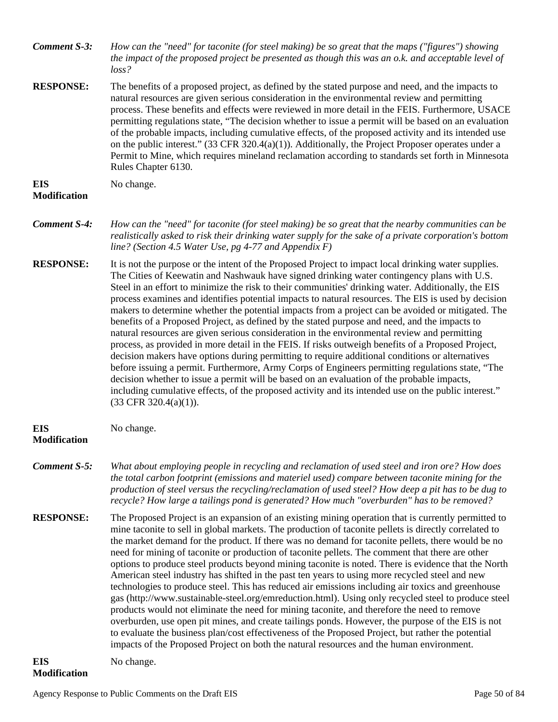| <b>Comment S-3:</b>               | How can the "need" for taconite (for steel making) be so great that the maps ("figures") showing<br>the impact of the proposed project be presented as though this was an o.k. and acceptable level of<br>loss?                                                                                                                                                                                                                                                                                                                                                                                                                                                                                                                                                                                                                                                                                                                                                                                                                                                                                                                                                                                                                                                      |  |
|-----------------------------------|----------------------------------------------------------------------------------------------------------------------------------------------------------------------------------------------------------------------------------------------------------------------------------------------------------------------------------------------------------------------------------------------------------------------------------------------------------------------------------------------------------------------------------------------------------------------------------------------------------------------------------------------------------------------------------------------------------------------------------------------------------------------------------------------------------------------------------------------------------------------------------------------------------------------------------------------------------------------------------------------------------------------------------------------------------------------------------------------------------------------------------------------------------------------------------------------------------------------------------------------------------------------|--|
| <b>RESPONSE:</b>                  | The benefits of a proposed project, as defined by the stated purpose and need, and the impacts to<br>natural resources are given serious consideration in the environmental review and permitting<br>process. These benefits and effects were reviewed in more detail in the FEIS. Furthermore, USACE<br>permitting regulations state, "The decision whether to issue a permit will be based on an evaluation<br>of the probable impacts, including cumulative effects, of the proposed activity and its intended use<br>on the public interest." $(33 \text{ CFR } 320.4(a)(1))$ . Additionally, the Project Proposer operates under a<br>Permit to Mine, which requires mineland reclamation according to standards set forth in Minnesota<br>Rules Chapter 6130.                                                                                                                                                                                                                                                                                                                                                                                                                                                                                                  |  |
| <b>EIS</b><br><b>Modification</b> | No change.                                                                                                                                                                                                                                                                                                                                                                                                                                                                                                                                                                                                                                                                                                                                                                                                                                                                                                                                                                                                                                                                                                                                                                                                                                                           |  |
| <b>Comment S-4:</b>               | How can the "need" for taconite (for steel making) be so great that the nearby communities can be<br>realistically asked to risk their drinking water supply for the sake of a private corporation's bottom<br>line? (Section 4.5 Water Use, pg 4-77 and Appendix $F$ )                                                                                                                                                                                                                                                                                                                                                                                                                                                                                                                                                                                                                                                                                                                                                                                                                                                                                                                                                                                              |  |
| <b>RESPONSE:</b>                  | It is not the purpose or the intent of the Proposed Project to impact local drinking water supplies.<br>The Cities of Keewatin and Nashwauk have signed drinking water contingency plans with U.S.<br>Steel in an effort to minimize the risk to their communities' drinking water. Additionally, the EIS<br>process examines and identifies potential impacts to natural resources. The EIS is used by decision<br>makers to determine whether the potential impacts from a project can be avoided or mitigated. The<br>benefits of a Proposed Project, as defined by the stated purpose and need, and the impacts to<br>natural resources are given serious consideration in the environmental review and permitting<br>process, as provided in more detail in the FEIS. If risks outweigh benefits of a Proposed Project,<br>decision makers have options during permitting to require additional conditions or alternatives<br>before issuing a permit. Furthermore, Army Corps of Engineers permitting regulations state, "The<br>decision whether to issue a permit will be based on an evaluation of the probable impacts,<br>including cumulative effects, of the proposed activity and its intended use on the public interest."<br>$(33$ CFR 320.4(a)(1)). |  |
| <b>EIS</b><br><b>Modification</b> | No change.                                                                                                                                                                                                                                                                                                                                                                                                                                                                                                                                                                                                                                                                                                                                                                                                                                                                                                                                                                                                                                                                                                                                                                                                                                                           |  |
| <b>Comment S-5:</b>               | What about employing people in recycling and reclamation of used steel and iron ore? How does<br>the total carbon footprint (emissions and materiel used) compare between taconite mining for the<br>production of steel versus the recycling/reclamation of used steel? How deep a pit has to be dug to<br>recycle? How large a tailings pond is generated? How much "overburden" has to be removed?                                                                                                                                                                                                                                                                                                                                                                                                                                                                                                                                                                                                                                                                                                                                                                                                                                                                |  |
| <b>RESPONSE:</b>                  | The Proposed Project is an expansion of an existing mining operation that is currently permitted to<br>mine taconite to sell in global markets. The production of taconite pellets is directly correlated to<br>the market demand for the product. If there was no demand for taconite pellets, there would be no<br>need for mining of taconite or production of taconite pellets. The comment that there are other<br>options to produce steel products beyond mining taconite is noted. There is evidence that the North<br>American steel industry has shifted in the past ten years to using more recycled steel and new<br>technologies to produce steel. This has reduced air emissions including air toxics and greenhouse<br>gas (http://www.sustainable-steel.org/emreduction.html). Using only recycled steel to produce steel<br>products would not eliminate the need for mining taconite, and therefore the need to remove<br>overburden, use open pit mines, and create tailings ponds. However, the purpose of the EIS is not<br>to evaluate the business plan/cost effectiveness of the Proposed Project, but rather the potential<br>impacts of the Proposed Project on both the natural resources and the human environment.                      |  |
| <b>EIS</b>                        | No change.                                                                                                                                                                                                                                                                                                                                                                                                                                                                                                                                                                                                                                                                                                                                                                                                                                                                                                                                                                                                                                                                                                                                                                                                                                                           |  |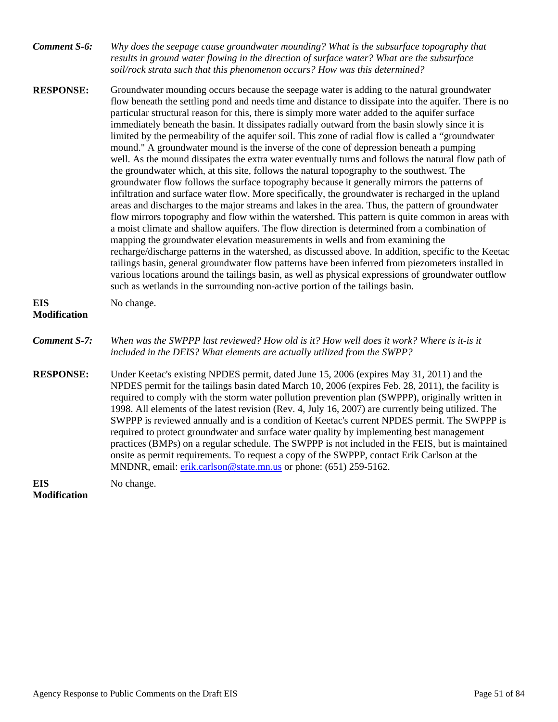*Comment S-6: Why does the seepage cause groundwater mounding? What is the subsurface topography that results in ground water flowing in the direction of surface water? What are the subsurface soil/rock strata such that this phenomenon occurs? How was this determined?* 

**RESPONSE:** Groundwater mounding occurs because the seepage water is adding to the natural groundwater flow beneath the settling pond and needs time and distance to dissipate into the aquifer. There is no particular structural reason for this, there is simply more water added to the aquifer surface immediately beneath the basin. It dissipates radially outward from the basin slowly since it is limited by the permeability of the aquifer soil. This zone of radial flow is called a "groundwater mound." A groundwater mound is the inverse of the cone of depression beneath a pumping well. As the mound dissipates the extra water eventually turns and follows the natural flow path of the groundwater which, at this site, follows the natural topography to the southwest. The groundwater flow follows the surface topography because it generally mirrors the patterns of infiltration and surface water flow. More specifically, the groundwater is recharged in the upland areas and discharges to the major streams and lakes in the area. Thus, the pattern of groundwater flow mirrors topography and flow within the watershed. This pattern is quite common in areas with a moist climate and shallow aquifers. The flow direction is determined from a combination of mapping the groundwater elevation measurements in wells and from examining the recharge/discharge patterns in the watershed, as discussed above. In addition, specific to the Keetac tailings basin, general groundwater flow patterns have been inferred from piezometers installed in various locations around the tailings basin, as well as physical expressions of groundwater outflow such as wetlands in the surrounding non-active portion of the tailings basin. **EIS Modification**  No change.

*Comment S-7: When was the SWPPP last reviewed? How old is it? How well does it work? Where is it-is it included in the DEIS? What elements are actually utilized from the SWPP?* 

**RESPONSE:** Under Keetac's existing NPDES permit, dated June 15, 2006 (expires May 31, 2011) and the NPDES permit for the tailings basin dated March 10, 2006 (expires Feb. 28, 2011), the facility is required to comply with the storm water pollution prevention plan (SWPPP), originally written in 1998. All elements of the latest revision (Rev. 4, July 16, 2007) are currently being utilized. The SWPPP is reviewed annually and is a condition of Keetac's current NPDES permit. The SWPPP is required to protect groundwater and surface water quality by implementing best management practices (BMPs) on a regular schedule. The SWPPP is not included in the FEIS, but is maintained onsite as permit requirements. To request a copy of the SWPPP, contact Erik Carlson at the MNDNR, email: erik.carlson@state.mn.us or phone: (651) 259-5162.

**EIS**  No change.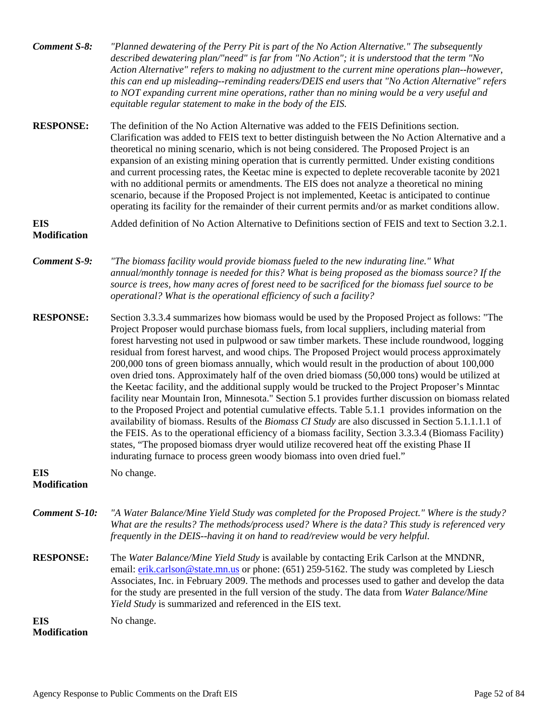| <b>Comment S-8:</b>               | "Planned dewatering of the Perry Pit is part of the No Action Alternative." The subsequently<br>described dewatering plan/"need" is far from "No Action"; it is understood that the term "No<br>Action Alternative" refers to making no adjustment to the current mine operations plan--however,<br>this can end up misleading--reminding readers/DEIS end users that "No Action Alternative" refers<br>to NOT expanding current mine operations, rather than no mining would be a very useful and<br>equitable regular statement to make in the body of the EIS.                                                                                                                                                                                                                                                                                                                                                                                                                                                                                                                                                                                                                                                                                                                                                       |
|-----------------------------------|-------------------------------------------------------------------------------------------------------------------------------------------------------------------------------------------------------------------------------------------------------------------------------------------------------------------------------------------------------------------------------------------------------------------------------------------------------------------------------------------------------------------------------------------------------------------------------------------------------------------------------------------------------------------------------------------------------------------------------------------------------------------------------------------------------------------------------------------------------------------------------------------------------------------------------------------------------------------------------------------------------------------------------------------------------------------------------------------------------------------------------------------------------------------------------------------------------------------------------------------------------------------------------------------------------------------------|
| <b>RESPONSE:</b>                  | The definition of the No Action Alternative was added to the FEIS Definitions section.<br>Clarification was added to FEIS text to better distinguish between the No Action Alternative and a<br>theoretical no mining scenario, which is not being considered. The Proposed Project is an<br>expansion of an existing mining operation that is currently permitted. Under existing conditions<br>and current processing rates, the Keetac mine is expected to deplete recoverable taconite by 2021<br>with no additional permits or amendments. The EIS does not analyze a theoretical no mining<br>scenario, because if the Proposed Project is not implemented, Keetac is anticipated to continue<br>operating its facility for the remainder of their current permits and/or as market conditions allow.                                                                                                                                                                                                                                                                                                                                                                                                                                                                                                             |
| <b>EIS</b><br><b>Modification</b> | Added definition of No Action Alternative to Definitions section of FEIS and text to Section 3.2.1.                                                                                                                                                                                                                                                                                                                                                                                                                                                                                                                                                                                                                                                                                                                                                                                                                                                                                                                                                                                                                                                                                                                                                                                                                     |
| <b>Comment S-9:</b>               | "The biomass facility would provide biomass fueled to the new indurating line." What<br>annual/monthly tonnage is needed for this? What is being proposed as the biomass source? If the<br>source is trees, how many acres of forest need to be sacrificed for the biomass fuel source to be<br>operational? What is the operational efficiency of such a facility?                                                                                                                                                                                                                                                                                                                                                                                                                                                                                                                                                                                                                                                                                                                                                                                                                                                                                                                                                     |
| <b>RESPONSE:</b>                  | Section 3.3.3.4 summarizes how biomass would be used by the Proposed Project as follows: "The<br>Project Proposer would purchase biomass fuels, from local suppliers, including material from<br>forest harvesting not used in pulpwood or saw timber markets. These include roundwood, logging<br>residual from forest harvest, and wood chips. The Proposed Project would process approximately<br>200,000 tons of green biomass annually, which would result in the production of about 100,000<br>oven dried tons. Approximately half of the oven dried biomass (50,000 tons) would be utilized at<br>the Keetac facility, and the additional supply would be trucked to the Project Proposer's Minntac<br>facility near Mountain Iron, Minnesota." Section 5.1 provides further discussion on biomass related<br>to the Proposed Project and potential cumulative effects. Table 5.1.1 provides information on the<br>availability of biomass. Results of the <i>Biomass CI Study</i> are also discussed in Section 5.1.1.1.1 of<br>the FEIS. As to the operational efficiency of a biomass facility, Section 3.3.3.4 (Biomass Facility)<br>states, "The proposed biomass dryer would utilize recovered heat off the existing Phase II<br>indurating furnace to process green woody biomass into oven dried fuel." |
| <b>EIS</b><br><b>Modification</b> | No change.                                                                                                                                                                                                                                                                                                                                                                                                                                                                                                                                                                                                                                                                                                                                                                                                                                                                                                                                                                                                                                                                                                                                                                                                                                                                                                              |
| <b>Comment S-10:</b>              | "A Water Balance/Mine Yield Study was completed for the Proposed Project." Where is the study?<br>What are the results? The methods/process used? Where is the data? This study is referenced very<br>frequently in the DEIS--having it on hand to read/review would be very helpful.                                                                                                                                                                                                                                                                                                                                                                                                                                                                                                                                                                                                                                                                                                                                                                                                                                                                                                                                                                                                                                   |
| <b>RESPONSE:</b>                  | The Water Balance/Mine Yield Study is available by contacting Erik Carlson at the MNDNR,<br>email: erik.carlson@state.mn.us or phone: (651) 259-5162. The study was completed by Liesch<br>Associates, Inc. in February 2009. The methods and processes used to gather and develop the data<br>for the study are presented in the full version of the study. The data from Water Balance/Mine<br>Yield Study is summarized and referenced in the EIS text.                                                                                                                                                                                                                                                                                                                                                                                                                                                                                                                                                                                                                                                                                                                                                                                                                                                              |
| <b>EIS</b><br><b>Modification</b> | No change.                                                                                                                                                                                                                                                                                                                                                                                                                                                                                                                                                                                                                                                                                                                                                                                                                                                                                                                                                                                                                                                                                                                                                                                                                                                                                                              |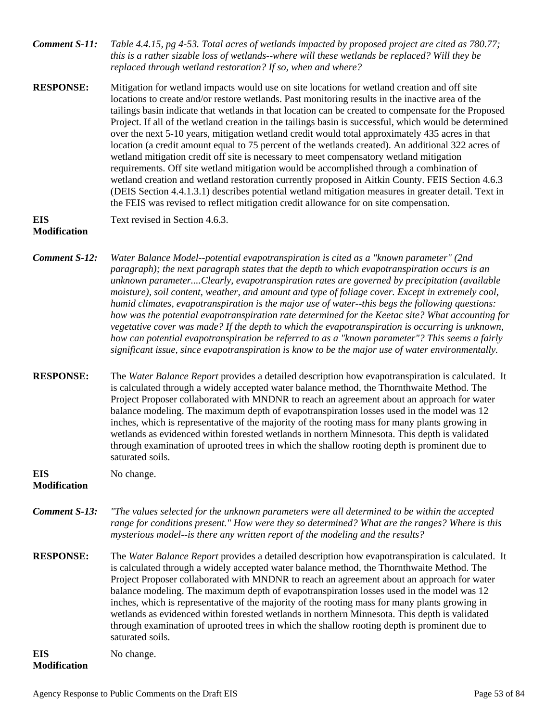| <b>Comment S-11:</b>              | Table 4.4.15, pg 4-53. Total acres of wetlands impacted by proposed project are cited as 780.77;<br>this is a rather sizable loss of wetlands--where will these wetlands be replaced? Will they be<br>replaced through wetland restoration? If so, when and where?                                                                                                                                                                                                                                                                                                                                                                                                                                                                                                                                                                                                                                                                                                                                                                                                                                                     |
|-----------------------------------|------------------------------------------------------------------------------------------------------------------------------------------------------------------------------------------------------------------------------------------------------------------------------------------------------------------------------------------------------------------------------------------------------------------------------------------------------------------------------------------------------------------------------------------------------------------------------------------------------------------------------------------------------------------------------------------------------------------------------------------------------------------------------------------------------------------------------------------------------------------------------------------------------------------------------------------------------------------------------------------------------------------------------------------------------------------------------------------------------------------------|
| <b>RESPONSE:</b>                  | Mitigation for wetland impacts would use on site locations for wetland creation and off site<br>locations to create and/or restore wetlands. Past monitoring results in the inactive area of the<br>tailings basin indicate that wetlands in that location can be created to compensate for the Proposed<br>Project. If all of the wetland creation in the tailings basin is successful, which would be determined<br>over the next 5-10 years, mitigation wetland credit would total approximately 435 acres in that<br>location (a credit amount equal to 75 percent of the wetlands created). An additional 322 acres of<br>wetland mitigation credit off site is necessary to meet compensatory wetland mitigation<br>requirements. Off site wetland mitigation would be accomplished through a combination of<br>wetland creation and wetland restoration currently proposed in Aitkin County. FEIS Section 4.6.3<br>(DEIS Section 4.4.1.3.1) describes potential wetland mitigation measures in greater detail. Text in<br>the FEIS was revised to reflect mitigation credit allowance for on site compensation. |
| <b>EIS</b><br><b>Modification</b> | Text revised in Section 4.6.3.                                                                                                                                                                                                                                                                                                                                                                                                                                                                                                                                                                                                                                                                                                                                                                                                                                                                                                                                                                                                                                                                                         |
| <b>Comment S-12:</b>              | Water Balance Model--potential evapotranspiration is cited as a "known parameter" (2nd<br>paragraph); the next paragraph states that the depth to which evapotranspiration occurs is an<br>unknown parameterClearly, evapotranspiration rates are governed by precipitation (available<br>moisture), soil content, weather, and amount and type of foliage cover. Except in extremely cool,<br>humid climates, evapotranspiration is the major use of water--this begs the following questions:<br>how was the potential evapotranspiration rate determined for the Keetac site? What accounting for<br>vegetative cover was made? If the depth to which the evapotranspiration is occurring is unknown,<br>how can potential evapotranspiration be referred to as a "known parameter"? This seems a fairly<br>significant issue, since evapotranspiration is know to be the major use of water environmentally.                                                                                                                                                                                                       |
| <b>RESPONSE:</b>                  | The Water Balance Report provides a detailed description how evapotranspiration is calculated. It<br>is calculated through a widely accepted water balance method, the Thornthwaite Method. The<br>Project Proposer collaborated with MNDNR to reach an agreement about an approach for water<br>balance modeling. The maximum depth of evapotranspiration losses used in the model was 12<br>inches, which is representative of the majority of the rooting mass for many plants growing in<br>wetlands as evidenced within forested wetlands in northern Minnesota. This depth is validated<br>through examination of uprooted trees in which the shallow rooting depth is prominent due to<br>saturated soils.                                                                                                                                                                                                                                                                                                                                                                                                      |
| <b>EIS</b><br><b>Modification</b> | No change.                                                                                                                                                                                                                                                                                                                                                                                                                                                                                                                                                                                                                                                                                                                                                                                                                                                                                                                                                                                                                                                                                                             |
| <b>Comment S-13:</b>              | "The values selected for the unknown parameters were all determined to be within the accepted<br>range for conditions present." How were they so determined? What are the ranges? Where is this<br>mysterious model--is there any written report of the modeling and the results?                                                                                                                                                                                                                                                                                                                                                                                                                                                                                                                                                                                                                                                                                                                                                                                                                                      |
| <b>RESPONSE:</b>                  | The Water Balance Report provides a detailed description how evapotranspiration is calculated. It<br>is calculated through a widely accepted water balance method, the Thornthwaite Method. The<br>Project Proposer collaborated with MNDNR to reach an agreement about an approach for water<br>balance modeling. The maximum depth of evapotranspiration losses used in the model was 12<br>inches, which is representative of the majority of the rooting mass for many plants growing in<br>wetlands as evidenced within forested wetlands in northern Minnesota. This depth is validated<br>through examination of uprooted trees in which the shallow rooting depth is prominent due to<br>saturated soils.                                                                                                                                                                                                                                                                                                                                                                                                      |
| <b>EIS</b><br><b>Modification</b> | No change.                                                                                                                                                                                                                                                                                                                                                                                                                                                                                                                                                                                                                                                                                                                                                                                                                                                                                                                                                                                                                                                                                                             |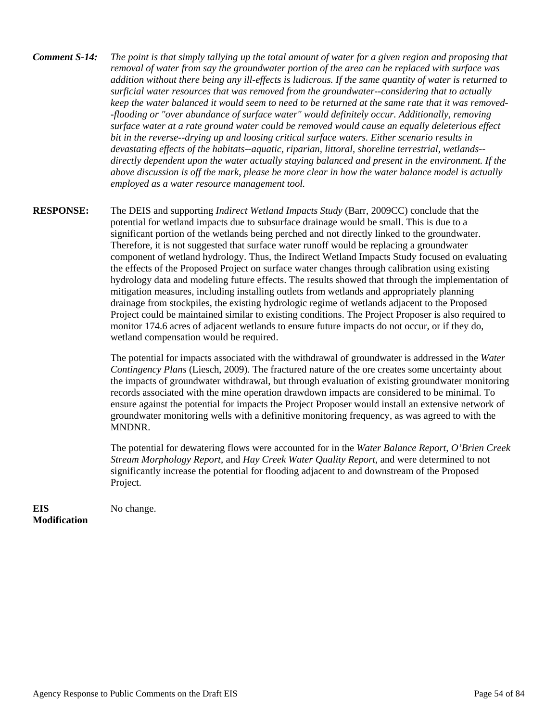- *Comment S-14: The point is that simply tallying up the total amount of water for a given region and proposing that removal of water from say the groundwater portion of the area can be replaced with surface was addition without there being any ill-effects is ludicrous. If the same quantity of water is returned to surficial water resources that was removed from the groundwater--considering that to actually keep the water balanced it would seem to need to be returned at the same rate that it was removed- -flooding or "over abundance of surface water" would definitely occur. Additionally, removing surface water at a rate ground water could be removed would cause an equally deleterious effect bit in the reverse--drying up and loosing critical surface waters. Either scenario results in devastating effects of the habitats--aquatic, riparian, littoral, shoreline terrestrial, wetlands- directly dependent upon the water actually staying balanced and present in the environment. If the above discussion is off the mark, please be more clear in how the water balance model is actually employed as a water resource management tool.*
- **RESPONSE:** The DEIS and supporting *Indirect Wetland Impacts Study* (Barr, 2009CC) conclude that the potential for wetland impacts due to subsurface drainage would be small. This is due to a significant portion of the wetlands being perched and not directly linked to the groundwater. Therefore, it is not suggested that surface water runoff would be replacing a groundwater component of wetland hydrology. Thus, the Indirect Wetland Impacts Study focused on evaluating the effects of the Proposed Project on surface water changes through calibration using existing hydrology data and modeling future effects. The results showed that through the implementation of mitigation measures, including installing outlets from wetlands and appropriately planning drainage from stockpiles, the existing hydrologic regime of wetlands adjacent to the Proposed Project could be maintained similar to existing conditions. The Project Proposer is also required to monitor 174.6 acres of adjacent wetlands to ensure future impacts do not occur, or if they do, wetland compensation would be required.

The potential for impacts associated with the withdrawal of groundwater is addressed in the *Water Contingency Plans* (Liesch, 2009). The fractured nature of the ore creates some uncertainty about the impacts of groundwater withdrawal, but through evaluation of existing groundwater monitoring records associated with the mine operation drawdown impacts are considered to be minimal. To ensure against the potential for impacts the Project Proposer would install an extensive network of groundwater monitoring wells with a definitive monitoring frequency, as was agreed to with the MNDNR.

The potential for dewatering flows were accounted for in the *Water Balance Report*, *O'Brien Creek Stream Morphology Report*, and *Hay Creek Water Quality Report*, and were determined to not significantly increase the potential for flooding adjacent to and downstream of the Proposed Project.

**EIS Modification**  No change.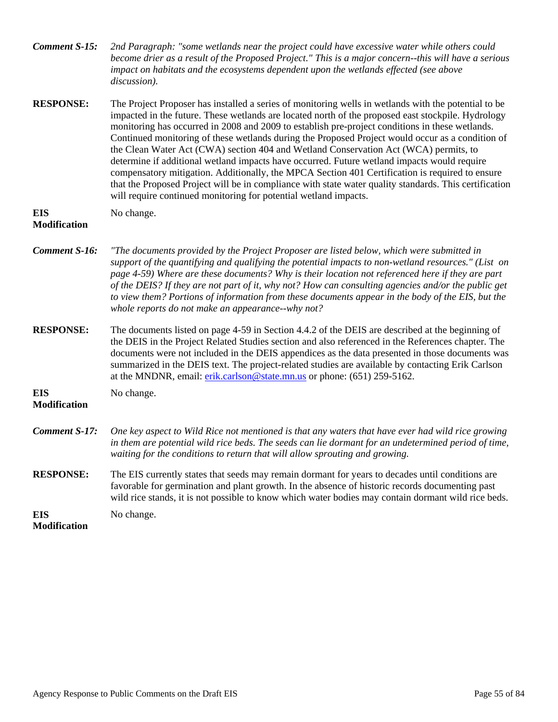| <b>Comment S-15:</b>              | 2nd Paragraph: "some wetlands near the project could have excessive water while others could<br>become drier as a result of the Proposed Project." This is a major concern--this will have a serious<br>impact on habitats and the ecosystems dependent upon the wetlands effected (see above<br>discussion).                                                                                                                                                                                                                                                                                                                                                                                                                                                                                                                                                                             |
|-----------------------------------|-------------------------------------------------------------------------------------------------------------------------------------------------------------------------------------------------------------------------------------------------------------------------------------------------------------------------------------------------------------------------------------------------------------------------------------------------------------------------------------------------------------------------------------------------------------------------------------------------------------------------------------------------------------------------------------------------------------------------------------------------------------------------------------------------------------------------------------------------------------------------------------------|
| <b>RESPONSE:</b>                  | The Project Proposer has installed a series of monitoring wells in wetlands with the potential to be<br>impacted in the future. These wetlands are located north of the proposed east stockpile. Hydrology<br>monitoring has occurred in 2008 and 2009 to establish pre-project conditions in these wetlands.<br>Continued monitoring of these wetlands during the Proposed Project would occur as a condition of<br>the Clean Water Act (CWA) section 404 and Wetland Conservation Act (WCA) permits, to<br>determine if additional wetland impacts have occurred. Future wetland impacts would require<br>compensatory mitigation. Additionally, the MPCA Section 401 Certification is required to ensure<br>that the Proposed Project will be in compliance with state water quality standards. This certification<br>will require continued monitoring for potential wetland impacts. |
| <b>EIS</b><br><b>Modification</b> | No change.                                                                                                                                                                                                                                                                                                                                                                                                                                                                                                                                                                                                                                                                                                                                                                                                                                                                                |
| <b>Comment S-16:</b>              | "The documents provided by the Project Proposer are listed below, which were submitted in<br>support of the quantifying and qualifying the potential impacts to non-wetland resources." (List on<br>page 4-59) Where are these documents? Why is their location not referenced here if they are part<br>of the DEIS? If they are not part of it, why not? How can consulting agencies and/or the public get<br>to view them? Portions of information from these documents appear in the body of the EIS, but the<br>whole reports do not make an appearance--why not?                                                                                                                                                                                                                                                                                                                     |
| <b>RESPONSE:</b>                  | The documents listed on page 4-59 in Section 4.4.2 of the DEIS are described at the beginning of<br>the DEIS in the Project Related Studies section and also referenced in the References chapter. The<br>documents were not included in the DEIS appendices as the data presented in those documents was<br>summarized in the DEIS text. The project-related studies are available by contacting Erik Carlson<br>at the MNDNR, email: erik.carlson@state.mn.us or phone: (651) 259-5162.                                                                                                                                                                                                                                                                                                                                                                                                 |
| <b>EIS</b><br><b>Modification</b> | No change.                                                                                                                                                                                                                                                                                                                                                                                                                                                                                                                                                                                                                                                                                                                                                                                                                                                                                |
| <b>Comment S-17:</b>              | One key aspect to Wild Rice not mentioned is that any waters that have ever had wild rice growing<br>in them are potential wild rice beds. The seeds can lie dormant for an undetermined period of time,<br>waiting for the conditions to return that will allow sprouting and growing.                                                                                                                                                                                                                                                                                                                                                                                                                                                                                                                                                                                                   |
| <b>RESPONSE:</b>                  | The EIS currently states that seeds may remain dormant for years to decades until conditions are<br>favorable for germination and plant growth. In the absence of historic records documenting past<br>wild rice stands, it is not possible to know which water bodies may contain dormant wild rice beds.                                                                                                                                                                                                                                                                                                                                                                                                                                                                                                                                                                                |
| <b>EIS</b><br><b>Modification</b> | No change.                                                                                                                                                                                                                                                                                                                                                                                                                                                                                                                                                                                                                                                                                                                                                                                                                                                                                |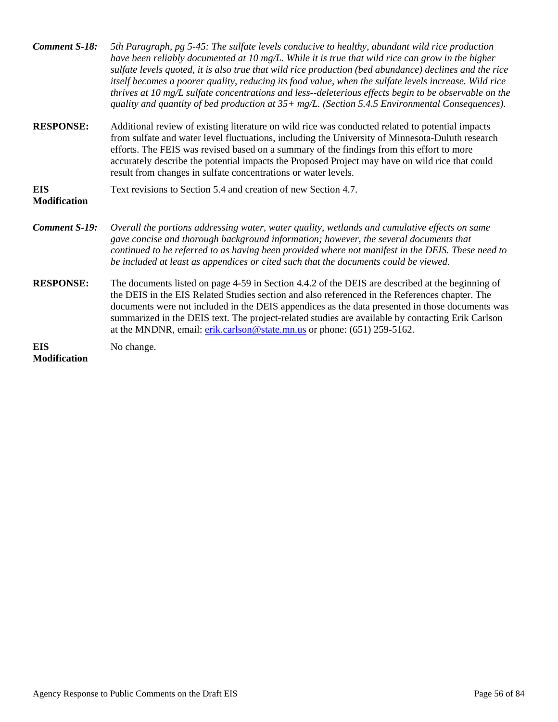| <b>Comment S-18:</b>              | 5th Paragraph, pg 5-45: The sulfate levels conducive to healthy, abundant wild rice production<br>have been reliably documented at 10 mg/L. While it is true that wild rice can grow in the higher<br>sulfate levels quoted, it is also true that wild rice production (bed abundance) declines and the rice<br>itself becomes a poorer quality, reducing its food value, when the sulfate levels increase. Wild rice<br>thrives at $10 \text{ mg/L}$ sulfate concentrations and less--deleterious effects begin to be observable on the<br>quality and quantity of bed production at $35+$ mg/L. (Section 5.4.5 Environmental Consequences). |
|-----------------------------------|-----------------------------------------------------------------------------------------------------------------------------------------------------------------------------------------------------------------------------------------------------------------------------------------------------------------------------------------------------------------------------------------------------------------------------------------------------------------------------------------------------------------------------------------------------------------------------------------------------------------------------------------------|
| <b>RESPONSE:</b>                  | Additional review of existing literature on wild rice was conducted related to potential impacts<br>from sulfate and water level fluctuations, including the University of Minnesota-Duluth research<br>efforts. The FEIS was revised based on a summary of the findings from this effort to more<br>accurately describe the potential impacts the Proposed Project may have on wild rice that could<br>result from changes in sulfate concentrations or water levels.                                                                                                                                                                        |
| <b>EIS</b><br><b>Modification</b> | Text revisions to Section 5.4 and creation of new Section 4.7.                                                                                                                                                                                                                                                                                                                                                                                                                                                                                                                                                                                |
| <b>Comment S-19:</b>              | Overall the portions addressing water, water quality, wetlands and cumulative effects on same<br>gave concise and thorough background information; however, the several documents that<br>continued to be referred to as having been provided where not manifest in the DEIS. These need to<br>be included at least as appendices or cited such that the documents could be viewed.                                                                                                                                                                                                                                                           |
| <b>RESPONSE:</b>                  | The documents listed on page 4-59 in Section 4.4.2 of the DEIS are described at the beginning of<br>the DEIS in the EIS Related Studies section and also referenced in the References chapter. The<br>documents were not included in the DEIS appendices as the data presented in those documents was<br>summarized in the DEIS text. The project-related studies are available by contacting Erik Carlson<br>at the MNDNR, email: erik.carlson@state.mn.us or phone: (651) 259-5162.                                                                                                                                                         |
| <b>EIS</b><br><b>Modification</b> | No change.                                                                                                                                                                                                                                                                                                                                                                                                                                                                                                                                                                                                                                    |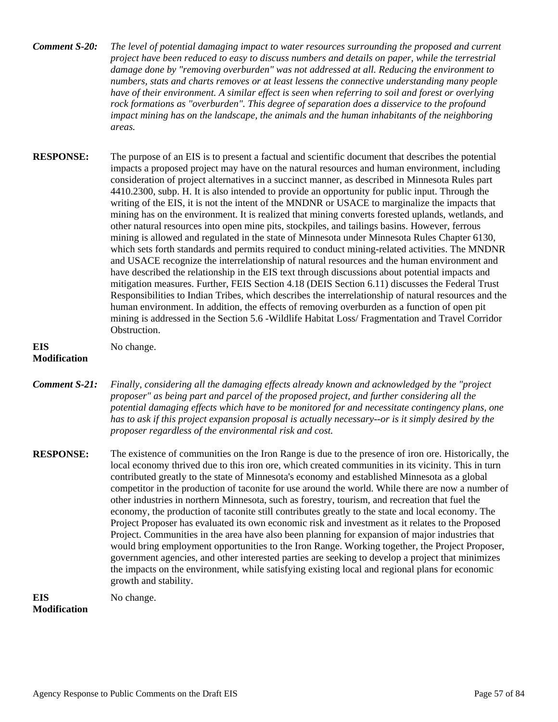*Comment S-20: The level of potential damaging impact to water resources surrounding the proposed and current project have been reduced to easy to discuss numbers and details on paper, while the terrestrial damage done by "removing overburden" was not addressed at all. Reducing the environment to numbers, stats and charts removes or at least lessens the connective understanding many people have of their environment. A similar effect is seen when referring to soil and forest or overlying rock formations as "overburden". This degree of separation does a disservice to the profound impact mining has on the landscape, the animals and the human inhabitants of the neighboring areas.* 

**RESPONSE:** The purpose of an EIS is to present a factual and scientific document that describes the potential impacts a proposed project may have on the natural resources and human environment, including consideration of project alternatives in a succinct manner, as described in Minnesota Rules part 4410.2300, subp. H. It is also intended to provide an opportunity for public input. Through the writing of the EIS, it is not the intent of the MNDNR or USACE to marginalize the impacts that mining has on the environment. It is realized that mining converts forested uplands, wetlands, and other natural resources into open mine pits, stockpiles, and tailings basins. However, ferrous mining is allowed and regulated in the state of Minnesota under Minnesota Rules Chapter 6130, which sets forth standards and permits required to conduct mining-related activities. The MNDNR and USACE recognize the interrelationship of natural resources and the human environment and have described the relationship in the EIS text through discussions about potential impacts and mitigation measures. Further, FEIS Section 4.18 (DEIS Section 6.11) discusses the Federal Trust Responsibilities to Indian Tribes, which describes the interrelationship of natural resources and the human environment. In addition, the effects of removing overburden as a function of open pit mining is addressed in the Section 5.6 -Wildlife Habitat Loss/ Fragmentation and Travel Corridor Obstruction.

**EIS Modification** 

No change.

*Comment S-21: Finally, considering all the damaging effects already known and acknowledged by the "project proposer" as being part and parcel of the proposed project, and further considering all the potential damaging effects which have to be monitored for and necessitate contingency plans, one has to ask if this project expansion proposal is actually necessary--or is it simply desired by the proposer regardless of the environmental risk and cost.* 

**RESPONSE:** The existence of communities on the Iron Range is due to the presence of iron ore. Historically, the local economy thrived due to this iron ore, which created communities in its vicinity. This in turn contributed greatly to the state of Minnesota's economy and established Minnesota as a global competitor in the production of taconite for use around the world. While there are now a number of other industries in northern Minnesota, such as forestry, tourism, and recreation that fuel the economy, the production of taconite still contributes greatly to the state and local economy. The Project Proposer has evaluated its own economic risk and investment as it relates to the Proposed Project. Communities in the area have also been planning for expansion of major industries that would bring employment opportunities to the Iron Range. Working together, the Project Proposer, government agencies, and other interested parties are seeking to develop a project that minimizes the impacts on the environment, while satisfying existing local and regional plans for economic growth and stability.

```
EIS 
Modification 
                  No change.
```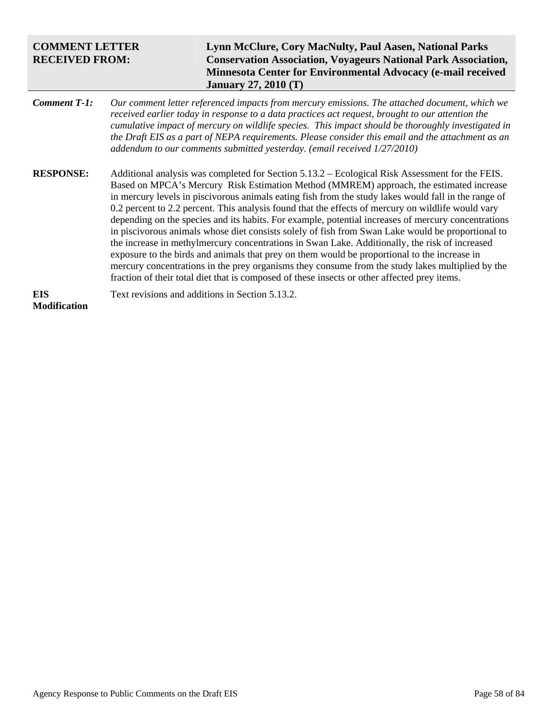| <b>COMMENT LETTER</b><br><b>RECEIVED FROM:</b> | <b>Lynn McClure, Cory MacNulty, Paul Aasen, National Parks</b><br><b>Conservation Association, Voyageurs National Park Association,</b><br>Minnesota Center for Environmental Advocacy (e-mail received<br><b>January 27, 2010 (T)</b>                                                                                                                                                                                                                                                                                                                                                                                                                                                                                                                                                                                                                                                                                                                                                                                     |
|------------------------------------------------|----------------------------------------------------------------------------------------------------------------------------------------------------------------------------------------------------------------------------------------------------------------------------------------------------------------------------------------------------------------------------------------------------------------------------------------------------------------------------------------------------------------------------------------------------------------------------------------------------------------------------------------------------------------------------------------------------------------------------------------------------------------------------------------------------------------------------------------------------------------------------------------------------------------------------------------------------------------------------------------------------------------------------|
| <b>Comment T-1:</b>                            | Our comment letter referenced impacts from mercury emissions. The attached document, which we<br>received earlier today in response to a data practices act request, brought to our attention the<br>cumulative impact of mercury on wildlife species. This impact should be thoroughly investigated in<br>the Draft EIS as a part of NEPA requirements. Please consider this email and the attachment as an<br>addendum to our comments submitted yesterday. (email received 1/27/2010)                                                                                                                                                                                                                                                                                                                                                                                                                                                                                                                                   |
| <b>RESPONSE:</b>                               | Additional analysis was completed for Section 5.13.2 – Ecological Risk Assessment for the FEIS.<br>Based on MPCA's Mercury Risk Estimation Method (MMREM) approach, the estimated increase<br>in mercury levels in piscivorous animals eating fish from the study lakes would fall in the range of<br>0.2 percent to 2.2 percent. This analysis found that the effects of mercury on wildlife would vary<br>depending on the species and its habits. For example, potential increases of mercury concentrations<br>in piscivorous animals whose diet consists solely of fish from Swan Lake would be proportional to<br>the increase in methylmercury concentrations in Swan Lake. Additionally, the risk of increased<br>exposure to the birds and animals that prey on them would be proportional to the increase in<br>mercury concentrations in the prey organisms they consume from the study lakes multiplied by the<br>fraction of their total diet that is composed of these insects or other affected prey items. |
| <b>EIS</b><br><b>Modification</b>              | Text revisions and additions in Section 5.13.2.                                                                                                                                                                                                                                                                                                                                                                                                                                                                                                                                                                                                                                                                                                                                                                                                                                                                                                                                                                            |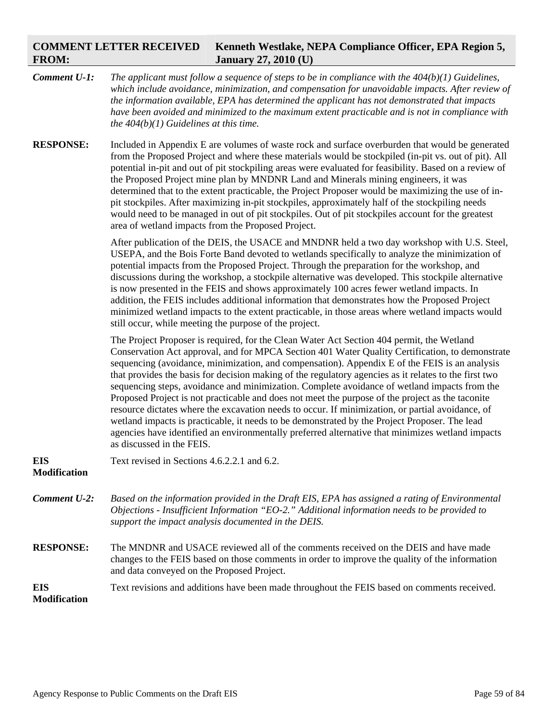#### **COMMENT LETTER RECEIVED FROM: Kenneth Westlake, NEPA Compliance Officer, EPA Region 5, January 27, 2010 (U)**

| <b>Comment U-1:</b>               | The applicant must follow a sequence of steps to be in compliance with the $404(b)(1)$ Guidelines,<br>which include avoidance, minimization, and compensation for unavoidable impacts. After review of<br>the information available, EPA has determined the applicant has not demonstrated that impacts<br>have been avoided and minimized to the maximum extent practicable and is not in compliance with<br>the $404(b)(1)$ Guidelines at this time.                                                                                                                                                                                                                                                                                                                                                                                                                                                                                           |
|-----------------------------------|--------------------------------------------------------------------------------------------------------------------------------------------------------------------------------------------------------------------------------------------------------------------------------------------------------------------------------------------------------------------------------------------------------------------------------------------------------------------------------------------------------------------------------------------------------------------------------------------------------------------------------------------------------------------------------------------------------------------------------------------------------------------------------------------------------------------------------------------------------------------------------------------------------------------------------------------------|
| <b>RESPONSE:</b>                  | Included in Appendix E are volumes of waste rock and surface overburden that would be generated<br>from the Proposed Project and where these materials would be stockpiled (in-pit vs. out of pit). All<br>potential in-pit and out of pit stockpiling areas were evaluated for feasibility. Based on a review of<br>the Proposed Project mine plan by MNDNR Land and Minerals mining engineers, it was<br>determined that to the extent practicable, the Project Proposer would be maximizing the use of in-<br>pit stockpiles. After maximizing in-pit stockpiles, approximately half of the stockpiling needs<br>would need to be managed in out of pit stockpiles. Out of pit stockpiles account for the greatest<br>area of wetland impacts from the Proposed Project.                                                                                                                                                                      |
|                                   | After publication of the DEIS, the USACE and MNDNR held a two day workshop with U.S. Steel,<br>USEPA, and the Bois Forte Band devoted to wetlands specifically to analyze the minimization of<br>potential impacts from the Proposed Project. Through the preparation for the workshop, and<br>discussions during the workshop, a stockpile alternative was developed. This stockpile alternative<br>is now presented in the FEIS and shows approximately 100 acres fewer wetland impacts. In<br>addition, the FEIS includes additional information that demonstrates how the Proposed Project<br>minimized wetland impacts to the extent practicable, in those areas where wetland impacts would<br>still occur, while meeting the purpose of the project.                                                                                                                                                                                      |
|                                   | The Project Proposer is required, for the Clean Water Act Section 404 permit, the Wetland<br>Conservation Act approval, and for MPCA Section 401 Water Quality Certification, to demonstrate<br>sequencing (avoidance, minimization, and compensation). Appendix E of the FEIS is an analysis<br>that provides the basis for decision making of the regulatory agencies as it relates to the first two<br>sequencing steps, avoidance and minimization. Complete avoidance of wetland impacts from the<br>Proposed Project is not practicable and does not meet the purpose of the project as the taconite<br>resource dictates where the excavation needs to occur. If minimization, or partial avoidance, of<br>wetland impacts is practicable, it needs to be demonstrated by the Project Proposer. The lead<br>agencies have identified an environmentally preferred alternative that minimizes wetland impacts<br>as discussed in the FEIS. |
| <b>EIS</b><br><b>Modification</b> | Text revised in Sections 4.6.2.2.1 and 6.2.                                                                                                                                                                                                                                                                                                                                                                                                                                                                                                                                                                                                                                                                                                                                                                                                                                                                                                      |
| <b>Comment U-2:</b>               | Based on the information provided in the Draft EIS, EPA has assigned a rating of Environmental<br>Objections - Insufficient Information "EO-2." Additional information needs to be provided to<br>support the impact analysis documented in the DEIS.                                                                                                                                                                                                                                                                                                                                                                                                                                                                                                                                                                                                                                                                                            |
| <b>RESPONSE:</b>                  | The MNDNR and USACE reviewed all of the comments received on the DEIS and have made<br>changes to the FEIS based on those comments in order to improve the quality of the information<br>and data conveyed on the Proposed Project.                                                                                                                                                                                                                                                                                                                                                                                                                                                                                                                                                                                                                                                                                                              |
| <b>EIS</b><br><b>Modification</b> | Text revisions and additions have been made throughout the FEIS based on comments received.                                                                                                                                                                                                                                                                                                                                                                                                                                                                                                                                                                                                                                                                                                                                                                                                                                                      |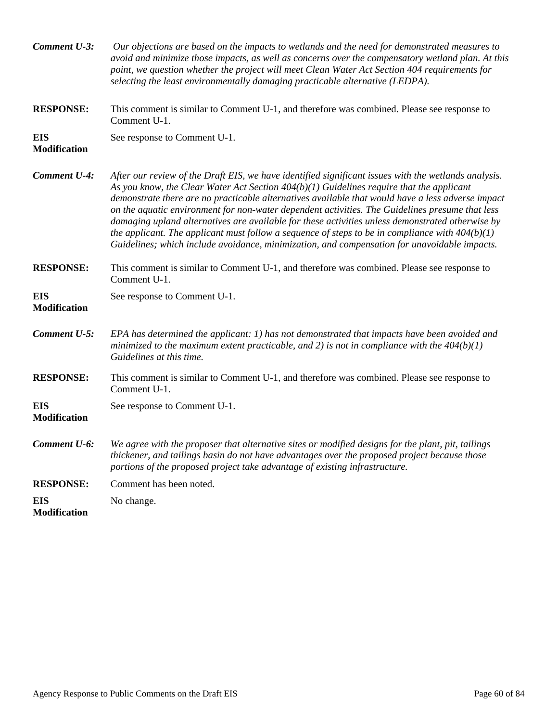| <b>Comment U-3:</b>               | Our objections are based on the impacts to wetlands and the need for demonstrated measures to<br>avoid and minimize those impacts, as well as concerns over the compensatory wetland plan. At this<br>point, we question whether the project will meet Clean Water Act Section 404 requirements for<br>selecting the least environmentally damaging practicable alternative (LEDPA).                                                                                                                                                                                                                                                                                                                                |
|-----------------------------------|---------------------------------------------------------------------------------------------------------------------------------------------------------------------------------------------------------------------------------------------------------------------------------------------------------------------------------------------------------------------------------------------------------------------------------------------------------------------------------------------------------------------------------------------------------------------------------------------------------------------------------------------------------------------------------------------------------------------|
| <b>RESPONSE:</b>                  | This comment is similar to Comment U-1, and therefore was combined. Please see response to<br>Comment U-1.                                                                                                                                                                                                                                                                                                                                                                                                                                                                                                                                                                                                          |
| <b>EIS</b><br><b>Modification</b> | See response to Comment U-1.                                                                                                                                                                                                                                                                                                                                                                                                                                                                                                                                                                                                                                                                                        |
| <b>Comment U-4:</b>               | After our review of the Draft EIS, we have identified significant issues with the wetlands analysis.<br>As you know, the Clear Water Act Section $404(b)(1)$ Guidelines require that the applicant<br>demonstrate there are no practicable alternatives available that would have a less adverse impact<br>on the aquatic environment for non-water dependent activities. The Guidelines presume that less<br>damaging upland alternatives are available for these activities unless demonstrated otherwise by<br>the applicant. The applicant must follow a sequence of steps to be in compliance with $404(b)(1)$<br>Guidelines; which include avoidance, minimization, and compensation for unavoidable impacts. |
| <b>RESPONSE:</b>                  | This comment is similar to Comment U-1, and therefore was combined. Please see response to<br>Comment U-1.                                                                                                                                                                                                                                                                                                                                                                                                                                                                                                                                                                                                          |
| <b>EIS</b><br><b>Modification</b> | See response to Comment U-1.                                                                                                                                                                                                                                                                                                                                                                                                                                                                                                                                                                                                                                                                                        |
| <b>Comment U-5:</b>               | EPA has determined the applicant: 1) has not demonstrated that impacts have been avoided and<br>minimized to the maximum extent practicable, and 2) is not in compliance with the $404(b)(1)$<br>Guidelines at this time.                                                                                                                                                                                                                                                                                                                                                                                                                                                                                           |
| <b>RESPONSE:</b>                  | This comment is similar to Comment U-1, and therefore was combined. Please see response to<br>Comment U-1.                                                                                                                                                                                                                                                                                                                                                                                                                                                                                                                                                                                                          |
| <b>EIS</b><br><b>Modification</b> | See response to Comment U-1.                                                                                                                                                                                                                                                                                                                                                                                                                                                                                                                                                                                                                                                                                        |
| <b>Comment U-6:</b>               | We agree with the proposer that alternative sites or modified designs for the plant, pit, tailings<br>thickener, and tailings basin do not have advantages over the proposed project because those<br>portions of the proposed project take advantage of existing infrastructure.                                                                                                                                                                                                                                                                                                                                                                                                                                   |
| <b>RESPONSE:</b>                  | Comment has been noted.                                                                                                                                                                                                                                                                                                                                                                                                                                                                                                                                                                                                                                                                                             |
| <b>EIS</b><br><b>Modification</b> | No change.                                                                                                                                                                                                                                                                                                                                                                                                                                                                                                                                                                                                                                                                                                          |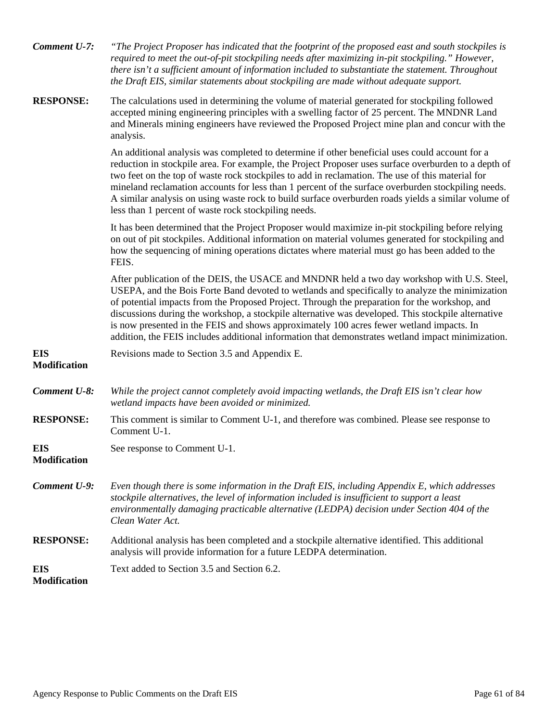| <b>Comment U-7:</b>               | "The Project Proposer has indicated that the footprint of the proposed east and south stockpiles is<br>required to meet the out-of-pit stockpiling needs after maximizing in-pit stockpiling." However,<br>there isn't a sufficient amount of information included to substantiate the statement. Throughout<br>the Draft EIS, similar statements about stockpiling are made without adequate support.                                                                                                                                                                                                 |
|-----------------------------------|--------------------------------------------------------------------------------------------------------------------------------------------------------------------------------------------------------------------------------------------------------------------------------------------------------------------------------------------------------------------------------------------------------------------------------------------------------------------------------------------------------------------------------------------------------------------------------------------------------|
| <b>RESPONSE:</b>                  | The calculations used in determining the volume of material generated for stockpiling followed<br>accepted mining engineering principles with a swelling factor of 25 percent. The MNDNR Land<br>and Minerals mining engineers have reviewed the Proposed Project mine plan and concur with the<br>analysis.                                                                                                                                                                                                                                                                                           |
|                                   | An additional analysis was completed to determine if other beneficial uses could account for a<br>reduction in stockpile area. For example, the Project Proposer uses surface overburden to a depth of<br>two feet on the top of waste rock stockpiles to add in reclamation. The use of this material for<br>mineland reclamation accounts for less than 1 percent of the surface overburden stockpiling needs.<br>A similar analysis on using waste rock to build surface overburden roads yields a similar volume of<br>less than 1 percent of waste rock stockpiling needs.                        |
|                                   | It has been determined that the Project Proposer would maximize in-pit stockpiling before relying<br>on out of pit stockpiles. Additional information on material volumes generated for stockpiling and<br>how the sequencing of mining operations dictates where material must go has been added to the<br>FEIS.                                                                                                                                                                                                                                                                                      |
|                                   | After publication of the DEIS, the USACE and MNDNR held a two day workshop with U.S. Steel,<br>USEPA, and the Bois Forte Band devoted to wetlands and specifically to analyze the minimization<br>of potential impacts from the Proposed Project. Through the preparation for the workshop, and<br>discussions during the workshop, a stockpile alternative was developed. This stockpile alternative<br>is now presented in the FEIS and shows approximately 100 acres fewer wetland impacts. In<br>addition, the FEIS includes additional information that demonstrates wetland impact minimization. |
| <b>EIS</b><br><b>Modification</b> | Revisions made to Section 3.5 and Appendix E.                                                                                                                                                                                                                                                                                                                                                                                                                                                                                                                                                          |
| <b>Comment U-8:</b>               | While the project cannot completely avoid impacting wetlands, the Draft EIS isn't clear how<br>wetland impacts have been avoided or minimized.                                                                                                                                                                                                                                                                                                                                                                                                                                                         |
| <b>RESPONSE:</b>                  | This comment is similar to Comment U-1, and therefore was combined. Please see response to<br>Comment U-1.                                                                                                                                                                                                                                                                                                                                                                                                                                                                                             |
| <b>EIS</b><br><b>Modification</b> | See response to Comment U-1.                                                                                                                                                                                                                                                                                                                                                                                                                                                                                                                                                                           |
| <b>Comment U-9:</b>               | Even though there is some information in the Draft EIS, including Appendix E, which addresses<br>stockpile alternatives, the level of information included is insufficient to support a least<br>environmentally damaging practicable alternative (LEDPA) decision under Section 404 of the<br>Clean Water Act.                                                                                                                                                                                                                                                                                        |
| <b>RESPONSE:</b>                  | Additional analysis has been completed and a stockpile alternative identified. This additional<br>analysis will provide information for a future LEDPA determination.                                                                                                                                                                                                                                                                                                                                                                                                                                  |
| <b>EIS</b><br>Modification        | Text added to Section 3.5 and Section 6.2.                                                                                                                                                                                                                                                                                                                                                                                                                                                                                                                                                             |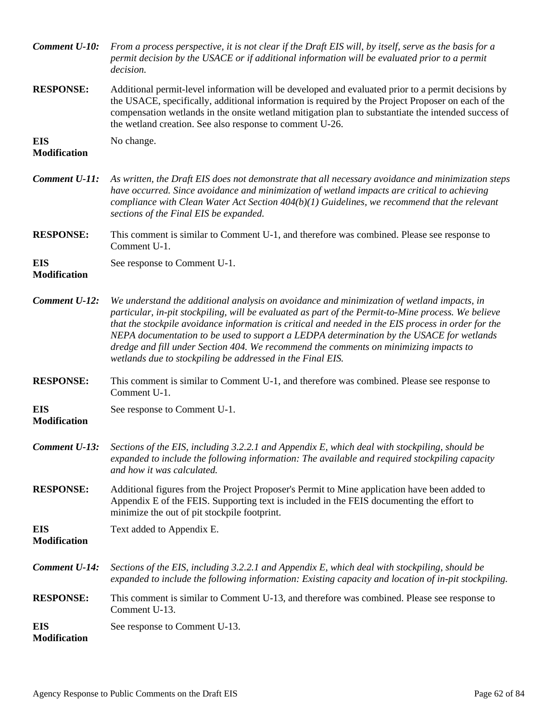| <b>Comment U-10:</b>              | From a process perspective, it is not clear if the Draft EIS will, by itself, serve as the basis for a<br>permit decision by the USACE or if additional information will be evaluated prior to a permit<br>decision.                                                                                                                                                                                                                                                                                                                                        |
|-----------------------------------|-------------------------------------------------------------------------------------------------------------------------------------------------------------------------------------------------------------------------------------------------------------------------------------------------------------------------------------------------------------------------------------------------------------------------------------------------------------------------------------------------------------------------------------------------------------|
| <b>RESPONSE:</b>                  | Additional permit-level information will be developed and evaluated prior to a permit decisions by<br>the USACE, specifically, additional information is required by the Project Proposer on each of the<br>compensation wetlands in the onsite wetland mitigation plan to substantiate the intended success of<br>the wetland creation. See also response to comment U-26.                                                                                                                                                                                 |
| EIS<br><b>Modification</b>        | No change.                                                                                                                                                                                                                                                                                                                                                                                                                                                                                                                                                  |
| <b>Comment U-11:</b>              | As written, the Draft EIS does not demonstrate that all necessary avoidance and minimization steps<br>have occurred. Since avoidance and minimization of wetland impacts are critical to achieving<br>compliance with Clean Water Act Section $404(b)(1)$ Guidelines, we recommend that the relevant<br>sections of the Final EIS be expanded.                                                                                                                                                                                                              |
| <b>RESPONSE:</b>                  | This comment is similar to Comment U-1, and therefore was combined. Please see response to<br>Comment U-1.                                                                                                                                                                                                                                                                                                                                                                                                                                                  |
| <b>EIS</b><br><b>Modification</b> | See response to Comment U-1.                                                                                                                                                                                                                                                                                                                                                                                                                                                                                                                                |
| <b>Comment U-12:</b>              | We understand the additional analysis on avoidance and minimization of wetland impacts, in<br>particular, in-pit stockpiling, will be evaluated as part of the Permit-to-Mine process. We believe<br>that the stockpile avoidance information is critical and needed in the EIS process in order for the<br>NEPA documentation to be used to support a LEDPA determination by the USACE for wetlands<br>dredge and fill under Section 404. We recommend the comments on minimizing impacts to<br>wetlands due to stockpiling be addressed in the Final EIS. |
| <b>RESPONSE:</b>                  | This comment is similar to Comment U-1, and therefore was combined. Please see response to<br>Comment U-1.                                                                                                                                                                                                                                                                                                                                                                                                                                                  |
| <b>EIS</b><br>Modification        | See response to Comment U-1.                                                                                                                                                                                                                                                                                                                                                                                                                                                                                                                                |
|                                   | <b>Comment U-13:</b> Sections of the EIS, including 3.2.2.1 and Appendix E, which deal with stockpiling, should be<br>expanded to include the following information: The available and required stockpiling capacity<br>and how it was calculated.                                                                                                                                                                                                                                                                                                          |
| <b>RESPONSE:</b>                  | Additional figures from the Project Proposer's Permit to Mine application have been added to<br>Appendix E of the FEIS. Supporting text is included in the FEIS documenting the effort to<br>minimize the out of pit stockpile footprint.                                                                                                                                                                                                                                                                                                                   |
| <b>EIS</b><br><b>Modification</b> | Text added to Appendix E.                                                                                                                                                                                                                                                                                                                                                                                                                                                                                                                                   |
| <b>Comment U-14:</b>              | Sections of the EIS, including 3.2.2.1 and Appendix E, which deal with stockpiling, should be<br>expanded to include the following information: Existing capacity and location of in-pit stockpiling.                                                                                                                                                                                                                                                                                                                                                       |
| <b>RESPONSE:</b>                  | This comment is similar to Comment U-13, and therefore was combined. Please see response to<br>Comment U-13.                                                                                                                                                                                                                                                                                                                                                                                                                                                |
| <b>EIS</b><br><b>Modification</b> | See response to Comment U-13.                                                                                                                                                                                                                                                                                                                                                                                                                                                                                                                               |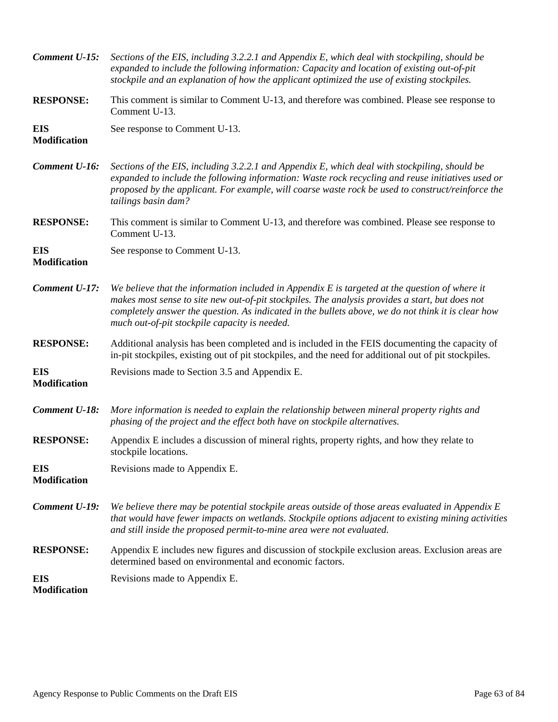| <b>Comment U-15:</b>              | Sections of the EIS, including 3.2.2.1 and Appendix E, which deal with stockpiling, should be<br>expanded to include the following information: Capacity and location of existing out-of-pit<br>stockpile and an explanation of how the applicant optimized the use of existing stockpiles.                                                                |
|-----------------------------------|------------------------------------------------------------------------------------------------------------------------------------------------------------------------------------------------------------------------------------------------------------------------------------------------------------------------------------------------------------|
| <b>RESPONSE:</b>                  | This comment is similar to Comment U-13, and therefore was combined. Please see response to<br>Comment U-13.                                                                                                                                                                                                                                               |
| <b>EIS</b><br><b>Modification</b> | See response to Comment U-13.                                                                                                                                                                                                                                                                                                                              |
| <b>Comment U-16:</b>              | Sections of the EIS, including 3.2.2.1 and Appendix E, which deal with stockpiling, should be<br>expanded to include the following information: Waste rock recycling and reuse initiatives used or<br>proposed by the applicant. For example, will coarse waste rock be used to construct/reinforce the<br>tailings basin dam?                             |
| <b>RESPONSE:</b>                  | This comment is similar to Comment U-13, and therefore was combined. Please see response to<br>Comment U-13.                                                                                                                                                                                                                                               |
| <b>EIS</b><br><b>Modification</b> | See response to Comment U-13.                                                                                                                                                                                                                                                                                                                              |
| <b>Comment U-17:</b>              | We believe that the information included in Appendix $E$ is targeted at the question of where it<br>makes most sense to site new out-of-pit stockpiles. The analysis provides a start, but does not<br>completely answer the question. As indicated in the bullets above, we do not think it is clear how<br>much out-of-pit stockpile capacity is needed. |
| <b>RESPONSE:</b>                  | Additional analysis has been completed and is included in the FEIS documenting the capacity of<br>in-pit stockpiles, existing out of pit stockpiles, and the need for additional out of pit stockpiles.                                                                                                                                                    |
| <b>EIS</b><br><b>Modification</b> | Revisions made to Section 3.5 and Appendix E.                                                                                                                                                                                                                                                                                                              |
| <b>Comment U-18:</b>              | More information is needed to explain the relationship between mineral property rights and<br>phasing of the project and the effect both have on stockpile alternatives.                                                                                                                                                                                   |
| <b>RESPONSE:</b>                  | Appendix E includes a discussion of mineral rights, property rights, and how they relate to<br>stockpile locations.                                                                                                                                                                                                                                        |
| <b>EIS</b><br><b>Modification</b> | Revisions made to Appendix E.                                                                                                                                                                                                                                                                                                                              |
| <b>Comment U-19:</b>              | We believe there may be potential stockpile areas outside of those areas evaluated in Appendix $E$<br>that would have fewer impacts on wetlands. Stockpile options adjacent to existing mining activities<br>and still inside the proposed permit-to-mine area were not evaluated.                                                                         |
| <b>RESPONSE:</b>                  | Appendix E includes new figures and discussion of stockpile exclusion areas. Exclusion areas are<br>determined based on environmental and economic factors.                                                                                                                                                                                                |
| <b>EIS</b><br><b>Modification</b> | Revisions made to Appendix E.                                                                                                                                                                                                                                                                                                                              |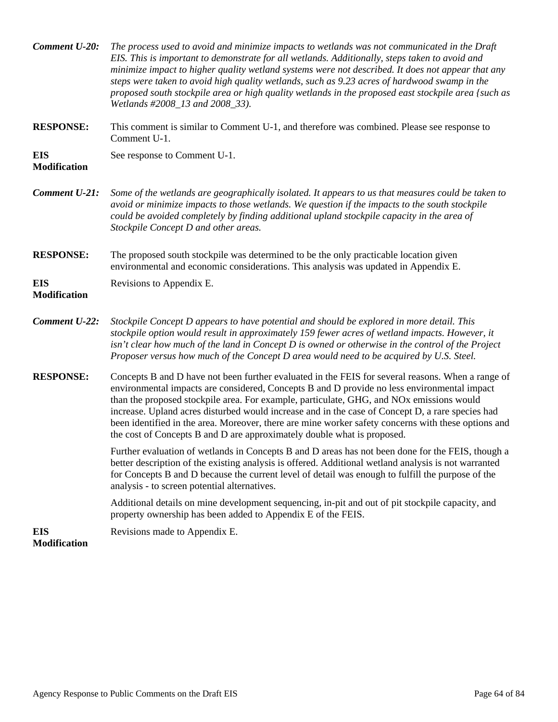| <b>Comment U-20:</b>              | The process used to avoid and minimize impacts to wetlands was not communicated in the Draft<br>EIS. This is important to demonstrate for all wetlands. Additionally, steps taken to avoid and<br>minimize impact to higher quality wetland systems were not described. It does not appear that any<br>steps were taken to avoid high quality wetlands, such as 9.23 acres of hardwood swamp in the<br>proposed south stockpile area or high quality wetlands in the proposed east stockpile area {such as<br>Wetlands #2008_13 and 2008_33).                                      |
|-----------------------------------|------------------------------------------------------------------------------------------------------------------------------------------------------------------------------------------------------------------------------------------------------------------------------------------------------------------------------------------------------------------------------------------------------------------------------------------------------------------------------------------------------------------------------------------------------------------------------------|
| <b>RESPONSE:</b>                  | This comment is similar to Comment U-1, and therefore was combined. Please see response to<br>Comment U-1.                                                                                                                                                                                                                                                                                                                                                                                                                                                                         |
| <b>EIS</b><br><b>Modification</b> | See response to Comment U-1.                                                                                                                                                                                                                                                                                                                                                                                                                                                                                                                                                       |
| <b>Comment U-21:</b>              | Some of the wetlands are geographically isolated. It appears to us that measures could be taken to<br>avoid or minimize impacts to those wetlands. We question if the impacts to the south stockpile<br>could be avoided completely by finding additional upland stockpile capacity in the area of<br>Stockpile Concept D and other areas.                                                                                                                                                                                                                                         |
| <b>RESPONSE:</b>                  | The proposed south stockpile was determined to be the only practicable location given<br>environmental and economic considerations. This analysis was updated in Appendix E.                                                                                                                                                                                                                                                                                                                                                                                                       |
| <b>EIS</b><br><b>Modification</b> | Revisions to Appendix E.                                                                                                                                                                                                                                                                                                                                                                                                                                                                                                                                                           |
| <b>Comment U-22:</b>              | Stockpile Concept D appears to have potential and should be explored in more detail. This<br>stockpile option would result in approximately 159 fewer acres of wetland impacts. However, it<br>$\sin$ 't clear how much of the land in Concept D is owned or otherwise in the control of the Project<br>Proposer versus how much of the Concept D area would need to be acquired by U.S. Steel.                                                                                                                                                                                    |
| <b>RESPONSE:</b>                  | Concepts B and D have not been further evaluated in the FEIS for several reasons. When a range of<br>environmental impacts are considered, Concepts B and D provide no less environmental impact<br>than the proposed stockpile area. For example, particulate, GHG, and NOx emissions would<br>increase. Upland acres disturbed would increase and in the case of Concept D, a rare species had<br>been identified in the area. Moreover, there are mine worker safety concerns with these options and<br>the cost of Concepts B and D are approximately double what is proposed. |
|                                   | Further evaluation of wetlands in Concepts B and D areas has not been done for the FEIS, though a<br>better description of the existing analysis is offered. Additional wetland analysis is not warranted<br>for Concepts B and D because the current level of detail was enough to fulfill the purpose of the<br>analysis - to screen potential alternatives.                                                                                                                                                                                                                     |
|                                   | Additional details on mine development sequencing, in-pit and out of pit stockpile capacity, and<br>property ownership has been added to Appendix E of the FEIS.                                                                                                                                                                                                                                                                                                                                                                                                                   |
| <b>EIS</b><br><b>Modification</b> | Revisions made to Appendix E.                                                                                                                                                                                                                                                                                                                                                                                                                                                                                                                                                      |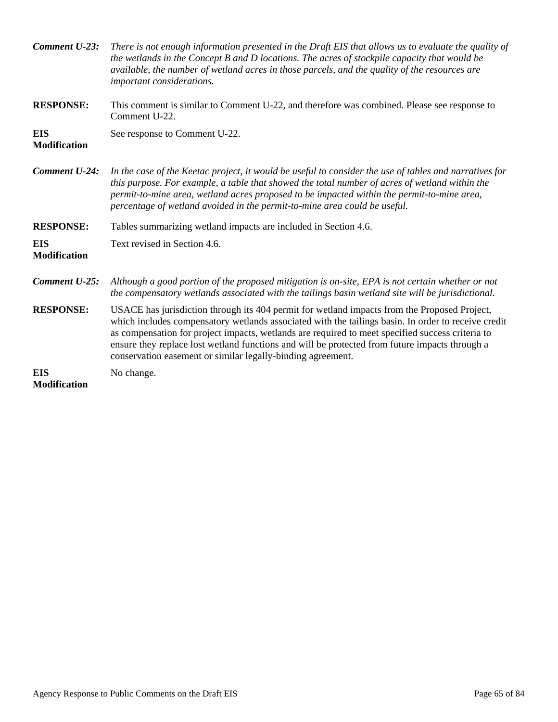| <b>Comment U-23:</b>              | There is not enough information presented in the Draft EIS that allows us to evaluate the quality of<br>the wetlands in the Concept B and D locations. The acres of stockpile capacity that would be<br>available, the number of wetland acres in those parcels, and the quality of the resources are<br>important considerations.                                                                                                                                       |
|-----------------------------------|--------------------------------------------------------------------------------------------------------------------------------------------------------------------------------------------------------------------------------------------------------------------------------------------------------------------------------------------------------------------------------------------------------------------------------------------------------------------------|
| <b>RESPONSE:</b>                  | This comment is similar to Comment U-22, and therefore was combined. Please see response to<br>Comment U-22.                                                                                                                                                                                                                                                                                                                                                             |
| <b>EIS</b><br><b>Modification</b> | See response to Comment U-22.                                                                                                                                                                                                                                                                                                                                                                                                                                            |
| <b>Comment U-24:</b>              | In the case of the Keetac project, it would be useful to consider the use of tables and narratives for<br>this purpose. For example, a table that showed the total number of acres of wetland within the<br>permit-to-mine area, wetland acres proposed to be impacted within the permit-to-mine area,<br>percentage of wetland avoided in the permit-to-mine area could be useful.                                                                                      |
| <b>RESPONSE:</b>                  | Tables summarizing wetland impacts are included in Section 4.6.                                                                                                                                                                                                                                                                                                                                                                                                          |
| <b>EIS</b><br><b>Modification</b> | Text revised in Section 4.6.                                                                                                                                                                                                                                                                                                                                                                                                                                             |
| <b>Comment U-25:</b>              | Although a good portion of the proposed mitigation is on-site, EPA is not certain whether or not<br>the compensatory wetlands associated with the tailings basin wetland site will be jurisdictional.                                                                                                                                                                                                                                                                    |
| <b>RESPONSE:</b>                  | USACE has jurisdiction through its 404 permit for wetland impacts from the Proposed Project,<br>which includes compensatory wetlands associated with the tailings basin. In order to receive credit<br>as compensation for project impacts, wetlands are required to meet specified success criteria to<br>ensure they replace lost wetland functions and will be protected from future impacts through a<br>conservation easement or similar legally-binding agreement. |
| <b>EIS</b><br><b>Modification</b> | No change.                                                                                                                                                                                                                                                                                                                                                                                                                                                               |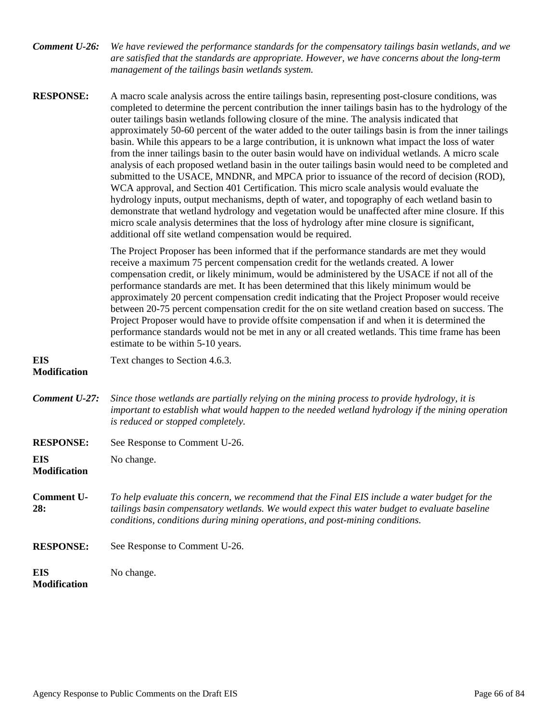*Comment U-26: We have reviewed the performance standards for the compensatory tailings basin wetlands, and we are satisfied that the standards are appropriate. However, we have concerns about the long-term management of the tailings basin wetlands system.* 

**RESPONSE:** A macro scale analysis across the entire tailings basin, representing post-closure conditions, was completed to determine the percent contribution the inner tailings basin has to the hydrology of the outer tailings basin wetlands following closure of the mine. The analysis indicated that approximately 50-60 percent of the water added to the outer tailings basin is from the inner tailings basin. While this appears to be a large contribution, it is unknown what impact the loss of water from the inner tailings basin to the outer basin would have on individual wetlands. A micro scale analysis of each proposed wetland basin in the outer tailings basin would need to be completed and submitted to the USACE, MNDNR, and MPCA prior to issuance of the record of decision (ROD), WCA approval, and Section 401 Certification. This micro scale analysis would evaluate the hydrology inputs, output mechanisms, depth of water, and topography of each wetland basin to demonstrate that wetland hydrology and vegetation would be unaffected after mine closure. If this micro scale analysis determines that the loss of hydrology after mine closure is significant, additional off site wetland compensation would be required.

> The Project Proposer has been informed that if the performance standards are met they would receive a maximum 75 percent compensation credit for the wetlands created. A lower compensation credit, or likely minimum, would be administered by the USACE if not all of the performance standards are met. It has been determined that this likely minimum would be approximately 20 percent compensation credit indicating that the Project Proposer would receive between 20-75 percent compensation credit for the on site wetland creation based on success. The Project Proposer would have to provide offsite compensation if and when it is determined the performance standards would not be met in any or all created wetlands. This time frame has been estimate to be within 5-10 years.

**EIS**  Text changes to Section 4.6.3.

### **Modification**

- *Comment U-27: Since those wetlands are partially relying on the mining process to provide hydrology, it is important to establish what would happen to the needed wetland hydrology if the mining operation is reduced or stopped completely.*
- **RESPONSE:** See Response to Comment U-26. **EIS Modification**  No change.
- **Comment U-28:**  *To help evaluate this concern, we recommend that the Final EIS include a water budget for the tailings basin compensatory wetlands. We would expect this water budget to evaluate baseline conditions, conditions during mining operations, and post-mining conditions.*
- **RESPONSE:** See Response to Comment U-26.

**EIS Modification**  No change.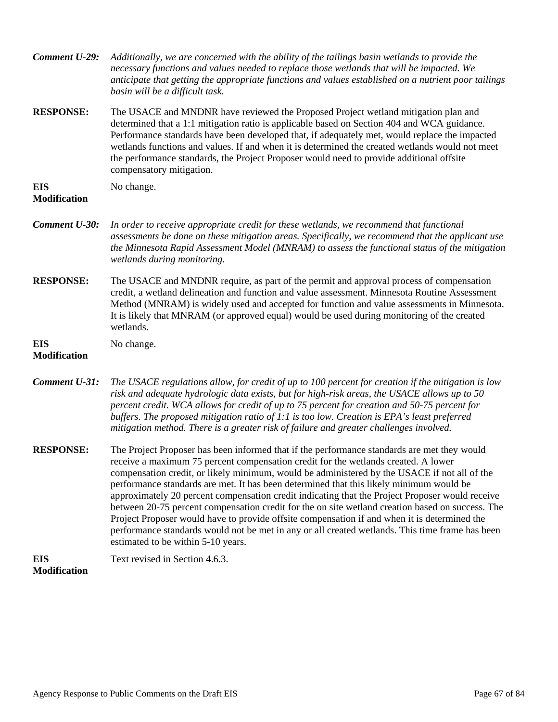| <b>Comment U-29:</b>              | Additionally, we are concerned with the ability of the tailings basin wetlands to provide the<br>necessary functions and values needed to replace those wetlands that will be impacted. We<br>anticipate that getting the appropriate functions and values established on a nutrient poor tailings<br>basin will be a difficult task.                                                                                                                                                                                                                                                                                                                                                                                                                                                                                        |
|-----------------------------------|------------------------------------------------------------------------------------------------------------------------------------------------------------------------------------------------------------------------------------------------------------------------------------------------------------------------------------------------------------------------------------------------------------------------------------------------------------------------------------------------------------------------------------------------------------------------------------------------------------------------------------------------------------------------------------------------------------------------------------------------------------------------------------------------------------------------------|
| <b>RESPONSE:</b>                  | The USACE and MNDNR have reviewed the Proposed Project wetland mitigation plan and<br>determined that a 1:1 mitigation ratio is applicable based on Section 404 and WCA guidance.<br>Performance standards have been developed that, if adequately met, would replace the impacted<br>wetlands functions and values. If and when it is determined the created wetlands would not meet<br>the performance standards, the Project Proposer would need to provide additional offsite<br>compensatory mitigation.                                                                                                                                                                                                                                                                                                                |
| <b>EIS</b><br><b>Modification</b> | No change.                                                                                                                                                                                                                                                                                                                                                                                                                                                                                                                                                                                                                                                                                                                                                                                                                   |
| <b>Comment U-30:</b>              | In order to receive appropriate credit for these wetlands, we recommend that functional<br>assessments be done on these mitigation areas. Specifically, we recommend that the applicant use<br>the Minnesota Rapid Assessment Model (MNRAM) to assess the functional status of the mitigation<br>wetlands during monitoring.                                                                                                                                                                                                                                                                                                                                                                                                                                                                                                 |
| <b>RESPONSE:</b>                  | The USACE and MNDNR require, as part of the permit and approval process of compensation<br>credit, a wetland delineation and function and value assessment. Minnesota Routine Assessment<br>Method (MNRAM) is widely used and accepted for function and value assessments in Minnesota.<br>It is likely that MNRAM (or approved equal) would be used during monitoring of the created<br>wetlands.                                                                                                                                                                                                                                                                                                                                                                                                                           |
| <b>EIS</b><br>Modification        | No change.                                                                                                                                                                                                                                                                                                                                                                                                                                                                                                                                                                                                                                                                                                                                                                                                                   |
| <b>Comment U-31:</b>              | The USACE regulations allow, for credit of up to 100 percent for creation if the mitigation is low<br>risk and adequate hydrologic data exists, but for high-risk areas, the USACE allows up to 50<br>percent credit. WCA allows for credit of up to 75 percent for creation and 50-75 percent for<br>buffers. The proposed mitigation ratio of $1:1$ is too low. Creation is EPA's least preferred<br>mitigation method. There is a greater risk of failure and greater challenges involved.                                                                                                                                                                                                                                                                                                                                |
| <b>RESPONSE:</b>                  | The Project Proposer has been informed that if the performance standards are met they would<br>receive a maximum 75 percent compensation credit for the wetlands created. A lower<br>compensation credit, or likely minimum, would be administered by the USACE if not all of the<br>performance standards are met. It has been determined that this likely minimum would be<br>approximately 20 percent compensation credit indicating that the Project Proposer would receive<br>between 20-75 percent compensation credit for the on site wetland creation based on success. The<br>Project Proposer would have to provide offsite compensation if and when it is determined the<br>performance standards would not be met in any or all created wetlands. This time frame has been<br>estimated to be within 5-10 years. |
| <b>EIS</b><br><b>Modification</b> | Text revised in Section 4.6.3.                                                                                                                                                                                                                                                                                                                                                                                                                                                                                                                                                                                                                                                                                                                                                                                               |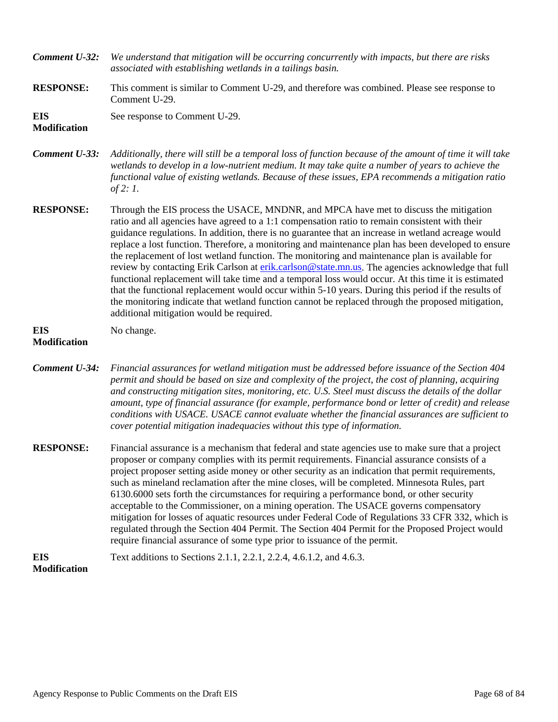| <b>Comment U-32:</b> We understand that mitigation will be occurring concurrently with impacts, but there are risks |
|---------------------------------------------------------------------------------------------------------------------|
| associated with establishing wetlands in a tailings basin.                                                          |

**RESPONSE:** This comment is similar to Comment U-29, and therefore was combined. Please see response to Comment U-29.

**EIS**  See response to Comment U-29.

**Modification** 

- *Comment U-33: Additionally, there will still be a temporal loss of function because of the amount of time it will take wetlands to develop in a low-nutrient medium. It may take quite a number of years to achieve the functional value of existing wetlands. Because of these issues, EPA recommends a mitigation ratio of 2: 1.*
- **RESPONSE:** Through the EIS process the USACE, MNDNR, and MPCA have met to discuss the mitigation ratio and all agencies have agreed to a 1:1 compensation ratio to remain consistent with their guidance regulations. In addition, there is no guarantee that an increase in wetland acreage would replace a lost function. Therefore, a monitoring and maintenance plan has been developed to ensure the replacement of lost wetland function. The monitoring and maintenance plan is available for review by contacting Erik Carlson at erik.carlson@state.mn.us. The agencies acknowledge that full functional replacement will take time and a temporal loss would occur. At this time it is estimated that the functional replacement would occur within 5-10 years. During this period if the results of the monitoring indicate that wetland function cannot be replaced through the proposed mitigation, additional mitigation would be required.

```
EIS 
                   No change.
```
### **Modification**

- *Comment U-34: Financial assurances for wetland mitigation must be addressed before issuance of the Section 404 permit and should be based on size and complexity of the project, the cost of planning, acquiring and constructing mitigation sites, monitoring, etc. U.S. Steel must discuss the details of the dollar amount, type of financial assurance (for example, performance bond or letter of credit) and release conditions with USACE. USACE cannot evaluate whether the financial assurances are sufficient to cover potential mitigation inadequacies without this type of information.*
- **RESPONSE:** Financial assurance is a mechanism that federal and state agencies use to make sure that a project proposer or company complies with its permit requirements. Financial assurance consists of a project proposer setting aside money or other security as an indication that permit requirements, such as mineland reclamation after the mine closes, will be completed. Minnesota Rules, part 6130.6000 sets forth the circumstances for requiring a performance bond, or other security acceptable to the Commissioner, on a mining operation. The USACE governs compensatory mitigation for losses of aquatic resources under Federal Code of Regulations 33 CFR 332, which is regulated through the Section 404 Permit. The Section 404 Permit for the Proposed Project would require financial assurance of some type prior to issuance of the permit.

#### **EIS**  Text additions to Sections 2.1.1, 2.2.1, 2.2.4, 4.6.1.2, and 4.6.3.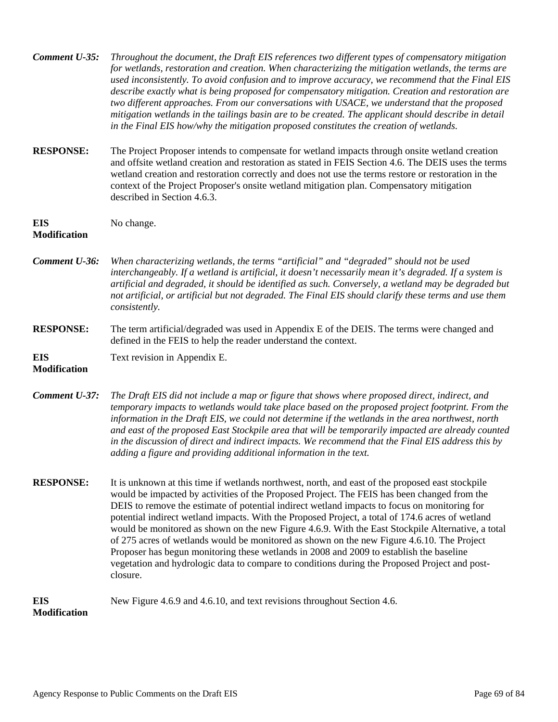| <b>Comment U-35:</b>              | Throughout the document, the Draft EIS references two different types of compensatory mitigation<br>for wetlands, restoration and creation. When characterizing the mitigation wetlands, the terms are<br>used inconsistently. To avoid confusion and to improve accuracy, we recommend that the Final EIS<br>describe exactly what is being proposed for compensatory mitigation. Creation and restoration are<br>two different approaches. From our conversations with USACE, we understand that the proposed<br>mitigation wetlands in the tailings basin are to be created. The applicant should describe in detail<br>in the Final EIS how/why the mitigation proposed constitutes the creation of wetlands.                                                                                              |
|-----------------------------------|----------------------------------------------------------------------------------------------------------------------------------------------------------------------------------------------------------------------------------------------------------------------------------------------------------------------------------------------------------------------------------------------------------------------------------------------------------------------------------------------------------------------------------------------------------------------------------------------------------------------------------------------------------------------------------------------------------------------------------------------------------------------------------------------------------------|
| <b>RESPONSE:</b>                  | The Project Proposer intends to compensate for wetland impacts through onsite wetland creation<br>and offsite wetland creation and restoration as stated in FEIS Section 4.6. The DEIS uses the terms<br>wetland creation and restoration correctly and does not use the terms restore or restoration in the<br>context of the Project Proposer's onsite wetland mitigation plan. Compensatory mitigation<br>described in Section 4.6.3.                                                                                                                                                                                                                                                                                                                                                                       |
| <b>EIS</b><br><b>Modification</b> | No change.                                                                                                                                                                                                                                                                                                                                                                                                                                                                                                                                                                                                                                                                                                                                                                                                     |
| <b>Comment U-36:</b>              | When characterizing wetlands, the terms "artificial" and "degraded" should not be used<br>interchangeably. If a wetland is artificial, it doesn't necessarily mean it's degraded. If a system is<br>artificial and degraded, it should be identified as such. Conversely, a wetland may be degraded but<br>not artificial, or artificial but not degraded. The Final EIS should clarify these terms and use them<br>consistently.                                                                                                                                                                                                                                                                                                                                                                              |
| <b>RESPONSE:</b>                  | The term artificial/degraded was used in Appendix E of the DEIS. The terms were changed and<br>defined in the FEIS to help the reader understand the context.                                                                                                                                                                                                                                                                                                                                                                                                                                                                                                                                                                                                                                                  |
| <b>EIS</b><br><b>Modification</b> | Text revision in Appendix E.                                                                                                                                                                                                                                                                                                                                                                                                                                                                                                                                                                                                                                                                                                                                                                                   |
| <b>Comment U-37:</b>              | The Draft EIS did not include a map or figure that shows where proposed direct, indirect, and<br>temporary impacts to wetlands would take place based on the proposed project footprint. From the<br>information in the Draft EIS, we could not determine if the wetlands in the area northwest, north<br>and east of the proposed East Stockpile area that will be temporarily impacted are already counted<br>in the discussion of direct and indirect impacts. We recommend that the Final EIS address this by<br>adding a figure and providing additional information in the text.                                                                                                                                                                                                                         |
| <b>RESPONSE:</b>                  | It is unknown at this time if wetlands northwest, north, and east of the proposed east stockpile<br>would be impacted by activities of the Proposed Project. The FEIS has been changed from the<br>DEIS to remove the estimate of potential indirect wetland impacts to focus on monitoring for<br>potential indirect wetland impacts. With the Proposed Project, a total of 174.6 acres of wetland<br>would be monitored as shown on the new Figure 4.6.9. With the East Stockpile Alternative, a total<br>of 275 acres of wetlands would be monitored as shown on the new Figure 4.6.10. The Project<br>Proposer has begun monitoring these wetlands in 2008 and 2009 to establish the baseline<br>vegetation and hydrologic data to compare to conditions during the Proposed Project and post-<br>closure. |
| <b>EIS</b><br><b>Modification</b> | New Figure 4.6.9 and 4.6.10, and text revisions throughout Section 4.6.                                                                                                                                                                                                                                                                                                                                                                                                                                                                                                                                                                                                                                                                                                                                        |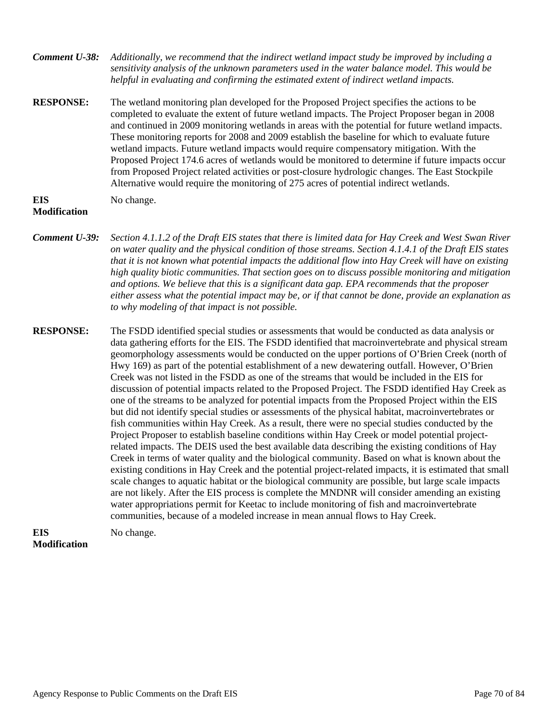| <b>Comment U-38:</b> Additionally, we recommend that the indirect wetland impact study be improved by including a |
|-------------------------------------------------------------------------------------------------------------------|
| sensitivity analysis of the unknown parameters used in the water balance model. This would be                     |
| helpful in evaluating and confirming the estimated extent of indirect wetland impacts.                            |

**RESPONSE:** The wetland monitoring plan developed for the Proposed Project specifies the actions to be completed to evaluate the extent of future wetland impacts. The Project Proposer began in 2008 and continued in 2009 monitoring wetlands in areas with the potential for future wetland impacts. These monitoring reports for 2008 and 2009 establish the baseline for which to evaluate future wetland impacts. Future wetland impacts would require compensatory mitigation. With the Proposed Project 174.6 acres of wetlands would be monitored to determine if future impacts occur from Proposed Project related activities or post-closure hydrologic changes. The East Stockpile Alternative would require the monitoring of 275 acres of potential indirect wetlands.

**EIS**  No change.

### **Modification**

#### *Comment U-39: Section 4.1.1.2 of the Draft EIS states that there is limited data for Hay Creek and West Swan River on water quality and the physical condition of those streams. Section 4.1.4.1 of the Draft EIS states that it is not known what potential impacts the additional flow into Hay Creek will have on existing high quality biotic communities. That section goes on to discuss possible monitoring and mitigation and options. We believe that this is a significant data gap. EPA recommends that the proposer either assess what the potential impact may be, or if that cannot be done, provide an explanation as to why modeling of that impact is not possible.*

**RESPONSE:** The FSDD identified special studies or assessments that would be conducted as data analysis or data gathering efforts for the EIS. The FSDD identified that macroinvertebrate and physical stream geomorphology assessments would be conducted on the upper portions of O'Brien Creek (north of Hwy 169) as part of the potential establishment of a new dewatering outfall. However, O'Brien Creek was not listed in the FSDD as one of the streams that would be included in the EIS for discussion of potential impacts related to the Proposed Project. The FSDD identified Hay Creek as one of the streams to be analyzed for potential impacts from the Proposed Project within the EIS but did not identify special studies or assessments of the physical habitat, macroinvertebrates or fish communities within Hay Creek. As a result, there were no special studies conducted by the Project Proposer to establish baseline conditions within Hay Creek or model potential projectrelated impacts. The DEIS used the best available data describing the existing conditions of Hay Creek in terms of water quality and the biological community. Based on what is known about the existing conditions in Hay Creek and the potential project-related impacts, it is estimated that small scale changes to aquatic habitat or the biological community are possible, but large scale impacts are not likely. After the EIS process is complete the MNDNR will consider amending an existing water appropriations permit for Keetac to include monitoring of fish and macroinvertebrate communities, because of a modeled increase in mean annual flows to Hay Creek.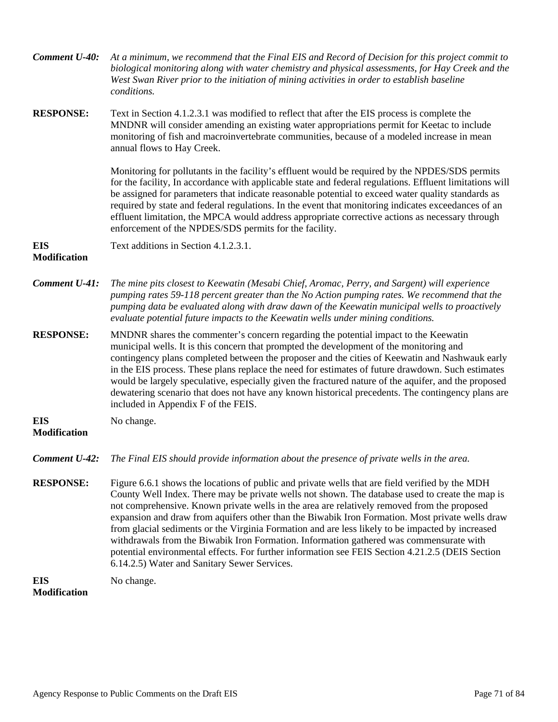| <b>Comment U-40:</b>              | At a minimum, we recommend that the Final EIS and Record of Decision for this project commit to<br>biological monitoring along with water chemistry and physical assessments, for Hay Creek and the<br>West Swan River prior to the initiation of mining activities in order to establish baseline<br>conditions.                                                                                                                                                                                                                                                                                                                                                                                                                                       |
|-----------------------------------|---------------------------------------------------------------------------------------------------------------------------------------------------------------------------------------------------------------------------------------------------------------------------------------------------------------------------------------------------------------------------------------------------------------------------------------------------------------------------------------------------------------------------------------------------------------------------------------------------------------------------------------------------------------------------------------------------------------------------------------------------------|
| <b>RESPONSE:</b>                  | Text in Section 4.1.2.3.1 was modified to reflect that after the EIS process is complete the<br>MNDNR will consider amending an existing water appropriations permit for Keetac to include<br>monitoring of fish and macroinvertebrate communities, because of a modeled increase in mean<br>annual flows to Hay Creek.                                                                                                                                                                                                                                                                                                                                                                                                                                 |
|                                   | Monitoring for pollutants in the facility's effluent would be required by the NPDES/SDS permits<br>for the facility, In accordance with applicable state and federal regulations. Effluent limitations will<br>be assigned for parameters that indicate reasonable potential to exceed water quality standards as<br>required by state and federal regulations. In the event that monitoring indicates exceedances of an<br>effluent limitation, the MPCA would address appropriate corrective actions as necessary through<br>enforcement of the NPDES/SDS permits for the facility.                                                                                                                                                                   |
| <b>EIS</b><br><b>Modification</b> | Text additions in Section 4.1.2.3.1.                                                                                                                                                                                                                                                                                                                                                                                                                                                                                                                                                                                                                                                                                                                    |
| <b>Comment U-41:</b>              | The mine pits closest to Keewatin (Mesabi Chief, Aromac, Perry, and Sargent) will experience<br>pumping rates 59-118 percent greater than the No Action pumping rates. We recommend that the<br>pumping data be evaluated along with draw dawn of the Keewatin municipal wells to proactively<br>evaluate potential future impacts to the Keewatin wells under mining conditions.                                                                                                                                                                                                                                                                                                                                                                       |
| <b>RESPONSE:</b>                  | MNDNR shares the commenter's concern regarding the potential impact to the Keewatin<br>municipal wells. It is this concern that prompted the development of the monitoring and<br>contingency plans completed between the proposer and the cities of Keewatin and Nashwauk early<br>in the EIS process. These plans replace the need for estimates of future drawdown. Such estimates<br>would be largely speculative, especially given the fractured nature of the aquifer, and the proposed<br>dewatering scenario that does not have any known historical precedents. The contingency plans are<br>included in Appendix F of the FEIS.                                                                                                               |
| EIS<br>Modification               | No change.                                                                                                                                                                                                                                                                                                                                                                                                                                                                                                                                                                                                                                                                                                                                              |
| Comment U-42:                     | The Final EIS should provide information about the presence of private wells in the area.                                                                                                                                                                                                                                                                                                                                                                                                                                                                                                                                                                                                                                                               |
| <b>RESPONSE:</b>                  | Figure 6.6.1 shows the locations of public and private wells that are field verified by the MDH<br>County Well Index. There may be private wells not shown. The database used to create the map is<br>not comprehensive. Known private wells in the area are relatively removed from the proposed<br>expansion and draw from aquifers other than the Biwabik Iron Formation. Most private wells draw<br>from glacial sediments or the Virginia Formation and are less likely to be impacted by increased<br>withdrawals from the Biwabik Iron Formation. Information gathered was commensurate with<br>potential environmental effects. For further information see FEIS Section 4.21.2.5 (DEIS Section<br>6.14.2.5) Water and Sanitary Sewer Services. |
| <b>EIS</b><br><b>Modification</b> | No change.                                                                                                                                                                                                                                                                                                                                                                                                                                                                                                                                                                                                                                                                                                                                              |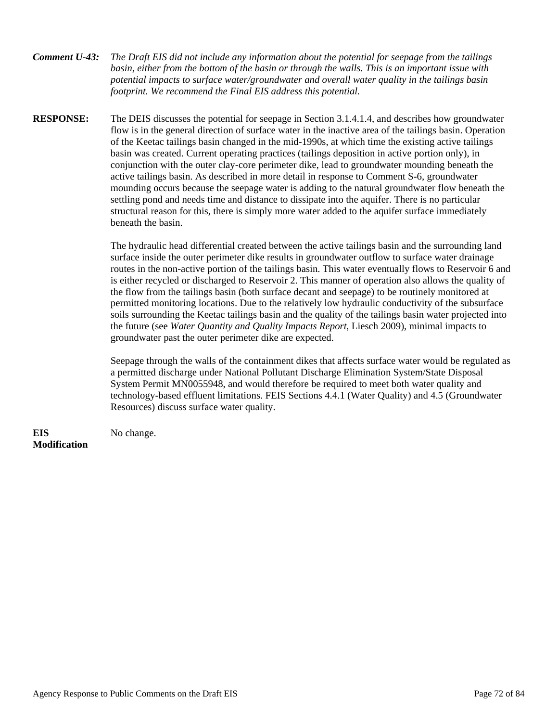*Comment U-43: The Draft EIS did not include any information about the potential for seepage from the tailings basin, either from the bottom of the basin or through the walls. This is an important issue with potential impacts to surface water/groundwater and overall water quality in the tailings basin footprint. We recommend the Final EIS address this potential.* 

**RESPONSE:** The DEIS discusses the potential for seepage in Section 3.1.4.1.4, and describes how groundwater flow is in the general direction of surface water in the inactive area of the tailings basin. Operation of the Keetac tailings basin changed in the mid-1990s, at which time the existing active tailings basin was created. Current operating practices (tailings deposition in active portion only), in conjunction with the outer clay-core perimeter dike, lead to groundwater mounding beneath the active tailings basin. As described in more detail in response to Comment S-6, groundwater mounding occurs because the seepage water is adding to the natural groundwater flow beneath the settling pond and needs time and distance to dissipate into the aquifer. There is no particular structural reason for this, there is simply more water added to the aquifer surface immediately beneath the basin.

> The hydraulic head differential created between the active tailings basin and the surrounding land surface inside the outer perimeter dike results in groundwater outflow to surface water drainage routes in the non-active portion of the tailings basin. This water eventually flows to Reservoir 6 and is either recycled or discharged to Reservoir 2. This manner of operation also allows the quality of the flow from the tailings basin (both surface decant and seepage) to be routinely monitored at permitted monitoring locations. Due to the relatively low hydraulic conductivity of the subsurface soils surrounding the Keetac tailings basin and the quality of the tailings basin water projected into the future (see *Water Quantity and Quality Impacts Report*, Liesch 2009), minimal impacts to groundwater past the outer perimeter dike are expected.

> Seepage through the walls of the containment dikes that affects surface water would be regulated as a permitted discharge under National Pollutant Discharge Elimination System/State Disposal System Permit MN0055948, and would therefore be required to meet both water quality and technology-based effluent limitations. FEIS Sections 4.4.1 (Water Quality) and 4.5 (Groundwater Resources) discuss surface water quality.

**EIS Modification** 

No change.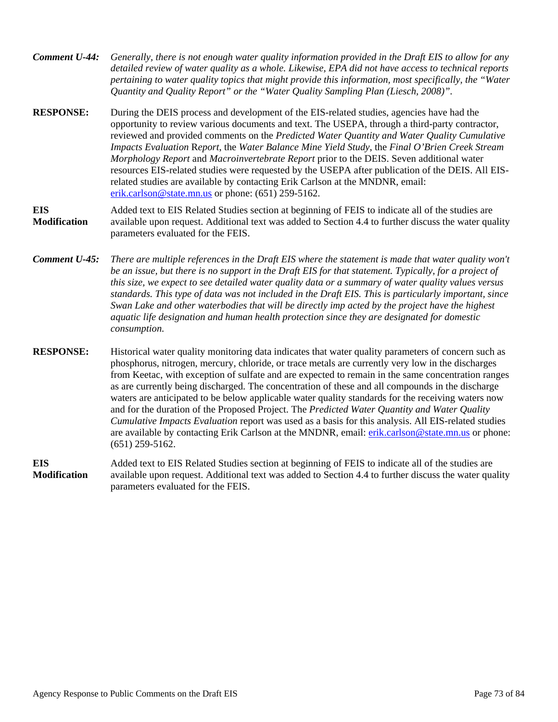- *Comment U-44: Generally, there is not enough water quality information provided in the Draft EIS to allow for any detailed review of water quality as a whole. Likewise, EPA did not have access to technical reports pertaining to water quality topics that might provide this information, most specifically, the "Water Quantity and Quality Report" or the "Water Quality Sampling Plan (Liesch, 2008)".*
- **RESPONSE:** During the DEIS process and development of the EIS-related studies, agencies have had the opportunity to review various documents and text. The USEPA, through a third-party contractor, reviewed and provided comments on the *Predicted Water Quantity and Water Quality Cumulative Impacts Evaluation* R*eport*, the *Water Balance Mine Yield Study*, the *Final O'Brien Creek Stream Morphology Report* and *Macroinvertebrate Report* prior to the DEIS. Seven additional water resources EIS-related studies were requested by the USEPA after publication of the DEIS. All EISrelated studies are available by contacting Erik Carlson at the MNDNR, email: erik.carlson@state.mn.us or phone: (651) 259-5162.
- **EIS Modification**  Added text to EIS Related Studies section at beginning of FEIS to indicate all of the studies are available upon request. Additional text was added to Section 4.4 to further discuss the water quality parameters evaluated for the FEIS.

*Comment U-45: There are multiple references in the Draft EIS where the statement is made that water quality won't be an issue, but there is no support in the Draft EIS for that statement. Typically, for a project of this size, we expect to see detailed water quality data or a summary of water quality values versus standards. This type of data was not included in the Draft EIS. This is particularly important, since Swan Lake and other waterbodies that will be directly imp acted by the project have the highest aquatic life designation and human health protection since they are designated for domestic consumption.* 

- **RESPONSE:** Historical water quality monitoring data indicates that water quality parameters of concern such as phosphorus, nitrogen, mercury, chloride, or trace metals are currently very low in the discharges from Keetac, with exception of sulfate and are expected to remain in the same concentration ranges as are currently being discharged. The concentration of these and all compounds in the discharge waters are anticipated to be below applicable water quality standards for the receiving waters now and for the duration of the Proposed Project. The *Predicted Water Quantity and Water Quality Cumulative Impacts Evaluation* report was used as a basis for this analysis. All EIS-related studies are available by contacting Erik Carlson at the MNDNR, email: erik.carlson@state.mn.us or phone: (651) 259-5162.
- **EIS Modification**  Added text to EIS Related Studies section at beginning of FEIS to indicate all of the studies are available upon request. Additional text was added to Section 4.4 to further discuss the water quality parameters evaluated for the FEIS.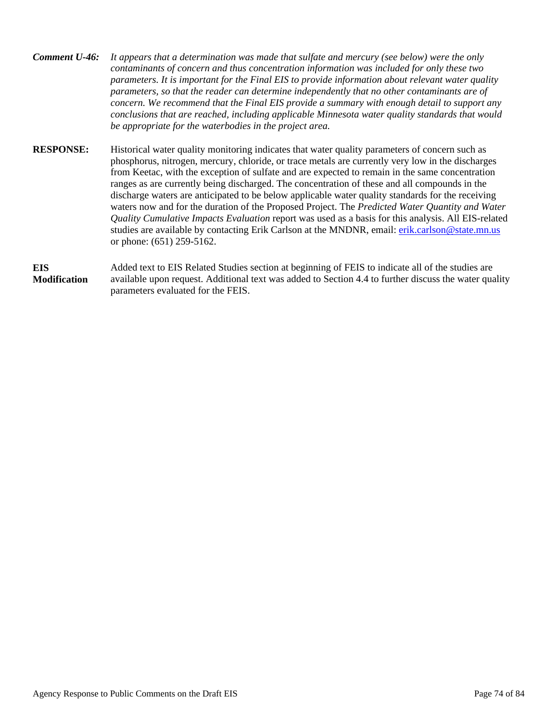*Comment U-46: It appears that a determination was made that sulfate and mercury (see below) were the only contaminants of concern and thus concentration information was included for only these two parameters. It is important for the Final EIS to provide information about relevant water quality parameters, so that the reader can determine independently that no other contaminants are of concern. We recommend that the Final EIS provide a summary with enough detail to support any conclusions that are reached, including applicable Minnesota water quality standards that would be appropriate for the waterbodies in the project area.* 

**RESPONSE:** Historical water quality monitoring indicates that water quality parameters of concern such as phosphorus, nitrogen, mercury, chloride, or trace metals are currently very low in the discharges from Keetac, with the exception of sulfate and are expected to remain in the same concentration ranges as are currently being discharged. The concentration of these and all compounds in the discharge waters are anticipated to be below applicable water quality standards for the receiving waters now and for the duration of the Proposed Project. The *Predicted Water Quantity and Water Quality Cumulative Impacts Evaluation* report was used as a basis for this analysis. All EIS-related studies are available by contacting Erik Carlson at the MNDNR, email: erik.carlson@state.mn.us or phone: (651) 259-5162.

#### **EIS Modification**  Added text to EIS Related Studies section at beginning of FEIS to indicate all of the studies are available upon request. Additional text was added to Section 4.4 to further discuss the water quality parameters evaluated for the FEIS.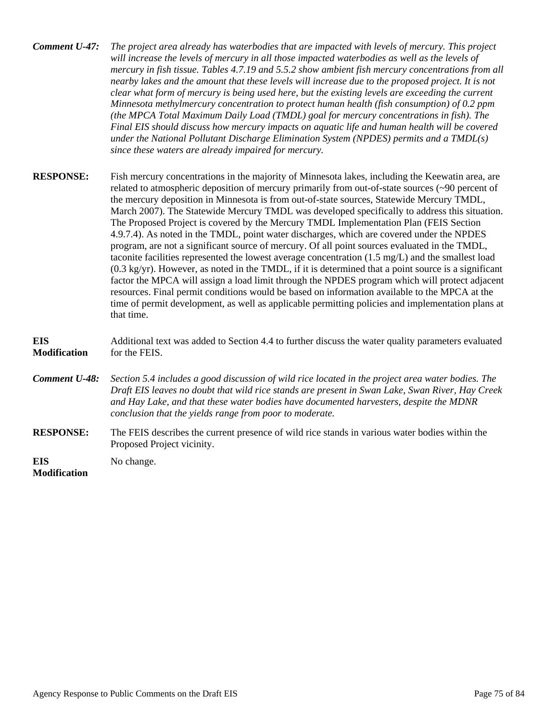*Comment U-47: The project area already has waterbodies that are impacted with levels of mercury. This project will increase the levels of mercury in all those impacted waterbodies as well as the levels of mercury in fish tissue. Tables 4.7.19 and 5.5.2 show ambient fish mercury concentrations from all nearby lakes and the amount that these levels will increase due to the proposed project. It is not clear what form of mercury is being used here, but the existing levels are exceeding the current Minnesota methylmercury concentration to protect human health (fish consumption) of 0.2 ppm (the MPCA Total Maximum Daily Load (TMDL) goal for mercury concentrations in fish). The Final EIS should discuss how mercury impacts on aquatic life and human health will be covered under the National Pollutant Discharge Elimination System (NPDES) permits and a TMDL(s) since these waters are already impaired for mercury.* 

**RESPONSE:** Fish mercury concentrations in the majority of Minnesota lakes, including the Keewatin area, are related to atmospheric deposition of mercury primarily from out-of-state sources (~90 percent of the mercury deposition in Minnesota is from out-of-state sources, Statewide Mercury TMDL, March 2007). The Statewide Mercury TMDL was developed specifically to address this situation. The Proposed Project is covered by the Mercury TMDL Implementation Plan (FEIS Section 4.9.7.4). As noted in the TMDL, point water discharges, which are covered under the NPDES program, are not a significant source of mercury. Of all point sources evaluated in the TMDL, taconite facilities represented the lowest average concentration (1.5 mg/L) and the smallest load (0.3 kg/yr). However, as noted in the TMDL, if it is determined that a point source is a significant factor the MPCA will assign a load limit through the NPDES program which will protect adjacent resources. Final permit conditions would be based on information available to the MPCA at the time of permit development, as well as applicable permitting policies and implementation plans at that time.

### **EIS Modification**  Additional text was added to Section 4.4 to further discuss the water quality parameters evaluated for the FEIS.

*Comment U-48: Section 5.4 includes a good discussion of wild rice located in the project area water bodies. The Draft EIS leaves no doubt that wild rice stands are present in Swan Lake, Swan River, Hay Creek and Hay Lake, and that these water bodies have documented harvesters, despite the MDNR conclusion that the yields range from poor to moderate.* 

**RESPONSE:** The FEIS describes the current presence of wild rice stands in various water bodies within the Proposed Project vicinity.

**EIS**  No change.

**Modification**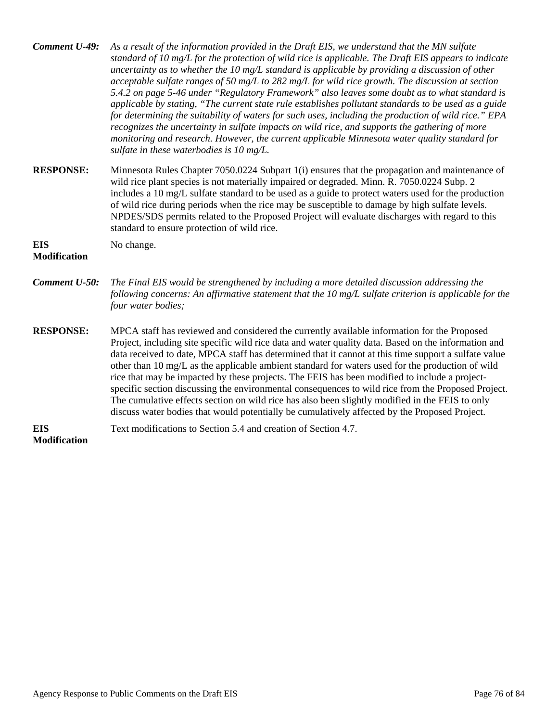| <b>Comment U-49:</b>              | As a result of the information provided in the Draft EIS, we understand that the MN sulfate<br>standard of 10 mg/L for the protection of wild rice is applicable. The Draft EIS appears to indicate<br>uncertainty as to whether the 10 mg/L standard is applicable by providing a discussion of other<br>acceptable sulfate ranges of 50 mg/L to 282 mg/L for wild rice growth. The discussion at section<br>5.4.2 on page 5-46 under "Regulatory Framework" also leaves some doubt as to what standard is<br>applicable by stating, "The current state rule establishes pollutant standards to be used as a guide<br>for determining the suitability of waters for such uses, including the production of wild rice." EPA<br>recognizes the uncertainty in sulfate impacts on wild rice, and supports the gathering of more<br>monitoring and research. However, the current applicable Minnesota water quality standard for<br>sulfate in these waterbodies is $10 \text{ mg/L}$ . |
|-----------------------------------|---------------------------------------------------------------------------------------------------------------------------------------------------------------------------------------------------------------------------------------------------------------------------------------------------------------------------------------------------------------------------------------------------------------------------------------------------------------------------------------------------------------------------------------------------------------------------------------------------------------------------------------------------------------------------------------------------------------------------------------------------------------------------------------------------------------------------------------------------------------------------------------------------------------------------------------------------------------------------------------|
| <b>RESPONSE:</b>                  | Minnesota Rules Chapter 7050.0224 Subpart 1(i) ensures that the propagation and maintenance of<br>wild rice plant species is not materially impaired or degraded. Minn. R. 7050.0224 Subp. 2<br>includes a 10 mg/L sulfate standard to be used as a guide to protect waters used for the production<br>of wild rice during periods when the rice may be susceptible to damage by high sulfate levels.<br>NPDES/SDS permits related to the Proposed Project will evaluate discharges with regard to this<br>standard to ensure protection of wild rice.                                                                                                                                                                                                                                                                                                                                                                                                                                |
| <b>EIS</b><br><b>Modification</b> | No change.                                                                                                                                                                                                                                                                                                                                                                                                                                                                                                                                                                                                                                                                                                                                                                                                                                                                                                                                                                            |
| <b>Comment U-50:</b>              | The Final EIS would be strengthened by including a more detailed discussion addressing the<br>following concerns: An affirmative statement that the $10 \text{ mg/L}$ sulfate criterion is applicable for the<br>four water bodies;                                                                                                                                                                                                                                                                                                                                                                                                                                                                                                                                                                                                                                                                                                                                                   |
| <b>RESPONSE:</b>                  | MPCA staff has reviewed and considered the currently available information for the Proposed<br>Project, including site specific wild rice data and water quality data. Based on the information and<br>data received to date, MPCA staff has determined that it cannot at this time support a sulfate value<br>other than 10 mg/L as the applicable ambient standard for waters used for the production of wild<br>rice that may be impacted by these projects. The FEIS has been modified to include a project-<br>specific section discussing the environmental consequences to wild rice from the Proposed Project.<br>The cumulative effects section on wild rice has also been slightly modified in the FEIS to only<br>discuss water bodies that would potentially be cumulatively affected by the Proposed Project.                                                                                                                                                            |
| <b>EIS</b><br><b>Modification</b> | Text modifications to Section 5.4 and creation of Section 4.7.                                                                                                                                                                                                                                                                                                                                                                                                                                                                                                                                                                                                                                                                                                                                                                                                                                                                                                                        |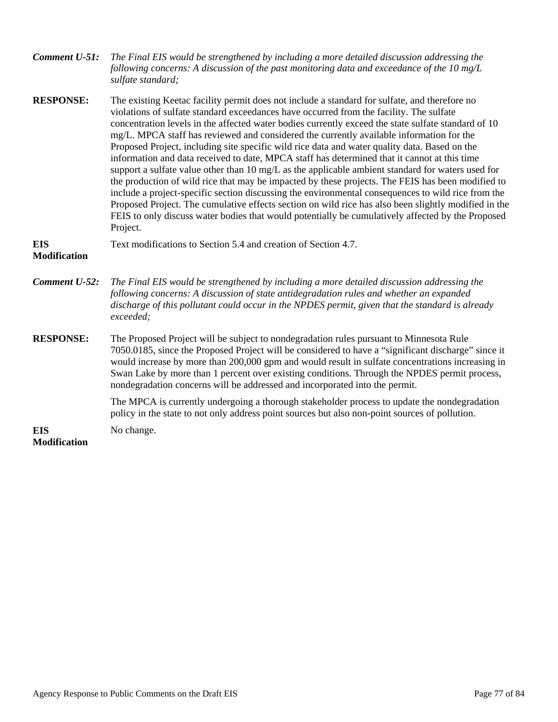| Comment U-51: | The Final EIS would be strengthened by including a more detailed discussion addressing the |
|---------------|--------------------------------------------------------------------------------------------|
|               | following concerns: A discussion of the past monitoring data and exceedance of the 10 mg/L |
|               | sulfate standard;                                                                          |

**RESPONSE:** The existing Keetac facility permit does not include a standard for sulfate, and therefore no violations of sulfate standard exceedances have occurred from the facility. The sulfate concentration levels in the affected water bodies currently exceed the state sulfate standard of 10 mg/L. MPCA staff has reviewed and considered the currently available information for the Proposed Project, including site specific wild rice data and water quality data. Based on the information and data received to date, MPCA staff has determined that it cannot at this time support a sulfate value other than 10 mg/L as the applicable ambient standard for waters used for the production of wild rice that may be impacted by these projects. The FEIS has been modified to include a project-specific section discussing the environmental consequences to wild rice from the Proposed Project. The cumulative effects section on wild rice has also been slightly modified in the FEIS to only discuss water bodies that would potentially be cumulatively affected by the Proposed Project.

- *Comment U-52: The Final EIS would be strengthened by including a more detailed discussion addressing the following concerns: A discussion of state antidegradation rules and whether an expanded discharge of this pollutant could occur in the NPDES permit, given that the standard is already exceeded;*
- **RESPONSE:** The Proposed Project will be subject to nondegradation rules pursuant to Minnesota Rule 7050.0185, since the Proposed Project will be considered to have a "significant discharge" since it would increase by more than 200,000 gpm and would result in sulfate concentrations increasing in Swan Lake by more than 1 percent over existing conditions. Through the NPDES permit process, nondegradation concerns will be addressed and incorporated into the permit.

The MPCA is currently undergoing a thorough stakeholder process to update the nondegradation policy in the state to not only address point sources but also non-point sources of pollution.

**EIS**  No change.

**Modification** 

**EIS**  Text modifications to Section 5.4 and creation of Section 4.7.

**Modification**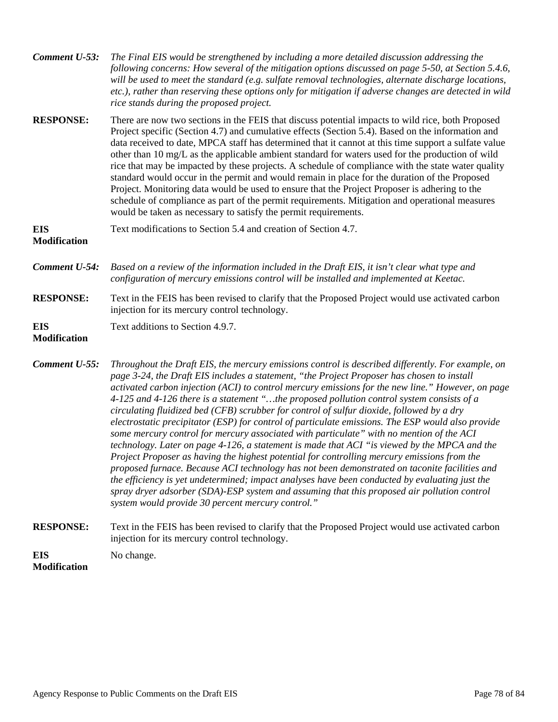| <b>Comment U-53:</b>              | The Final EIS would be strengthened by including a more detailed discussion addressing the<br>following concerns: How several of the mitigation options discussed on page 5-50, at Section 5.4.6,<br>will be used to meet the standard (e.g. sulfate removal technologies, alternate discharge locations,<br>etc.), rather than reserving these options only for mitigation if adverse changes are detected in wild<br>rice stands during the proposed project.                                                                                                                                                                                                                                                                                                                                                                                                                                                                                                                                                                                                                                                                                                                                                                                       |
|-----------------------------------|-------------------------------------------------------------------------------------------------------------------------------------------------------------------------------------------------------------------------------------------------------------------------------------------------------------------------------------------------------------------------------------------------------------------------------------------------------------------------------------------------------------------------------------------------------------------------------------------------------------------------------------------------------------------------------------------------------------------------------------------------------------------------------------------------------------------------------------------------------------------------------------------------------------------------------------------------------------------------------------------------------------------------------------------------------------------------------------------------------------------------------------------------------------------------------------------------------------------------------------------------------|
| <b>RESPONSE:</b>                  | There are now two sections in the FEIS that discuss potential impacts to wild rice, both Proposed<br>Project specific (Section 4.7) and cumulative effects (Section 5.4). Based on the information and<br>data received to date, MPCA staff has determined that it cannot at this time support a sulfate value<br>other than 10 mg/L as the applicable ambient standard for waters used for the production of wild<br>rice that may be impacted by these projects. A schedule of compliance with the state water quality<br>standard would occur in the permit and would remain in place for the duration of the Proposed<br>Project. Monitoring data would be used to ensure that the Project Proposer is adhering to the<br>schedule of compliance as part of the permit requirements. Mitigation and operational measures<br>would be taken as necessary to satisfy the permit requirements.                                                                                                                                                                                                                                                                                                                                                       |
| <b>EIS</b><br><b>Modification</b> | Text modifications to Section 5.4 and creation of Section 4.7.                                                                                                                                                                                                                                                                                                                                                                                                                                                                                                                                                                                                                                                                                                                                                                                                                                                                                                                                                                                                                                                                                                                                                                                        |
| <b>Comment U-54:</b>              | Based on a review of the information included in the Draft EIS, it isn't clear what type and<br>configuration of mercury emissions control will be installed and implemented at Keetac.                                                                                                                                                                                                                                                                                                                                                                                                                                                                                                                                                                                                                                                                                                                                                                                                                                                                                                                                                                                                                                                               |
| <b>RESPONSE:</b>                  | Text in the FEIS has been revised to clarify that the Proposed Project would use activated carbon<br>injection for its mercury control technology.                                                                                                                                                                                                                                                                                                                                                                                                                                                                                                                                                                                                                                                                                                                                                                                                                                                                                                                                                                                                                                                                                                    |
| <b>EIS</b><br><b>Modification</b> | Text additions to Section 4.9.7.                                                                                                                                                                                                                                                                                                                                                                                                                                                                                                                                                                                                                                                                                                                                                                                                                                                                                                                                                                                                                                                                                                                                                                                                                      |
| <b>Comment U-55:</b>              | Throughout the Draft EIS, the mercury emissions control is described differently. For example, on<br>page 3-24, the Draft EIS includes a statement, "the Project Proposer has chosen to install<br>activated carbon injection (ACI) to control mercury emissions for the new line." However, on page<br>4-125 and 4-126 there is a statement "the proposed pollution control system consists of a<br>circulating fluidized bed (CFB) scrubber for control of sulfur dioxide, followed by a dry<br>electrostatic precipitator (ESP) for control of particulate emissions. The ESP would also provide<br>some mercury control for mercury associated with particulate" with no mention of the ACI<br>technology. Later on page 4-126, a statement is made that ACI "is viewed by the MPCA and the<br>Project Proposer as having the highest potential for controlling mercury emissions from the<br>proposed furnace. Because ACI technology has not been demonstrated on taconite facilities and<br>the efficiency is yet undetermined; impact analyses have been conducted by evaluating just the<br>spray dryer adsorber (SDA)-ESP system and assuming that this proposed air pollution control<br>system would provide 30 percent mercury control." |
| <b>RESPONSE:</b>                  | Text in the FEIS has been revised to clarify that the Proposed Project would use activated carbon<br>injection for its mercury control technology.                                                                                                                                                                                                                                                                                                                                                                                                                                                                                                                                                                                                                                                                                                                                                                                                                                                                                                                                                                                                                                                                                                    |
| <b>EIS</b><br>Modification        | No change.                                                                                                                                                                                                                                                                                                                                                                                                                                                                                                                                                                                                                                                                                                                                                                                                                                                                                                                                                                                                                                                                                                                                                                                                                                            |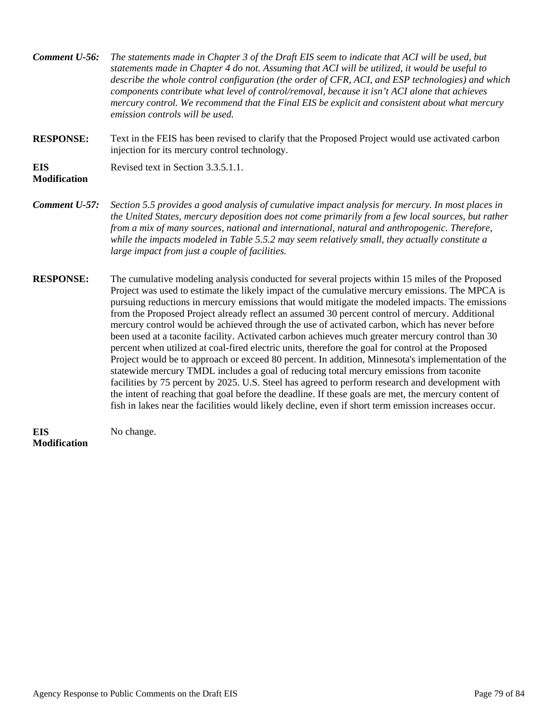| <b>Comment U-56:</b>              | The statements made in Chapter 3 of the Draft EIS seem to indicate that ACI will be used, but<br>statements made in Chapter 4 do not. Assuming that ACI will be utilized, it would be useful to<br>describe the whole control configuration (the order of CFR, ACI, and ESP technologies) and which<br>components contribute what level of control/removal, because it isn't ACI alone that achieves<br>mercury control. We recommend that the Final EIS be explicit and consistent about what mercury<br>emission controls will be used.                                                                                                                                                                                                                                                                                                                                                                                                                                                                                                                                                                                                                                                                                               |
|-----------------------------------|-----------------------------------------------------------------------------------------------------------------------------------------------------------------------------------------------------------------------------------------------------------------------------------------------------------------------------------------------------------------------------------------------------------------------------------------------------------------------------------------------------------------------------------------------------------------------------------------------------------------------------------------------------------------------------------------------------------------------------------------------------------------------------------------------------------------------------------------------------------------------------------------------------------------------------------------------------------------------------------------------------------------------------------------------------------------------------------------------------------------------------------------------------------------------------------------------------------------------------------------|
| <b>RESPONSE:</b>                  | Text in the FEIS has been revised to clarify that the Proposed Project would use activated carbon<br>injection for its mercury control technology.                                                                                                                                                                                                                                                                                                                                                                                                                                                                                                                                                                                                                                                                                                                                                                                                                                                                                                                                                                                                                                                                                      |
| <b>EIS</b><br><b>Modification</b> | Revised text in Section 3.3.5.1.1.                                                                                                                                                                                                                                                                                                                                                                                                                                                                                                                                                                                                                                                                                                                                                                                                                                                                                                                                                                                                                                                                                                                                                                                                      |
| <b>Comment U-57:</b>              | Section 5.5 provides a good analysis of cumulative impact analysis for mercury. In most places in<br>the United States, mercury deposition does not come primarily from a few local sources, but rather<br>from a mix of many sources, national and international, natural and anthropogenic. Therefore,<br>while the impacts modeled in Table 5.5.2 may seem relatively small, they actually constitute a<br>large impact from just a couple of facilities.                                                                                                                                                                                                                                                                                                                                                                                                                                                                                                                                                                                                                                                                                                                                                                            |
| <b>RESPONSE:</b>                  | The cumulative modeling analysis conducted for several projects within 15 miles of the Proposed<br>Project was used to estimate the likely impact of the cumulative mercury emissions. The MPCA is<br>pursuing reductions in mercury emissions that would mitigate the modeled impacts. The emissions<br>from the Proposed Project already reflect an assumed 30 percent control of mercury. Additional<br>mercury control would be achieved through the use of activated carbon, which has never before<br>been used at a taconite facility. Activated carbon achieves much greater mercury control than 30<br>percent when utilized at coal-fired electric units, therefore the goal for control at the Proposed<br>Project would be to approach or exceed 80 percent. In addition, Minnesota's implementation of the<br>statewide mercury TMDL includes a goal of reducing total mercury emissions from taconite<br>facilities by 75 percent by 2025. U.S. Steel has agreed to perform research and development with<br>the intent of reaching that goal before the deadline. If these goals are met, the mercury content of<br>fish in lakes near the facilities would likely decline, even if short term emission increases occur. |

**EIS Modification**  No change.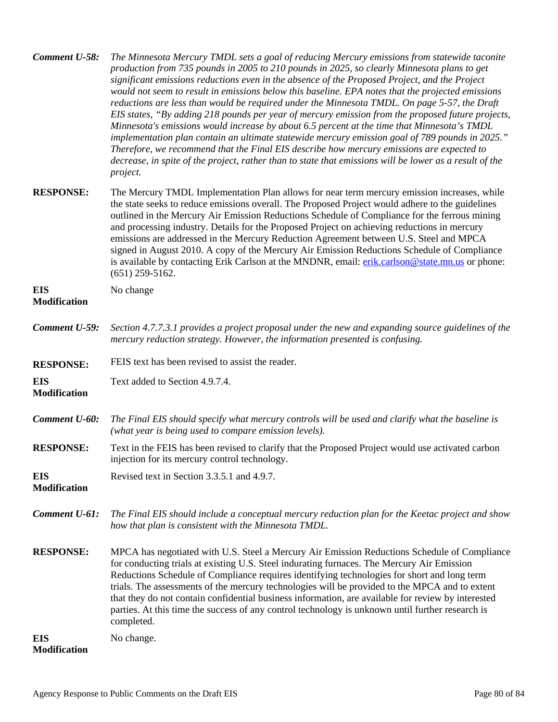| <b>Comment U-58:</b>              | The Minnesota Mercury TMDL sets a goal of reducing Mercury emissions from statewide taconite<br>production from 735 pounds in 2005 to 210 pounds in 2025, so clearly Minnesota plans to get<br>significant emissions reductions even in the absence of the Proposed Project, and the Project<br>would not seem to result in emissions below this baseline. EPA notes that the projected emissions<br>reductions are less than would be required under the Minnesota TMDL. On page 5-57, the Draft<br>EIS states, "By adding 218 pounds per year of mercury emission from the proposed future projects,<br>Minnesota's emissions would increase by about 6.5 percent at the time that Minnesota's TMDL<br>implementation plan contain an ultimate statewide mercury emission goal of 789 pounds in 2025."<br>Therefore, we recommend that the Final EIS describe how mercury emissions are expected to<br>decrease, in spite of the project, rather than to state that emissions will be lower as a result of the<br>project. |
|-----------------------------------|------------------------------------------------------------------------------------------------------------------------------------------------------------------------------------------------------------------------------------------------------------------------------------------------------------------------------------------------------------------------------------------------------------------------------------------------------------------------------------------------------------------------------------------------------------------------------------------------------------------------------------------------------------------------------------------------------------------------------------------------------------------------------------------------------------------------------------------------------------------------------------------------------------------------------------------------------------------------------------------------------------------------------|
| <b>RESPONSE:</b>                  | The Mercury TMDL Implementation Plan allows for near term mercury emission increases, while<br>the state seeks to reduce emissions overall. The Proposed Project would adhere to the guidelines<br>outlined in the Mercury Air Emission Reductions Schedule of Compliance for the ferrous mining<br>and processing industry. Details for the Proposed Project on achieving reductions in mercury<br>emissions are addressed in the Mercury Reduction Agreement between U.S. Steel and MPCA<br>signed in August 2010. A copy of the Mercury Air Emission Reductions Schedule of Compliance<br>is available by contacting Erik Carlson at the MNDNR, email: erik.carlson@state.mn.us or phone:<br>$(651)$ 259-5162.                                                                                                                                                                                                                                                                                                            |
| <b>EIS</b><br><b>Modification</b> | No change                                                                                                                                                                                                                                                                                                                                                                                                                                                                                                                                                                                                                                                                                                                                                                                                                                                                                                                                                                                                                    |
| <b>Comment U-59:</b>              | Section 4.7.7.3.1 provides a project proposal under the new and expanding source guidelines of the<br>mercury reduction strategy. However, the information presented is confusing.                                                                                                                                                                                                                                                                                                                                                                                                                                                                                                                                                                                                                                                                                                                                                                                                                                           |
| <b>RESPONSE:</b>                  | FEIS text has been revised to assist the reader.                                                                                                                                                                                                                                                                                                                                                                                                                                                                                                                                                                                                                                                                                                                                                                                                                                                                                                                                                                             |
| <b>EIS</b><br><b>Modification</b> | Text added to Section 4.9.7.4.                                                                                                                                                                                                                                                                                                                                                                                                                                                                                                                                                                                                                                                                                                                                                                                                                                                                                                                                                                                               |
| <b>Comment U-60:</b>              | The Final EIS should specify what mercury controls will be used and clarify what the baseline is<br>(what year is being used to compare emission levels).                                                                                                                                                                                                                                                                                                                                                                                                                                                                                                                                                                                                                                                                                                                                                                                                                                                                    |
| <b>RESPONSE:</b>                  | Text in the FEIS has been revised to clarify that the Proposed Project would use activated carbon<br>injection for its mercury control technology.                                                                                                                                                                                                                                                                                                                                                                                                                                                                                                                                                                                                                                                                                                                                                                                                                                                                           |
| <b>EIS</b><br><b>Modification</b> | Revised text in Section 3.3.5.1 and 4.9.7.                                                                                                                                                                                                                                                                                                                                                                                                                                                                                                                                                                                                                                                                                                                                                                                                                                                                                                                                                                                   |
| <b>Comment U-61:</b>              | The Final EIS should include a conceptual mercury reduction plan for the Keetac project and show<br>how that plan is consistent with the Minnesota TMDL.                                                                                                                                                                                                                                                                                                                                                                                                                                                                                                                                                                                                                                                                                                                                                                                                                                                                     |
| <b>RESPONSE:</b>                  | MPCA has negotiated with U.S. Steel a Mercury Air Emission Reductions Schedule of Compliance<br>for conducting trials at existing U.S. Steel indurating furnaces. The Mercury Air Emission<br>Reductions Schedule of Compliance requires identifying technologies for short and long term<br>trials. The assessments of the mercury technologies will be provided to the MPCA and to extent<br>that they do not contain confidential business information, are available for review by interested<br>parties. At this time the success of any control technology is unknown until further research is<br>completed.                                                                                                                                                                                                                                                                                                                                                                                                          |
| <b>EIS</b><br><b>Modification</b> | No change.                                                                                                                                                                                                                                                                                                                                                                                                                                                                                                                                                                                                                                                                                                                                                                                                                                                                                                                                                                                                                   |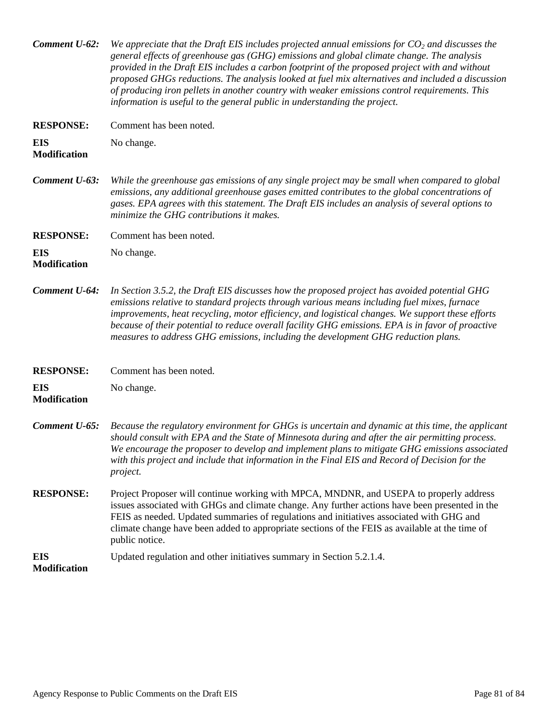| <b>Comment U-62:</b>              | We appreciate that the Draft EIS includes projected annual emissions for $CO2$ and discusses the<br>general effects of greenhouse gas (GHG) emissions and global climate change. The analysis<br>provided in the Draft EIS includes a carbon footprint of the proposed project with and without<br>proposed GHGs reductions. The analysis looked at fuel mix alternatives and included a discussion<br>of producing iron pellets in another country with weaker emissions control requirements. This<br>information is useful to the general public in understanding the project. |
|-----------------------------------|-----------------------------------------------------------------------------------------------------------------------------------------------------------------------------------------------------------------------------------------------------------------------------------------------------------------------------------------------------------------------------------------------------------------------------------------------------------------------------------------------------------------------------------------------------------------------------------|
| <b>RESPONSE:</b>                  | Comment has been noted.                                                                                                                                                                                                                                                                                                                                                                                                                                                                                                                                                           |
| <b>EIS</b><br><b>Modification</b> | No change.                                                                                                                                                                                                                                                                                                                                                                                                                                                                                                                                                                        |
| <b>Comment U-63:</b>              | While the greenhouse gas emissions of any single project may be small when compared to global<br>emissions, any additional greenhouse gases emitted contributes to the global concentrations of<br>gases. EPA agrees with this statement. The Draft EIS includes an analysis of several options to<br>minimize the GHG contributions it makes.                                                                                                                                                                                                                                    |
| <b>RESPONSE:</b>                  | Comment has been noted.                                                                                                                                                                                                                                                                                                                                                                                                                                                                                                                                                           |
| <b>EIS</b><br><b>Modification</b> | No change.                                                                                                                                                                                                                                                                                                                                                                                                                                                                                                                                                                        |
| <b>Comment U-64:</b>              | In Section 3.5.2, the Draft EIS discusses how the proposed project has avoided potential GHG<br>emissions relative to standard projects through various means including fuel mixes, furnace<br>improvements, heat recycling, motor efficiency, and logistical changes. We support these efforts<br>because of their potential to reduce overall facility GHG emissions. EPA is in favor of proactive<br>measures to address GHG emissions, including the development GHG reduction plans.                                                                                         |
| <b>RESPONSE:</b>                  | Comment has been noted.                                                                                                                                                                                                                                                                                                                                                                                                                                                                                                                                                           |
| <b>EIS</b><br><b>Modification</b> | No change.                                                                                                                                                                                                                                                                                                                                                                                                                                                                                                                                                                        |
| <b>Comment U-65:</b>              | Because the regulatory environment for GHGs is uncertain and dynamic at this time, the applicant<br>should consult with EPA and the State of Minnesota during and after the air permitting process.<br>We encourage the proposer to develop and implement plans to mitigate GHG emissions associated<br>with this project and include that information in the Final EIS and Record of Decision for the<br>project.                                                                                                                                                                |
| <b>RESPONSE:</b>                  | Project Proposer will continue working with MPCA, MNDNR, and USEPA to properly address<br>issues associated with GHGs and climate change. Any further actions have been presented in the<br>FEIS as needed. Updated summaries of regulations and initiatives associated with GHG and<br>climate change have been added to appropriate sections of the FEIS as available at the time of<br>public notice.                                                                                                                                                                          |
| <b>EIS</b><br><b>Modification</b> | Updated regulation and other initiatives summary in Section 5.2.1.4.                                                                                                                                                                                                                                                                                                                                                                                                                                                                                                              |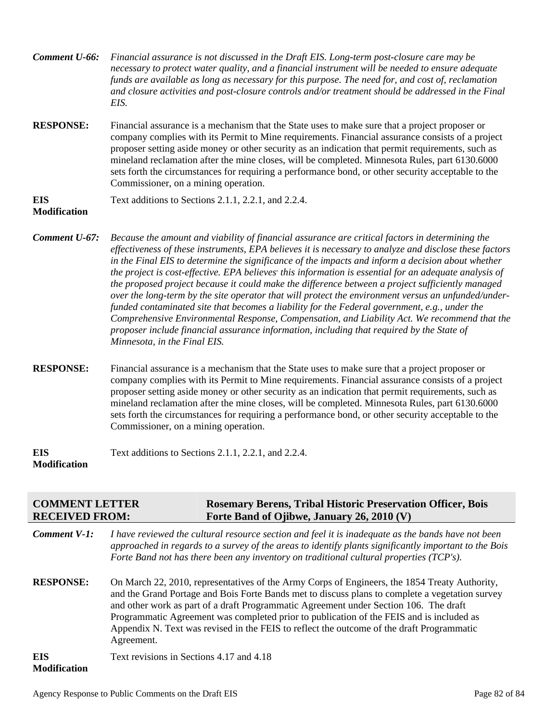| <b>Comment U-66:</b>              | Financial assurance is not discussed in the Draft EIS. Long-term post-closure care may be<br>necessary to protect water quality, and a financial instrument will be needed to ensure adequate<br>funds are available as long as necessary for this purpose. The need for, and cost of, reclamation<br>and closure activities and post-closure controls and/or treatment should be addressed in the Final<br>EIS.                                                                                                                                                                                                                                                                                                                                                                                                                                                                                                                                                 |
|-----------------------------------|------------------------------------------------------------------------------------------------------------------------------------------------------------------------------------------------------------------------------------------------------------------------------------------------------------------------------------------------------------------------------------------------------------------------------------------------------------------------------------------------------------------------------------------------------------------------------------------------------------------------------------------------------------------------------------------------------------------------------------------------------------------------------------------------------------------------------------------------------------------------------------------------------------------------------------------------------------------|
| <b>RESPONSE:</b>                  | Financial assurance is a mechanism that the State uses to make sure that a project proposer or<br>company complies with its Permit to Mine requirements. Financial assurance consists of a project<br>proposer setting aside money or other security as an indication that permit requirements, such as<br>mineland reclamation after the mine closes, will be completed. Minnesota Rules, part 6130.6000<br>sets forth the circumstances for requiring a performance bond, or other security acceptable to the<br>Commissioner, on a mining operation.                                                                                                                                                                                                                                                                                                                                                                                                          |
| <b>EIS</b><br><b>Modification</b> | Text additions to Sections 2.1.1, 2.2.1, and 2.2.4.                                                                                                                                                                                                                                                                                                                                                                                                                                                                                                                                                                                                                                                                                                                                                                                                                                                                                                              |
| <b>Comment U-67:</b>              | Because the amount and viability of financial assurance are critical factors in determining the<br>effectiveness of these instruments, EPA believes it is necessary to analyze and disclose these factors<br>in the Final EIS to determine the significance of the impacts and inform a decision about whether<br>the project is cost-effective. EPA believes this information is essential for an adequate analysis of<br>the proposed project because it could make the difference between a project sufficiently managed<br>over the long-term by the site operator that will protect the environment versus an unfunded/under-<br>funded contaminated site that becomes a liability for the Federal government, e.g., under the<br>Comprehensive Environmental Response, Compensation, and Liability Act. We recommend that the<br>proposer include financial assurance information, including that required by the State of<br>Minnesota, in the Final EIS. |
| <b>RESPONSE:</b>                  | Financial assurance is a mechanism that the State uses to make sure that a project proposer or<br>company complies with its Permit to Mine requirements. Financial assurance consists of a project<br>proposer setting aside money or other security as an indication that permit requirements, such as<br>mineland reclamation after the mine closes, will be completed. Minnesota Rules, part 6130.6000<br>sets forth the circumstances for requiring a performance bond, or other security acceptable to the<br>Commissioner, on a mining operation.                                                                                                                                                                                                                                                                                                                                                                                                          |
| <b>EIS</b><br><b>Modification</b> | Text additions to Sections 2.1.1, 2.2.1, and 2.2.4.                                                                                                                                                                                                                                                                                                                                                                                                                                                                                                                                                                                                                                                                                                                                                                                                                                                                                                              |

#### **COMMENT LETTER RECEIVED FROM: Rosemary Berens, Tribal Historic Preservation Officer, Bois Forte Band of Ojibwe, January 26, 2010 (V)**

- *Comment V-1: I have reviewed the cultural resource section and feel it is inadequate as the bands have not been approached in regards to a survey of the areas to identify plants significantly important to the Bois Forte Band not has there been any inventory on traditional cultural properties (TCP's).*
- **RESPONSE:** On March 22, 2010, representatives of the Army Corps of Engineers, the 1854 Treaty Authority, and the Grand Portage and Bois Forte Bands met to discuss plans to complete a vegetation survey and other work as part of a draft Programmatic Agreement under Section 106. The draft Programmatic Agreement was completed prior to publication of the FEIS and is included as Appendix N. Text was revised in the FEIS to reflect the outcome of the draft Programmatic Agreement.

**EIS Modification**  Text revisions in Sections 4.17 and 4.18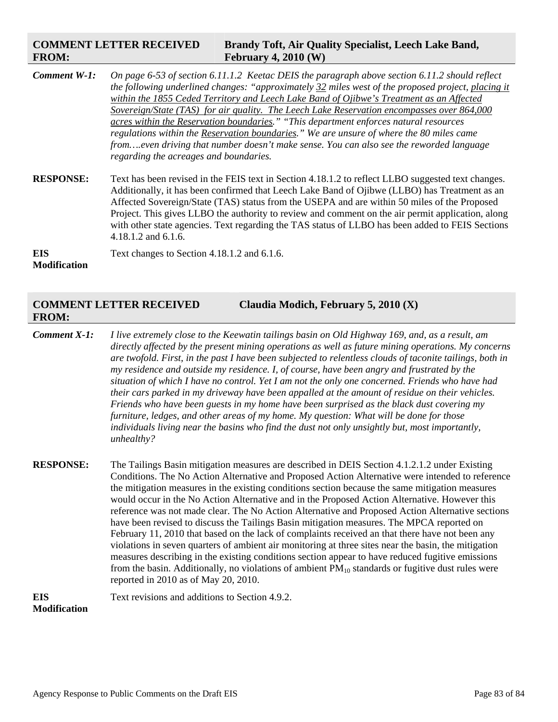# **COMMENT LETTER RECEIVED FROM:**

## **Brandy Toft, Air Quality Specialist, Leech Lake Band, February 4, 2010 (W)**

| <b>Comment W-1:</b>               | On page 6-53 of section 6.11.1.2 Keetac DEIS the paragraph above section 6.11.2 should reflect<br>the following underlined changes: "approximately 32 miles west of the proposed project, placing it<br>within the 1855 Ceded Territory and Leech Lake Band of Ojibwe's Treatment as an Affected<br>Sovereign/State (TAS) for air quality. The Leech Lake Reservation encompasses over 864,000<br>acres within the Reservation boundaries." "This department enforces natural resources<br>regulations within the Reservation boundaries." We are unsure of where the 80 miles came<br>fromeven driving that number doesn't make sense. You can also see the reworded language<br>regarding the acreages and boundaries. |
|-----------------------------------|--------------------------------------------------------------------------------------------------------------------------------------------------------------------------------------------------------------------------------------------------------------------------------------------------------------------------------------------------------------------------------------------------------------------------------------------------------------------------------------------------------------------------------------------------------------------------------------------------------------------------------------------------------------------------------------------------------------------------|
| <b>RESPONSE:</b>                  | Text has been revised in the FEIS text in Section 4.18.1.2 to reflect LLBO suggested text changes.<br>Additionally, it has been confirmed that Leech Lake Band of Ojibwe (LLBO) has Treatment as an<br>Affected Sovereign/State (TAS) status from the USEPA and are within 50 miles of the Proposed<br>Project. This gives LLBO the authority to review and comment on the air permit application, along<br>with other state agencies. Text regarding the TAS status of LLBO has been added to FEIS Sections<br>$4.18.1.2$ and $6.1.6$ .                                                                                                                                                                                 |
| <b>EIS</b><br><b>Modification</b> | Text changes to Section 4.18.1.2 and 6.1.6.                                                                                                                                                                                                                                                                                                                                                                                                                                                                                                                                                                                                                                                                              |

### **COMMENT LETTER RECEIVED FROM: Claudia Modich, February 5, 2010 (X)**

*Comment X-1: I live extremely close to the Keewatin tailings basin on Old Highway 169, and, as a result, am directly affected by the present mining operations as well as future mining operations. My concerns are twofold. First, in the past I have been subjected to relentless clouds of taconite tailings, both in my residence and outside my residence. I, of course, have been angry and frustrated by the situation of which I have no control. Yet I am not the only one concerned. Friends who have had their cars parked in my driveway have been appalled at the amount of residue on their vehicles. Friends who have been guests in my home have been surprised as the black dust covering my furniture, ledges, and other areas of my home. My question: What will be done for those individuals living near the basins who find the dust not only unsightly but, most importantly, unhealthy?* 

**RESPONSE:** The Tailings Basin mitigation measures are described in DEIS Section 4.1.2.1.2 under Existing Conditions. The No Action Alternative and Proposed Action Alternative were intended to reference the mitigation measures in the existing conditions section because the same mitigation measures would occur in the No Action Alternative and in the Proposed Action Alternative. However this reference was not made clear. The No Action Alternative and Proposed Action Alternative sections have been revised to discuss the Tailings Basin mitigation measures. The MPCA reported on February 11, 2010 that based on the lack of complaints received an that there have not been any violations in seven quarters of ambient air monitoring at three sites near the basin, the mitigation measures describing in the existing conditions section appear to have reduced fugitive emissions from the basin. Additionally, no violations of ambient  $PM_{10}$  standards or fugitive dust rules were reported in 2010 as of May 20, 2010.

**EIS**  Text revisions and additions to Section 4.9.2.

**Modification**